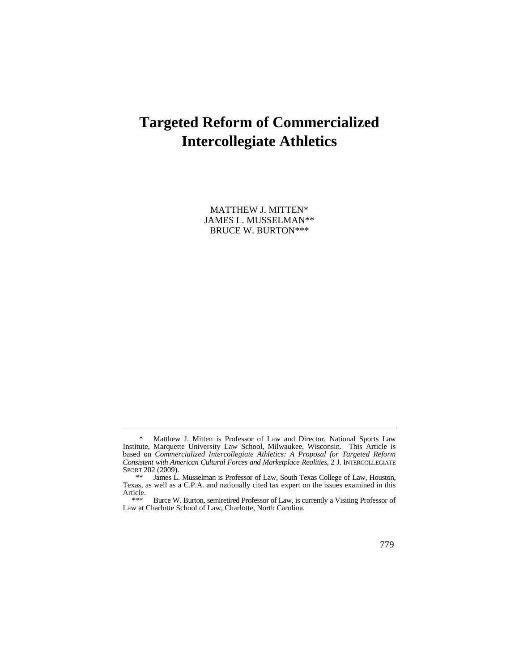# **Targeted Reform of Commercialized Intercollegiate Athletics**

MATTHEW J. MITTEN\* JAMES L. MUSSELMAN\*\* BRUCE W. BURTON\*\*\*

<sup>\*</sup> Matthew J. Mitten is Professor of Law and Director, National Sports Law Institute, Marquette University Law School, Milwaukee, Wisconsin. This Article is based on *Commercialized Intercollegiate Athletics: A Proposal for Targeted Reform Consistent with American Cultural Forces and Marketplace Realities*, 2 J. INTERCOLLEGIATE SPORT 202 (2009).

James L. Musselman is Professor of Law, South Texas College of Law, Houston, Texas, as well as a C.P.A. and nationally cited tax expert on the issues examined in this Article.

 \*\*\* Burce W. Burton, semiretired Professor of Law, is currently a Visiting Professor of Law at Charlotte School of Law, Charlotte, North Carolina.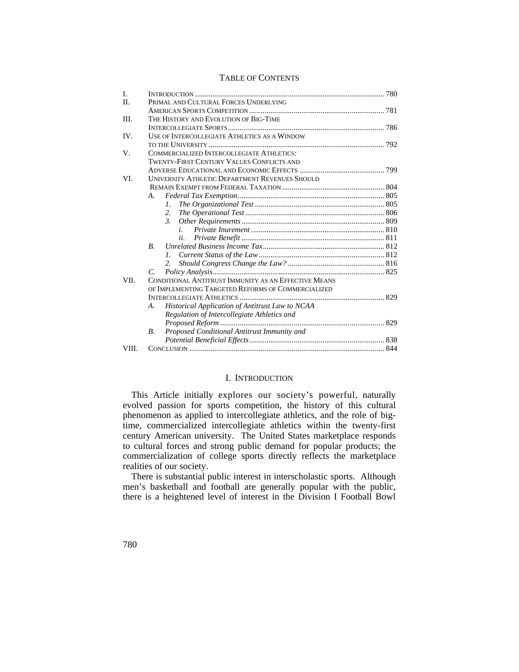## TABLE OF CONTENTS

| L     |                                                              |  |
|-------|--------------------------------------------------------------|--|
| H.    | PRIMAL AND CULTURAL FORCES UNDERLYING                        |  |
|       |                                                              |  |
| III.  | THE HISTORY AND EVOLUTION OF BIG-TIME                        |  |
|       |                                                              |  |
| IV.   | USE OF INTERCOLLEGIATE ATHLETICS AS A WINDOW                 |  |
|       |                                                              |  |
| V.    | COMMERCIALIZED INTERCOLLEGIATE ATHLETICS:                    |  |
|       | <b>TWENTY-FIRST CENTURY VALUES CONFLICTS AND</b>             |  |
|       |                                                              |  |
| VI.   | <b>UNIVERSITY ATHLETIC DEPARTMENT REVENUES SHOULD</b>        |  |
|       |                                                              |  |
|       | A.                                                           |  |
|       | L                                                            |  |
|       | 2.                                                           |  |
|       | $\mathcal{E}$                                                |  |
|       | $\mathbf{i}$                                                 |  |
|       | ii.                                                          |  |
|       | $B_{\cdot}$                                                  |  |
|       | $\mathcal{L}$                                                |  |
|       | 2.                                                           |  |
|       | C.                                                           |  |
| VII.  | CONDITIONAL ANTITRUST IMMUNITY AS AN EFFECTIVE MEANS         |  |
|       | OF IMPLEMENTING TARGETED REFORMS OF COMMERCIALIZED           |  |
|       |                                                              |  |
|       | <b>Historical Application of Antitrust Law to NCAA</b><br>A. |  |
|       | Regulation of Intercollegiate Athletics and                  |  |
|       |                                                              |  |
|       | Proposed Conditional Antitrust Immunity and<br>B.            |  |
|       |                                                              |  |
| VIII. |                                                              |  |

## I. INTRODUCTION

 This Article initially explores our society's powerful, naturally evolved passion for sports competition, the history of this cultural phenomenon as applied to intercollegiate athletics, and the role of bigtime, commercialized intercollegiate athletics within the twenty-first century American university. The United States marketplace responds to cultural forces and strong public demand for popular products; the commercialization of college sports directly reflects the marketplace realities of our society.

There is substantial public interest in interscholastic sports. Although men's basketball and football are generally popular with the public, there is a heightened level of interest in the Division I Football Bowl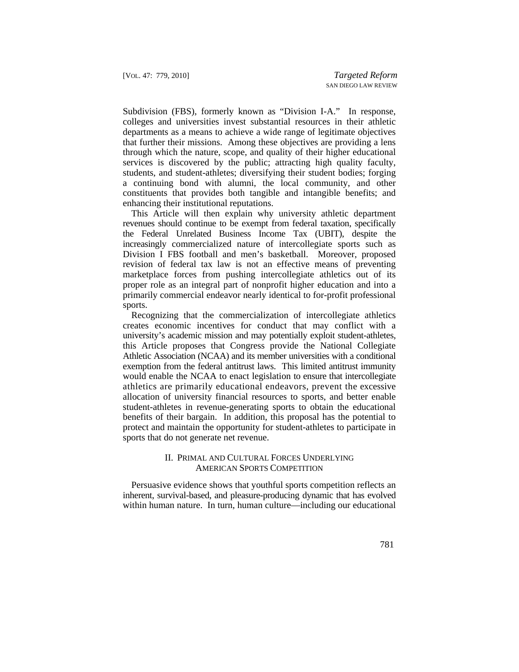Subdivision (FBS), formerly known as "Division I-A." In response, colleges and universities invest substantial resources in their athletic departments as a means to achieve a wide range of legitimate objectives that further their missions. Among these objectives are providing a lens through which the nature, scope, and quality of their higher educational services is discovered by the public; attracting high quality faculty, students, and student-athletes; diversifying their student bodies; forging a continuing bond with alumni, the local community, and other constituents that provides both tangible and intangible benefits; and enhancing their institutional reputations.

This Article will then explain why university athletic department revenues should continue to be exempt from federal taxation, specifically the Federal Unrelated Business Income Tax (UBIT), despite the increasingly commercialized nature of intercollegiate sports such as Division I FBS football and men's basketball. Moreover, proposed revision of federal tax law is not an effective means of preventing marketplace forces from pushing intercollegiate athletics out of its proper role as an integral part of nonprofit higher education and into a primarily commercial endeavor nearly identical to for-profit professional sports.

 would enable the NCAA to enact legislation to ensure that intercollegiate athletics are primarily educational endeavors, prevent the excessive Recognizing that the commercialization of intercollegiate athletics creates economic incentives for conduct that may conflict with a university's academic mission and may potentially exploit student-athletes, this Article proposes that Congress provide the National Collegiate Athletic Association (NCAA) and its member universities with a conditional exemption from the federal antitrust laws. This limited antitrust immunity allocation of university financial resources to sports, and better enable student-athletes in revenue-generating sports to obtain the educational benefits of their bargain. In addition, this proposal has the potential to protect and maintain the opportunity for student-athletes to participate in sports that do not generate net revenue.

## II. PRIMAL AND CULTURAL FORCES UNDERLYING AMERICAN SPORTS COMPETITION

Persuasive evidence shows that youthful sports competition reflects an inherent, survival-based, and pleasure-producing dynamic that has evolved within human nature. In turn, human culture—including our educational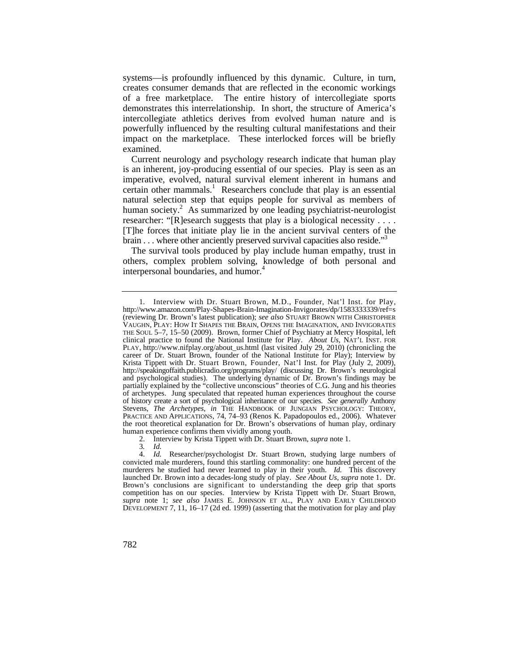systems—is profoundly influenced by this dynamic. Culture, in turn, creates consumer demands that are reflected in the economic workings of a free marketplace. The entire history of intercollegiate sports demonstrates this interrelationship. In short, the structure of America's intercollegiate athletics derives from evolved human nature and is powerfully influenced by the resulting cultural manifestations and their impact on the marketplace. These interlocked forces will be briefly examined.

Current neurology and psychology research indicate that human play is an inherent, joy-producing essential of our species. Play is seen as an imperative, evolved, natural survival element inherent in humans and certain other mammals.<sup>1</sup> Researchers conclude that play is an essential natural selection step that equips people for survival as members of human society.<sup>2</sup> As summarized by one leading psychiatrist-neurologist researcher: "[R]esearch suggests that play is a biological necessity . . . . [T]he forces that initiate play lie in the ancient survival centers of the brain . . . where other anciently preserved survival capacities also reside."<sup>3</sup>

The survival tools produced by play include human empathy, trust in others, complex problem solving, knowledge of both personal and interpersonal boundaries, and humor.<sup>4</sup>

 VAUGHN, PLAY: HOW IT SHAPES THE BRAIN, OPENS THE IMAGINATION, AND INVIGORATES Krista Tippett with Dr. Stuart Brown, Founder, Nat'l Inst. for Play (July 2, 2009), 1. Interview with Dr. Stuart Brown, M.D., Founder, Nat'l Inst. for Play, <http://www.amazon.com/Play-Shapes-Brain-Imagination-Invigorates/dp/1583333339/ref=s> (reviewing Dr. Brown's latest publication); *see also* STUART BROWN WITH CHRISTOPHER THE SOUL 5–7, 15–50 (2009). Brown, former Chief of Psychiatry at Mercy Hospital, left clinical practice to found the National Institute for Play. *About Us*, NAT'L INST. FOR PLAY, [http://www.nifplay.org/about\\_us.html](http://www.nifplay.org/about_us.html) (last visited July 29, 2010) (chronicling the career of Dr. Stuart Brown, founder of the National Institute for Play); Interview by <http://speakingoffaith.publicradio.org/programs/play>/ (discussing Dr. Brown's neurological and psychological studies). The underlying dynamic of Dr. Brown's findings may be partially explained by the "collective unconscious" theories of C.G. Jung and his theories of archetypes. Jung speculated that repeated human experiences throughout the course of history create a sort of psychological inheritance of our species. *See generally* Anthony Stevens, *The Archetypes*, *in* THE HANDBOOK OF JUNGIAN PSYCHOLOGY: THEORY, PRACTICE AND APPLICATIONS, 74, 74–93 (Renos K. Papadopoulos ed., 2006). Whatever the root theoretical explanation for Dr. Brown's observations of human play, ordinary human experience confirms them vividly among youth.

<sup>2.</sup> Interview by Krista Tippett with Dr. Stuart Brown, *supra* note 1.

<sup>3</sup>*. Id.*

 Brown's conclusions are significant to understanding the deep grip that sports 4. *Id.* Researcher/psychologist Dr. Stuart Brown, studying large numbers of convicted male murderers, found this startling commonality: one hundred percent of the murderers he studied had never learned to play in their youth. *Id.* This discovery launched Dr. Brown into a decades-long study of play. *See About Us*, *supra* note 1. Dr. competition has on our species. Interview by Krista Tippett with Dr. Stuart Brown, *supra* note 1; *see also* JAMES E. JOHNSON ET AL., PLAY AND EARLY CHILDHOOD DEVELOPMENT 7, 11, 16–17 (2d ed. 1999) (asserting that the motivation for play and play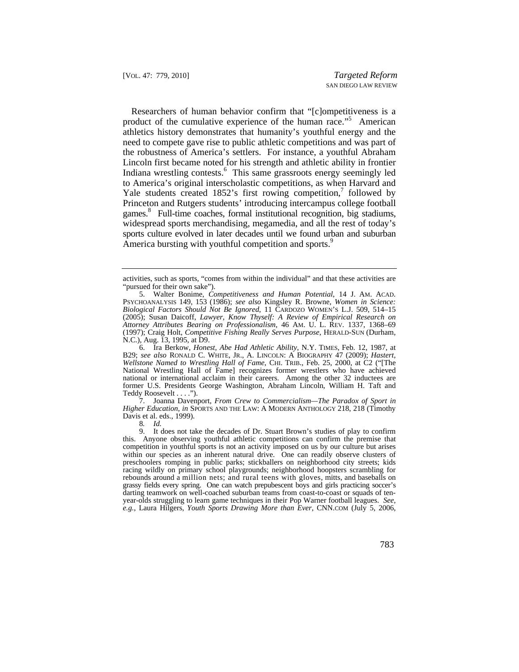Researchers of human behavior confirm that "[c]ompetitiveness is a product of the cumulative experience of the human race."<sup>5</sup> American athletics history demonstrates that humanity's youthful energy and the need to compete gave rise to public athletic competitions and was part of the robustness of America's settlers. For instance, a youthful Abraham Lincoln first became noted for his strength and athletic ability in frontier Indiana wrestling contests.<sup>6</sup> This same grassroots energy seemingly led to America's original interscholastic competitions, as when Harvard and Yale students created  $1852$ 's first rowing competition,<sup>7</sup> followed by Princeton and Rutgers students' introducing intercampus college football games.8 Full-time coaches, formal institutional recognition, big stadiums, widespread sports merchandising, megamedia, and all the rest of today's sports culture evolved in later decades until we found urban and suburban America bursting with youthful competition and sports.<sup>9</sup>

 6. Ira Berkow, *Honest, Abe Had Athletic Ability*, N.Y. TIMES, Feb. 12, 1987, at B29; *see also* RONALD C. WHITE, JR., A. LINCOLN: A BIOGRAPHY 47 (2009); *Hastert, Wellstone Named to Wrestling Hall of Fame*, CHI. TRIB., Feb. 25, 2000, at C2 ("[The National Wrestling Hall of Fame] recognizes former wrestlers who have achieved national or international acclaim in their careers. Among the other 32 inductees are former U.S. Presidents George Washington, Abraham Lincoln, William H. Taft and Teddy Roosevelt . . . .").

 *Higher Education*, *in* SPORTS AND THE LAW: A MODERN ANTHOLOGY 218, 218 (Timothy 7. Joanna Davenport, *From Crew to Commercialism—The Paradox of Sport in*  Davis et al. eds., 1999).

8*. Id.* 

 grassy fields every spring. One can watch prepubescent boys and girls practicing soccer's year-olds struggling to learn game techniques in their Pop Warner football leagues. *See,*  9. It does not take the decades of Dr. Stuart Brown's studies of play to confirm this. Anyone observing youthful athletic competitions can confirm the premise that competition in youthful sports is not an activity imposed on us by our culture but arises within our species as an inherent natural drive. One can readily observe clusters of preschoolers romping in public parks; stickballers on neighborhood city streets; kids racing wildly on primary school playgrounds; neighborhood hoopsters scrambling for rebounds around a million nets; and rural teens with gloves, mitts, and baseballs on darting teamwork on well-coached suburban teams from coast-to-coast or squads of ten*e.g.*, Laura Hilgers, *Youth Sports Drawing More than Ever*, CNN.COM (July 5, 2006,

activities, such as sports, "comes from within the individual" and that these activities are "pursued for their own sake").

 5. Walter Bonime, *Competitiveness and Human Potential*, 14 J. AM. ACAD. PSYCHOANALYSIS 149, 153 (1986); *see also* Kingsley R. Browne, *Women in Science: Attorney Attributes Bearing on Professionalism*, 46 AM. U. L. REV. 1337, 1368–69 *Biological Factors Should Not Be Ignored*, 11 CARDOZO WOMEN'S L.J. 509, 514–15 (2005); Susan Daicoff, *Lawyer, Know Thyself: A Review of Empirical Research on*  (1997); Craig Holt, *Competitive Fishing Really Serves Purpose*, HERALD-SUN (Durham, N.C.), Aug. 13, 1995, at D9.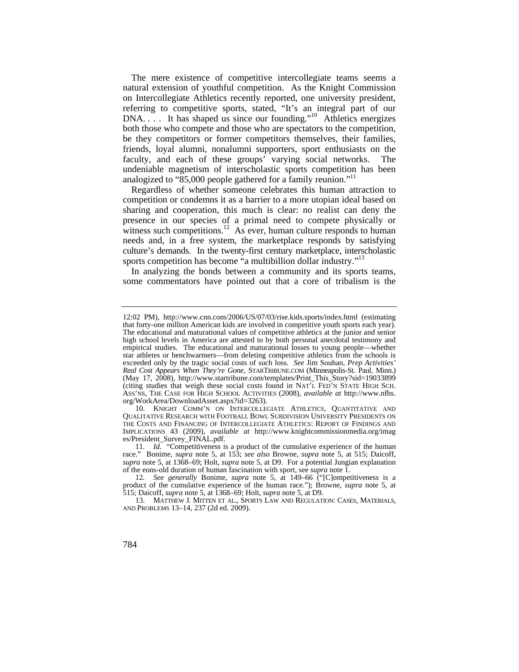The mere existence of competitive intercollegiate teams seems a natural extension of youthful competition. As the Knight Commission on Intercollegiate Athletics recently reported, one university president, referring to competitive sports, stated, "It's an integral part of our DNA. . . . It has shaped us since our founding."<sup>10</sup> Athletics energizes both those who compete and those who are spectators to the competition, be they competitors or former competitors themselves, their families, friends, loyal alumni, nonalumni supporters, sport enthusiasts on the faculty, and each of these groups' varying social networks. The undeniable magnetism of interscholastic sports competition has been analogized to "85,000 people gathered for a family reunion."<sup>11</sup>

 presence in our species of a primal need to compete physically or Regardless of whether someone celebrates this human attraction to competition or condemns it as a barrier to a more utopian ideal based on sharing and cooperation, this much is clear: no realist can deny the witness such [competitions.](https://competitions.12)<sup>12</sup> As ever, human culture responds to human needs and, in a free system, the marketplace responds by satisfying culture's demands. In the twenty-first century marketplace, interscholastic sports competition has become "a multibillion dollar industry."<sup>13</sup>

In analyzing the bonds between a community and its sports teams, some commentators have pointed out that a core of tribalism is the

 exceeded only by the tragic social costs of such loss. *See* Jim Souhan, *Prep Activities' Real Cost Appears When They're Gone*, [STARTRIBUNE.COM](https://STARTRIBUNE.COM) (Minneapolis-St. Paul, Minn.) 12:02 PM), <http://www.cnn.com/2006/US/07/03/rise.kids.sports/index.html> (estimating that forty-one million American kids are involved in competitive youth sports each year). The educational and maturational values of competitive athletics at the junior and senior high school levels in America are attested to by both personal anecdotal testimony and empirical studies. The educational and maturational losses to young people—whether star athletes or benchwarmers—from deleting competitive athletics from the schools is (May 17, 2008), [http://www.startribune.com/templates/Print\\_This\\_Story?sid=19033899](http://www.startribune.com/templates/Print_This_Story?sid=19033899) (citing studies that weigh these social costs found in NAT'L FED'N STATE HIGH SCH. ASS'NS, THE CASE FOR HIGH SCHOOL ACTIVITIES (2008), *available at* [http://www.nfhs.](http://www.nfhs) org/WorkArea/DownloadAsset.aspx?id=3263).

 <sup>10.</sup> KNIGHT COMM'N ON INTERCOLLEGIATE ATHLETICS, QUANTITATIVE AND QUALITATIVE RESEARCH WITH FOOTBALL BOWL SUBDIVISION UNIVERSITY PRESIDENTS ON THE COSTS AND FINANCING OF INTERCOLLEGIATE ATHLETICS: REPORT OF FINDINGS AND IMPLICATIONS 43 (2009), *available at* <http://www.knightcommissionmedia.org/imag> es/President\_Survey\_FINAL.pdf.

<sup>11</sup>*. Id.* "Competitiveness is a product of the cumulative experience of the human race." Bonime, *supra* note 5, at 153; *see also* Browne, *supra* note 5, at 515; Daicoff, *supra* note 5, at 1368–69; Holt, *supra* note 5, at D9. For a potential Jungian explanation of the eons-old duration of human fascination with sport, see *supra* note 1.

 12*. See generally* Bonime, *supra* note 5, at 149–66 ("[C]ompetitiveness is a product of the cumulative experience of the human race."); Browne, *supra* note 5, at 515; Daicoff, *supra* note 5, at 1368–69; Holt, *supra* note 5, at D9.

 13. MATTHEW J. MITTEN ET AL., SPORTS LAW AND REGULATION: CASES, MATERIALS, AND PROBLEMS 13–14, 237 (2d ed. 2009).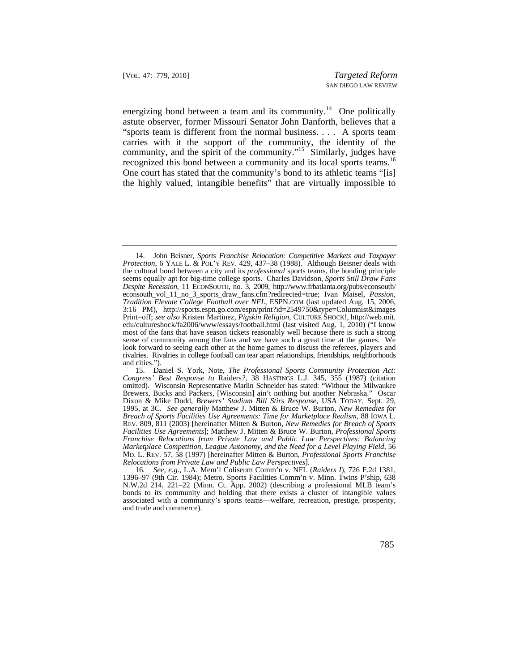energizing bond between a team and its community.<sup>14</sup> One politically recognized this bond between a community and its local sports teams.<sup>16</sup> astute observer, former Missouri Senator John Danforth, believes that a "sports team is different from the normal business. . . . A sports team carries with it the support of the community, the identity of the community, and the spirit of the community."<sup>15</sup> Similarly, judges have One court has stated that the community's bond to its athletic teams "[is] the highly valued, intangible benefits" that are virtually impossible to

 14. John Beisner, *Sports Franchise Relocation: Competitive Markets and Taxpayer Protection*, 6 YALE L. & POL'Y REV. 429, 437–38 (1988). Although Beisner deals with the cultural bond between a city and its *professional* sports teams, the bonding principle seems equally apt for big-time college sports. Charles Davidson, *Sports Still Draw Fans Despite Recession*, 11 ECONSOUTH, no. 3, 2009, [http://www.frbatlanta.org/pubs/econsouth/](http://www.frbatlanta.org/pubs/econsouth) econsouth\_vol\_11\_no\_3\_sports\_draw\_fans.cfm?redirected=true; Ivan Maisel, *Passion, Tradition Elevate College Football over NFL*, [ESPN.COM](https://ESPN.COM) (last updated Aug. 15, 2006, 3:16 PM), <http://sports.espn.go.com/espn/print?id=2549750&type=Columnist&images> Print=off; *see also* Kristen Martinez, *Pigskin Religion*, CULTURE SHOCK!, [http://web.mit.](http://web.mit) edu/cultureshock/fa2006/www/essays/football.html (last visited Aug. 1, 2010) ("I know most of the fans that have season tickets reasonably well because there is such a strong sense of community among the fans and we have such a great time at the games. We look forward to seeing each other at the home games to discuss the referees, players and rivalries. Rivalries in college football can tear apart relationships, friendships, neighborhoods and cities.").

 MD. L. REV. 57, 58 (1997) [hereinafter Mitten & Burton, *Professional Sports Franchise*  15. Daniel S. York, Note, *The Professional Sports Community Protection Act: Congress' Best Response to* Raiders*?*, 38 HASTINGS L.J. 345, 355 (1987) (citation omitted). Wisconsin Representative Marlin Schneider has stated: "Without the Milwaukee Brewers, Bucks and Packers, [Wisconsin] ain't nothing but another Nebraska." Oscar Dixon & Mike Dodd, *Brewers' Stadium Bill Stirs Response*, USA TODAY, Sept. 29, 1995, at 3C. *See generally* Matthew J. Mitten & Bruce W. Burton, *New Remedies for Breach of Sports Facilities Use Agreements: Time for Marketplace Realism*, 88 IOWA L. REV. 809, 811 (2003) [hereinafter Mitten & Burton, *New Remedies for Breach of Sports Facilities Use Agreements*]; Matthew J. Mitten & Bruce W. Burton, *Professional Sports Franchise Relocations from Private Law and Public Law Perspectives: Balancing Marketplace Competition, League Autonomy, and the Need for a Level Playing Field*, 56 *Relocations from Private Law and Public Law Perspectives*].

<sup>16</sup>*. See, e.g.*, L.A. Mem'l Coliseum Comm'n v. NFL (*Raiders I*), 726 F.2d 1381, 1396–97 (9th Cir. 1984); Metro. Sports Facilities Comm'n v. Minn. Twins P'ship, 638 N.W.2d 214, 221–22 (Minn. Ct. App. 2002) (describing a professional MLB team's bonds to its community and holding that there exists a cluster of intangible values associated with a community's sports teams—welfare, recreation, prestige, prosperity, and trade and commerce).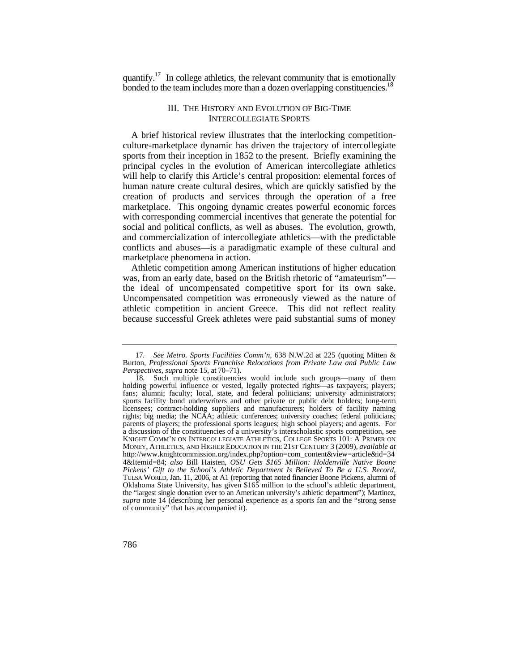quantify.<sup>17</sup> In college athletics, the relevant community that is emotionally bonded to the team includes more than a dozen overlapping constituencies.<sup>18</sup>

## III. THE HISTORY AND EVOLUTION OF BIG-TIME INTERCOLLEGIATE SPORTS

A brief historical review illustrates that the interlocking competitionculture-marketplace dynamic has driven the trajectory of intercollegiate sports from their inception in 1852 to the present. Briefly examining the principal cycles in the evolution of American intercollegiate athletics will help to clarify this Article's central proposition: elemental forces of human nature create cultural desires, which are quickly satisfied by the creation of products and services through the operation of a free marketplace. This ongoing dynamic creates powerful economic forces with corresponding commercial incentives that generate the potential for social and political conflicts, as well as abuses. The evolution, growth, and commercialization of intercollegiate athletics—with the predictable conflicts and abuses—is a paradigmatic example of these cultural and marketplace phenomena in action.

the ideal of uncompensated competitive sport for its own sake. Athletic competition among American institutions of higher education was, from an early date, based on the British rhetoric of "amateurism"— Uncompensated competition was erroneously viewed as the nature of athletic competition in ancient Greece. This did not reflect reality because successful Greek athletes were paid substantial sums of money

<sup>17</sup>*. See Metro. Sports Facilities Comm'n*, 638 N.W.2d at 225 (quoting Mitten & Burton, *Professional Sports Franchise Relocations from Private Law and Public Law Perspectives*, *supra* note 15, at 70–71).

 rights; big media; the NCAA; athletic conferences; university coaches; federal politicians; KNIGHT COMM'N ON INTERCOLLEGIATE ATHLETICS, COLLEGE SPORTS 101: A PRIMER ON MONEY, ATHLETICS, AND HIGHER EDUCATION IN THE 21ST CENTURY 3 (2009), *available at*  TULSA WORLD, Jan. 11, 2006, at A1 (reporting that noted financier Boone Pickens, alumni of the "largest single donation ever to an American university's athletic department"); Martinez, 18*.* Such multiple constituencies would include such groups—many of them holding powerful influence or vested, legally protected rights—as taxpayers; players; fans; alumni; faculty; local, state, and federal politicians; university administrators; sports facility bond underwriters and other private or public debt holders; long-term licensees; contract-holding suppliers and manufacturers; holders of facility naming parents of players; the professional sports leagues; high school players; and agents. For a discussion of the constituencies of a university's interscholastic sports competition, see [http://www.knightcommission.org/index.php?option=com\\_content&view=article&id=34](http://www.knightcommission.org/index.php?option=com_content&view=article&id=34) 4&Itemid=84; *also* Bill Haisten, *OSU Gets \$165 Million: Holdenville Native Boone Pickens' Gift to the School's Athletic Department Is Believed To Be a U.S. Record*, Oklahoma State University, has given \$165 million to the school's athletic department, *supra* note 14 (describing her personal experience as a sports fan and the "strong sense of community" that has accompanied it).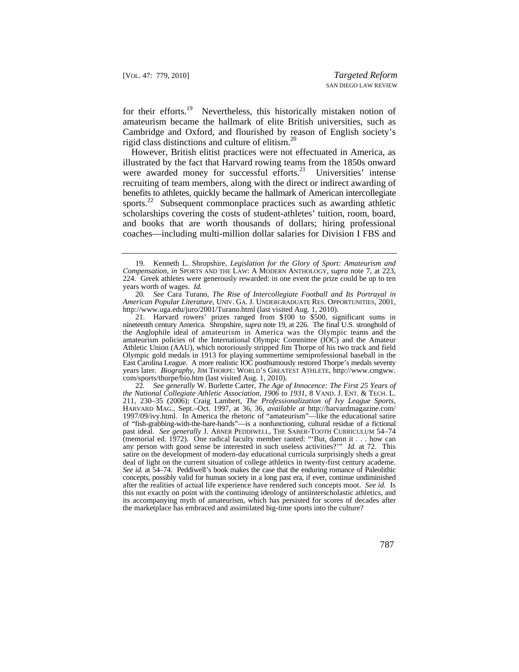for their [efforts.](https://efforts.19)<sup>19</sup> Nevertheless, this historically mistaken notion of amateurism became the hallmark of elite British universities, such as Cambridge and Oxford, and flourished by reason of English society's rigid class distinctions and culture of [elitism.](https://elitism.20)<sup>20</sup>

However, British elitist practices were not effectuated in America, as illustrated by the fact that Harvard rowing teams from the 1850s onward were awarded money for successful [efforts.](https://efforts.21)<sup>21</sup> Universities' intense recruiting of team members, along with the direct or indirect awarding of benefits to athletes, quickly became the hallmark of American intercollegiate [sports.](https://sports.22)<sup>22</sup> Subsequent commonplace practices such as awarding athletic scholarships covering the costs of student-athletes' tuition, room, board, and books that are worth thousands of dollars; hiring professional coaches—including multi-million dollar salaries for Division I FBS and

 *American Popular Literature*, UNIV. GA. J. UNDERGRADUATE RES. OPPORTUNITIES, 2001, 20*. See* Cara Turano, *The Rise of Intercollegiate Football and Its Portrayal in*  <http://www.uga.edu/juro/2001/Turano.html> (last visited Aug. 1, 2010).

 the Anglophile ideal of amateurism in America was the Olympic teams and the years later. *Biography*, JIM THORPE: WORLD'S GREATEST ATHLETE, [http://www.cmgww.](http://www.cmgww) 21. Harvard rowers' prizes ranged from \$100 to \$500, significant sums in nineteenth century America. Shropshire, *supra* note 19, at 226. The final U.S. stronghold of amateurism policies of the International Olympic Committee (IOC) and the Amateur Athletic Union (AAU), which notoriously stripped Jim Thorpe of his two track and field Olympic gold medals in 1913 for playing summertime semiprofessional baseball in the East Carolina League. A more realistic IOC posthumously restored Thorpe's medals seventy com/sports/thorpe/bio.htm (last visited Aug. 1, 2010).

 *the National Collegiate Athletic Association, 1906 to 1931*, 8 VAND. J. ENT. & TECH. L. deal of light on the current situation of college athletics in twenty-first century academe. concepts, possibly valid for human society in a long past era, if ever, continue undiminished 22*. See generally* W. Burlette Carter, *The Age of Innocence: The First 25 Years of*  211, 230–35 (2006); Craig Lambert, *The Professionalization of Ivy League Sports*, HARVARD MAG., Sept.–Oct. 1997, at 36, 36, *available at* [http://harvardmagazine.com/](http://harvardmagazine.com) 1997/09/ivy.html. In America the rhetoric of "amateurism"—like the educational satire of "fish-grabbing-with-the-bare-hands"—is a nonfunctioning, cultural residue of a fictional past ideal. *See generally* J. ABNER PEDDIWELL, THE SABER-TOOTH CURRICULUM 54–74 (memorial ed. 1972). One radical faculty member ranted: "'But, damn it . . . how can any person with good sense be interested in such useless activities?'" *Id.* at 72. This satire on the development of modern-day educational curricula surprisingly sheds a great *See id.* at 54–74. Peddiwell's book makes the case that the enduring romance of Paleolithic after the realities of actual life experience have rendered such concepts moot. *See id.* Is this not exactly on point with the continuing ideology of antiinterscholastic athletics, and its accompanying myth of amateurism, which has persisted for scores of decades after the marketplace has embraced and assimilated big-time sports into the culture?

 *Compensation*, *in* SPORTS AND THE LAW: A MODERN ANTHOLOGY, *supra* note 7, at 223, 19. Kenneth L. Shropshire, *Legislation for the Glory of Sport: Amateurism and*  224. Greek athletes were generously rewarded: in one event the prize could be up to ten years worth of wages. *Id.*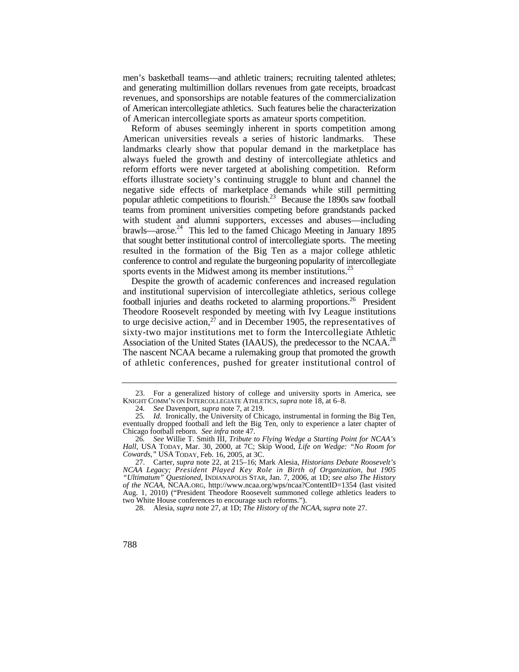men's basketball teams—and athletic trainers; recruiting talented athletes; and generating multimillion dollars revenues from gate receipts, broadcast revenues, and sponsorships are notable features of the commercialization of American intercollegiate athletics. Such features belie the characterization of American intercollegiate sports as amateur sports competition.

brawls—arose.<sup>24</sup> This led to the famed Chicago Meeting in January 1895 Reform of abuses seemingly inherent in sports competition among American universities reveals a series of historic landmarks. These landmarks clearly show that popular demand in the marketplace has always fueled the growth and destiny of intercollegiate athletics and reform efforts were never targeted at abolishing competition. Reform efforts illustrate society's continuing struggle to blunt and channel the negative side effects of marketplace demands while still permitting popular athletic competitions to flourish.<sup>23</sup> Because the 1890s saw football teams from prominent universities competing before grandstands packed with student and alumni supporters, excesses and abuses—including that sought better institutional control of intercollegiate sports. The meeting resulted in the formation of the Big Ten as a major college athletic conference to control and regulate the burgeoning popularity of intercollegiate sports events in the Midwest among its member institutions.<sup>25</sup>

to urge decisive action,  $27$  and in December 1905, the representatives of Association of the United States (IAAUS), the predecessor to the NCAA.<sup>28</sup> Despite the growth of academic conferences and increased regulation and institutional supervision of intercollegiate athletics, serious college football injuries and deaths rocketed to alarming proportions.<sup>26</sup> President Theodore Roosevelt responded by meeting with Ivy League institutions sixty-two major institutions met to form the Intercollegiate Athletic The nascent NCAA became a rulemaking group that promoted the growth of athletic conferences, pushed for greater institutional control of

<sup>23.</sup> For a generalized history of college and university sports in America, see KNIGHT COMM'N ON INTERCOLLEGIATE ATHLETICS, *supra* note 18, at 6–8.

<sup>24</sup>*. See* Davenport, *supra* note 7, at 219.

 Chicago football reborn. *See infra* note 47. 25*. Id.* Ironically, the University of Chicago, instrumental in forming the Big Ten, eventually dropped football and left the Big Ten, only to experience a later chapter of

 *Hall*, USA TODAY, Mar. 30, 2000, at 7C; Skip Wood, *Life on Wedge: "No Room for Cowards*,*"* USA TODAY, Feb. 16, 2005, at 3C. 26*. See* Willie T. Smith III, *Tribute to Flying Wedge a Starting Point for NCAA's* 

 <sup>27.</sup> Carter, *supra* note 22, at 215–16; Mark Alesia, *Historians Debate Roosevelt's NCAA Legacy; President Played Key Role in Birth of Organization, but 1905 "Ultimatum" Questioned*, INDIANAPOLIS STAR, Jan. 7, 2006, at 1D; *see also The History of the NCAA*, [NCAA.ORG](https://NCAA.ORG), <http://www.ncaa.org/wps/ncaa?ContentID=1354> (last visited Aug. 1, 2010) ("President Theodore Roosevelt summoned college athletics leaders to two White House conferences to encourage such reforms.").

 <sup>28.</sup> Alesia, *supra* note 27, at 1D; *The History of the NCAA*, *supra* note 27.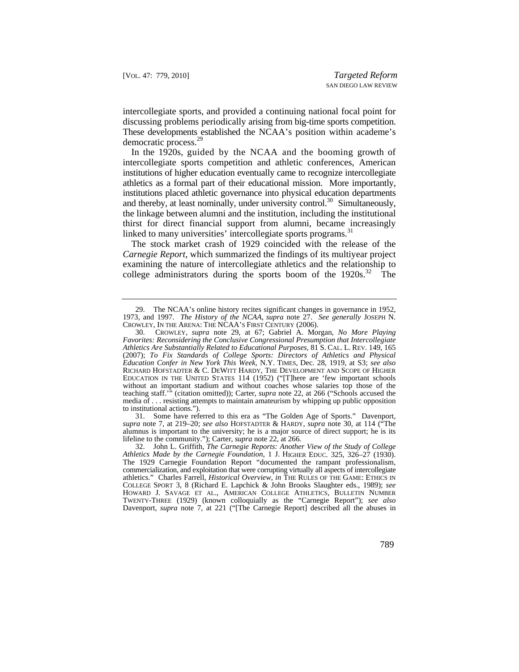discussing problems periodically arising from big-time sports competition. intercollegiate sports, and provided a continuing national focal point for These developments established the NCAA's position within academe's democratic [process.](https://process.29)<sup>29</sup>

 In the 1920s, guided by the NCAA and the booming growth of athletics as a formal part of their educational mission. More importantly, intercollegiate sports competition and athletic conferences, American institutions of higher education eventually came to recognize intercollegiate institutions placed athletic governance into physical education departments and thereby, at least nominally, under university control.<sup>30</sup> Simultaneously, the linkage between alumni and the institution, including the institutional thirst for direct financial support from alumni, became increasingly linked to many universities' intercollegiate sports [programs.](https://programs.31)<sup>31</sup>

college administrators during the sports boom of the  $1920s^{32}$  The The stock market crash of 1929 coincided with the release of the *Carnegie Report*, which summarized the findings of its multiyear project examining the nature of intercollegiate athletics and the relationship to

<sup>29.</sup> The NCAA's online history recites significant changes in governance in 1952, 1973, and 1997. *The History of the NCAA*, *supra* note 27. *See generally* JOSEPH N. CROWLEY, IN THE ARENA: THE NCAA'S FIRST CENTURY (2006).

 *Athletics Are Substantially Related to Educational Purposes,* 81 S. CAL. L. REV. 149, 165 *Education Confer in New York This Week*, N.Y. TIMES, Dec. 28, 1919, at S3; *see also*  RICHARD HOFSTADTER & C. DEWITT HARDY, THE DEVELOPMENT AND SCOPE OF HIGHER 30. CROWLEY, *supra* note 29, at 67; Gabriel A. Morgan, *No More Playing Favorites: Reconsidering the Conclusive Congressional Presumption that Intercollegiate*  (2007); *To Fix Standards of College Sports: Directors of Athletics and Physical*  EDUCATION IN THE UNITED STATES 114 (1952) ("[T]here are 'few important schools without an important stadium and without coaches whose salaries top those of the teaching staff.'" (citation omitted)); Carter, *supra* note 22, at 266 ("Schools accused the media of . . . resisting attempts to maintain amateurism by whipping up public opposition to institutional actions.").

<sup>31.</sup> Some have referred to this era as "The Golden Age of Sports." Davenport, *supra* note 7, at 219–20; *see also* HOFSTADTER & HARDY, *supra* note 30, at 114 ("The alumnus is important to the university; he is a major source of direct support; he is its lifeline to the community."); Carter, *supra* note 22, at 266.

 commercialization, and exploitation that were corrupting virtually all aspects of intercollegiate 32. John L. Griffith, *The Carnegie Reports: Another View of the Study of College Athletics Made by the Carnegie Foundation*, 1 J. HIGHER EDUC. 325, 326–27 (1930). The 1929 Carnegie Foundation Report "documented the rampant professionalism, athletics." Charles Farrell, *Historical Overview*, *in* THE RULES OF THE GAME: ETHICS IN COLLEGE SPORT 3, 8 (Richard E. Lapchick & John Brooks Slaughter eds., 1989); *see*  HOWARD J. SAVAGE ET AL., AMERICAN COLLEGE ATHLETICS, BULLETIN NUMBER TWENTY-THREE (1929) (known colloquially as the "Carnegie Report"); *see also*  Davenport, *supra* note 7, at 221 ("[The Carnegie Report] described all the abuses in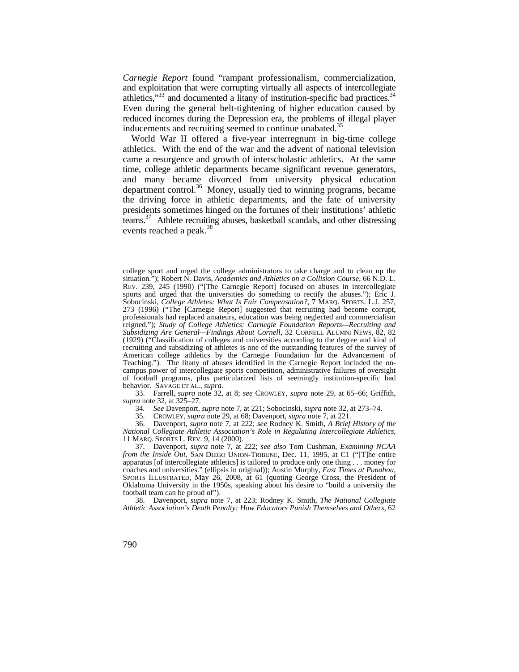athletics," $33$  and documented a litany of institution-specific bad practices. $34$ *Carnegie Report* found "rampant professionalism, commercialization, and exploitation that were corrupting virtually all aspects of intercollegiate Even during the general belt-tightening of higher education caused by reduced incomes during the Depression era, the problems of illegal player inducements and recruiting seemed to continue unabated.<sup>35</sup>

World War II offered a five-year interregnum in big-time college athletics. With the end of the war and the advent of national television came a resurgence and growth of interscholastic athletics. At the same time, college athletic departments became significant revenue generators, and many became divorced from university physical education department control.<sup>36</sup> Money, usually tied to winning programs, became the driving force in athletic departments, and the fate of university presidents sometimes hinged on the fortunes of their institutions' athletic [teams.37](https://teams.37) Athlete recruiting abuses, basketball scandals, and other distressing events reached a peak.<sup>38</sup>

 33. Farrell, *supra* note 32, at 8; *see* CROWLEY, *supra* note 29, at 65–66; Griffith, *supra* note 32, at 325–27.

34*. See* Davenport, *supra* note 7, at 221; Sobocinski, *supra* note 32, at 273–74.

35. CROWLEY, *supra* note 29, at 68; Davenport, *supra* note 7, at 221.

 36. Davenport, *supra* note 7, at 222; *see* Rodney K. Smith, *A Brief History of the National Collegiate Athletic Association's Role in Regulating Intercollegiate Athletics*, 11 MARQ. SPORTS L. REV. 9, 14 (2000).

 37. Davenport, *supra* note 7, at 222; *see also* Tom Cushman, *Examining NCAA from the Inside Out*, SAN DIEGO UNION-TRIBUNE, Dec. 11, 1995, at C1 ("[T]he entire apparatus [of intercollegiate athletics] is tailored to produce only one thing . . . money for coaches and universities." (ellipsis in original)); Austin Murphy, *Fast Times at Punahou*, SPORTS ILLUSTRATED, May 26, 2008, at 61 (quoting George Cross, the President of Oklahoma University in the 1950s, speaking about his desire to "build a university the football team can be proud of").

 38. Davenport, *supra* note 7, at 223; Rodney K. Smith, *The National Collegiate Athletic Association's Death Penalty: How Educators Punish Themselves and Others*, 62

college sport and urged the college administrators to take charge and to clean up the situation."); Robert N. Davis, *Academics and Athletics on a Collision Course*, 66 N.D. L. REV. 239, 245 (1990) ("[The Carnegie Report] focused on abuses in intercollegiate sports and urged that the universities do something to rectify the abuses."); Eric J. Sobocinski, *College Athletes: What Is Fair Compensation?*, 7 MARQ. SPORTS. L.J. 257, 273 (1996) ("The [Carnegie Report] suggested that recruiting had become corrupt, professionals had replaced amateurs, education was being neglected and commercialism reigned."); *Study of College Athletics: Carnegie Foundation Reports—Recruiting and Subsidizing Are General—Findings About Cornell*, 32 CORNELL ALUMNI NEWS, 82, 82 (1929) ("Classification of colleges and universities according to the degree and kind of recruiting and subsidizing of athletes is one of the outstanding features of the survey of American college athletics by the Carnegie Foundation for the Advancement of Teaching."). The litany of abuses identified in the Carnegie Report included the oncampus power of intercollegiate sports competition, administrative failures of oversight of football programs, plus particularized lists of seemingly institution-specific bad behavior. SAVAGE ET AL., *supra*.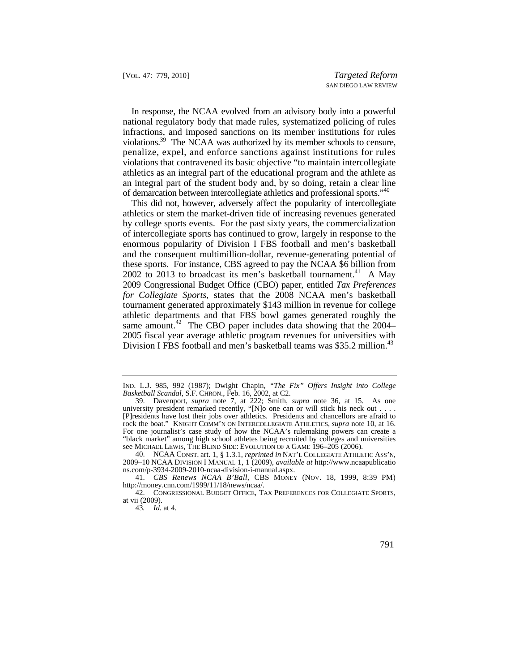In response, the NCAA evolved from an advisory body into a powerful national regulatory body that made rules, systematized policing of rules infractions, and imposed sanctions on its member institutions for rules [violations.39](https://violations.39) The NCAA was authorized by its member schools to censure, penalize, expel, and enforce sanctions against institutions for rules violations that contravened its basic objective "to maintain intercollegiate athletics as an integral part of the educational program and the athlete as an integral part of the student body and, by so doing, retain a clear line of demarcation between intercollegiate athletics and professional sports."<sup>40</sup>

This did not, however, adversely affect the popularity of intercollegiate athletics or stem the market-driven tide of increasing revenues generated by college sports events. For the past sixty years, the commercialization of intercollegiate sports has continued to grow, largely in response to the enormous popularity of Division I FBS football and men's basketball and the consequent multimillion-dollar, revenue-generating potential of these sports. For instance, CBS agreed to pay the NCAA \$6 billion from  $2002$  to  $2013$  to broadcast its men's basketball tournament.<sup>41</sup> A May 2009 Congressional Budget Office (CBO) paper, entitled *Tax Preferences for Collegiate Sports*, states that the 2008 NCAA men's basketball tournament generated approximately \$143 million in revenue for college athletic departments and that FBS bowl games generated roughly the same amount.<sup>42</sup> The CBO paper includes data showing that the 2004– 2005 fiscal year average athletic program revenues for universities with Division I FBS football and men's basketball teams was \$35.2 million.<sup>43</sup>

IND. L.J. 985, 992 (1987); Dwight Chapin, *"The Fix" Offers Insight into College Basketball Scandal*, S.F. CHRON., Feb. 16, 2002, at C2.

university president remarked recently, "[N] $\alpha$  one can or will stick his neck out .... 39. Davenport, *supra* note 7, at 222; Smith, *supra* note 36, at 15. As one [P]residents have lost their jobs over athletics. Presidents and chancellors are afraid to rock the boat." KNIGHT COMM'N ON INTERCOLLEGIATE ATHLETICS, *supra* note 10, at 16. For one journalist's case study of how the NCAA's rulemaking powers can create a "black market" among high school athletes being recruited by colleges and universities see MICHAEL LEWIS, THE BLIND SIDE: EVOLUTION OF A GAME 196–205 (2006).

 40. NCAA CONST. art. 1, § 1.3.1, *reprinted in* NAT'L COLLEGIATE ATHLETIC ASS'N, 2009–10 NCAA DIVISION I MANUAL 1, 1 (2009), *available at*<http://www.ncaapublicatio> [ns.com/p-3934-2009-2010-ncaa-division-i-manual.aspx](https://ns.com/p-3934-2009-2010-ncaa-division-i-manual.aspx).

 41. *CBS Renews NCAA B'Ball*, CBS MONEY (NOV. 18, 1999, 8:39 PM) [http://money.cnn.com/1999/11/18/news/ncaa/](http://money.cnn.com/1999/11/18/news/ncaa).

 <sup>42.</sup> CONGRESSIONAL BUDGET OFFICE, TAX PREFERENCES FOR COLLEGIATE SPORTS, at vii (2009).

<sup>43</sup>*. Id.* at 4.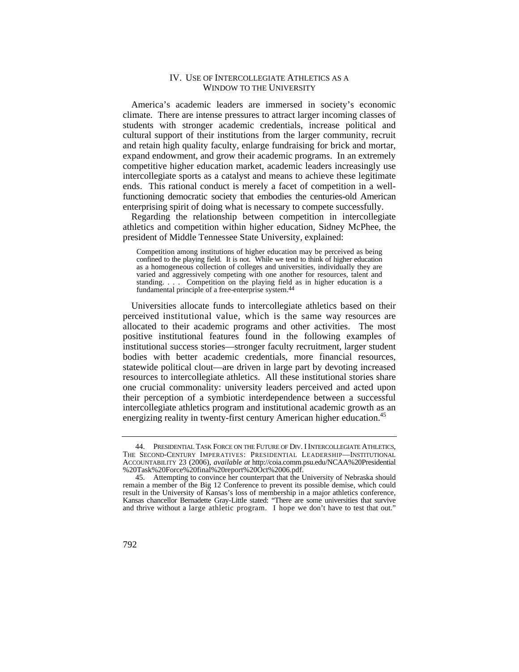#### IV. USE OF INTERCOLLEGIATE ATHLETICS AS A WINDOW TO THE UNIVERSITY

America's academic leaders are immersed in society's economic climate. There are intense pressures to attract larger incoming classes of students with stronger academic credentials, increase political and cultural support of their institutions from the larger community, recruit and retain high quality faculty, enlarge fundraising for brick and mortar, expand endowment, and grow their academic programs. In an extremely competitive higher education market, academic leaders increasingly use intercollegiate sports as a catalyst and means to achieve these legitimate ends. This rational conduct is merely a facet of competition in a wellfunctioning democratic society that embodies the centuries-old American enterprising spirit of doing what is necessary to compete successfully.

Regarding the relationship between competition in intercollegiate athletics and competition within higher education, Sidney McPhee, the president of Middle Tennessee State University, explained:

 confined to the playing field. It is not. While we tend to think of higher education Competition among institutions of higher education may be perceived as being as a homogeneous collection of colleges and universities, individually they are varied and aggressively competing with one another for resources, talent and standing. . . . Competition on the playing field as in higher education is a fundamental principle of a free-enterprise [system.44](https://system.44) 

 perceived institutional value, which is the same way resources are Universities allocate funds to intercollegiate athletics based on their allocated to their academic programs and other activities. The most positive institutional features found in the following examples of institutional success stories—stronger faculty recruitment, larger student bodies with better academic credentials, more financial resources, statewide political clout—are driven in large part by devoting increased resources to intercollegiate athletics. All these institutional stories share one crucial commonality: university leaders perceived and acted upon their perception of a symbiotic interdependence between a successful intercollegiate athletics program and institutional academic growth as an energizing reality in twenty-first century American higher education.<sup>45</sup>

 44. PRESIDENTIAL TASK FORCE ON THE FUTURE OF DIV. I INTERCOLLEGIATE ATHLETICS, THE SECOND-CENTURY IMPERATIVES: PRESIDENTIAL LEADERSHIP—INSTITUTIONAL ACCOUNTABILITY 23 (2006), *available at* <http://coia.comm.psu.edu/NCAA%20Presidential> %20Task%20Force%20final%20report%20Oct%2006.pdf.

 Kansas chancellor Bernadette Gray-Little stated: "There are some universities that survive and thrive without a large athletic program. I hope we don't have to test that out." 45. Attempting to convince her counterpart that the University of Nebraska should remain a member of the Big 12 Conference to prevent its possible demise, which could result in the University of Kansas's loss of membership in a major athletics conference,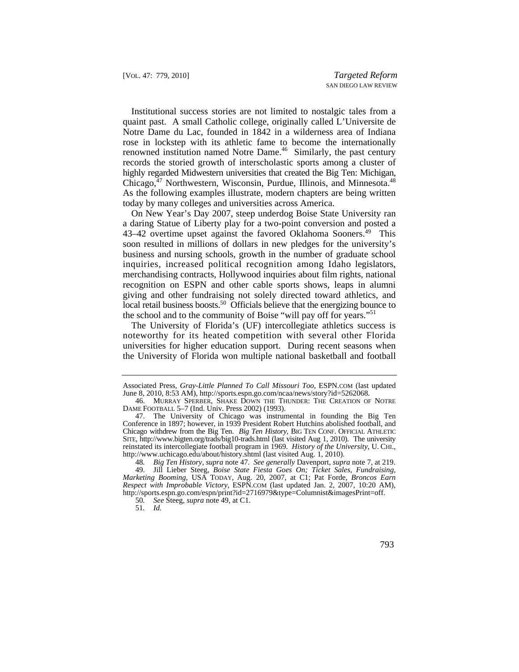Chicago,<sup>47</sup> Northwestern, Wisconsin, Purdue, Illinois, and Minnesota.<sup>48</sup> Institutional success stories are not limited to nostalgic tales from a quaint past. A small Catholic college, originally called L'Universite de Notre Dame du Lac, founded in 1842 in a wilderness area of Indiana rose in lockstep with its athletic fame to become the internationally renowned institution named Notre Dame.<sup>46</sup> Similarly, the past century records the storied growth of interscholastic sports among a cluster of highly regarded Midwestern universities that created the Big Ten: Michigan, As the following examples illustrate, modern chapters are being written today by many colleges and universities across America.

local retail business boosts.<sup>50</sup> Officials believe that the energizing bounce to On New Year's Day 2007, steep underdog Boise State University ran a daring Statue of Liberty play for a two-point conversion and posted a 43–42 overtime upset against the favored Oklahoma Sooners.<sup>49</sup> This soon resulted in millions of dollars in new pledges for the university's business and nursing schools, growth in the number of graduate school inquiries, increased political recognition among Idaho legislators, merchandising contracts, Hollywood inquiries about film rights, national recognition on ESPN and other cable sports shows, leaps in alumni giving and other fundraising not solely directed toward athletics, and the school and to the community of Boise "will pay off for years."<sup>51</sup>

The University of Florida's (UF) intercollegiate athletics success is noteworthy for its heated competition with several other Florida universities for higher education support. During recent seasons when the University of Florida won multiple national basketball and football

Associated Press, *Gray-Little Planned To Call Missouri Too*, [ESPN.COM](https://ESPN.COM) (last updated June 8, 2010, 8:53 AM), <http://sports.espn.go.com/ncaa/news/story?id=5262068>.

 <sup>46.</sup> MURRAY SPERBER, SHAKE DOWN THE THUNDER: THE CREATION OF NOTRE DAME FOOTBALL 5–7 (Ind. Univ. Press 2002) (1993).

 reinstated its intercollegiate football program in 1969. *History of the University*, U. CHI., 47. The University of Chicago was instrumental in founding the Big Ten Conference in 1897; however, in 1939 President Robert Hutchins abolished football, and Chicago withdrew from the Big Ten. *Big Ten History*, BIG TEN CONF. OFFICIAL ATHLETIC SITE, <http://www.bigten.org/trads/big10-trads.html> (last visited Aug 1, 2010). The university <http://www.uchicago.edu/about/history.shtml> (last visited Aug. 1, 2010).

<sup>48</sup>*. Big Ten History*, *supra* note 47. *See generally* Davenport, *supra* note 7, at 219.

 *Marketing Booming*, USA TODAY, Aug. 20, 2007, at C1; Pat Forde, *Broncos Earn*  49. Jill Lieber Steeg, *Boise State Fiesta Goes On; Ticket Sales, Fundraising, Respect with Improbable Victory*, [ESPN.COM](https://ESPN.COM) (last updated Jan. 2, 2007, 10:20 AM), [http://sports.espn.go.com/espn/print?id=2716979&type=Columnist&imagesPrint=off.](http://sports.espn.go.com/espn/print?id=2716979&type=Columnist&imagesPrint=off)

<sup>50</sup>*. See* Steeg, *supra* note 49, at C1.

<sup>51</sup>*. Id.*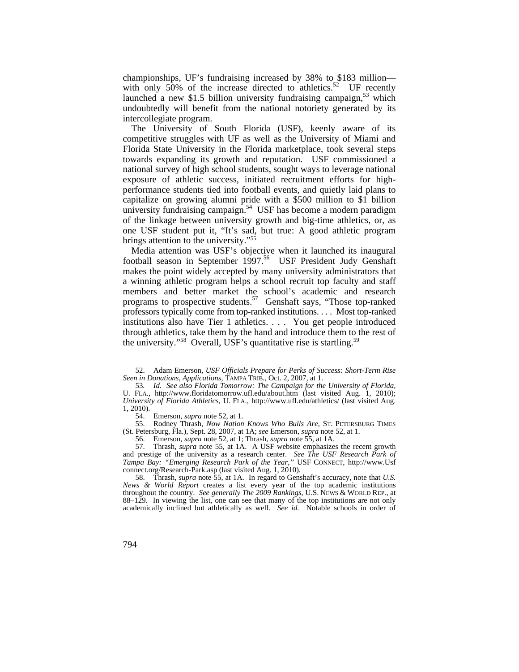championships, UF's fundraising increased by 38% to \$183 million with only  $50\%$  of the increase directed to [athletics.](https://athletics.52)<sup>52</sup> UF recently launched a new \$1.5 billion university fundraising campaign,  $5<sup>3</sup>$  which undoubtedly will benefit from the national notoriety generated by its intercollegiate program.

university fundraising campaign.<sup>54</sup> USF has become a modern paradigm The University of South Florida (USF), keenly aware of its competitive struggles with UF as well as the University of Miami and Florida State University in the Florida marketplace, took several steps towards expanding its growth and reputation. USF commissioned a national survey of high school students, sought ways to leverage national exposure of athletic success, initiated recruitment efforts for highperformance students tied into football events, and quietly laid plans to capitalize on growing alumni pride with a \$500 million to \$1 billion of the linkage between university growth and big-time athletics, or, as one USF student put it, "It's sad, but true: A good athletic program brings attention to the university."55

Media attention was USF's objective when it launched its inaugural football season in September  $1997$ <sup>56</sup> USF President Judy Genshaft makes the point widely accepted by many university administrators that a winning athletic program helps a school recruit top faculty and staff members and better market the school's academic and research programs to prospective [students.](https://students.57)<sup>57</sup> Genshaft says, "Those top-ranked professors typically come from top-ranked institutions. . . . Most top-ranked institutions also have Tier 1 athletics. . . . You get people introduced through athletics, take them by the hand and introduce them to the rest of the university."<sup>58</sup> Overall, USF's quantitative rise is startling.<sup>59</sup>

 <sup>52.</sup> Adam Emerson, *USF Officials Prepare for Perks of Success: Short-Term Rise Seen in Donations, Applications*, TAMPA TRIB., Oct. 2, 2007, at 1.

 53*. Id. See also Florida Tomorrow: The Campaign for the University of Florida*, U. FLA., <http://www.floridatomorrow.ufl.edu/about.htm>(last visited Aug. 1, 2010); *University of Florida Athletics*, U. FLA., [http://www.ufl.edu/athletics/](http://www.ufl.edu/athletics) (last visited Aug. 1, 2010).

 <sup>54.</sup> Emerson, *supra* note 52, at 1.

 <sup>55.</sup> Rodney Thrash, *Now Nation Knows Who Bulls Are*, ST. PETERSBURG TIMES (St. Petersburg, Fla.), Sept. 28, 2007, at 1A; *see* Emerson, *supra* note 52, at 1.

 <sup>56.</sup> Emerson, *supra* note 52, at 1; Thrash, *supra* note 55, at 1A.

 and prestige of the university as a research center. *See The USF Research Park of*  57. Thrash, *supra* note 55, at 1A. A USF website emphasizes the recent growth *Tampa Bay: "Emerging Research Park of the Year*,*"* USF CONNECT, <http://www.Usf> [connect.org/Research-Park.asp](https://connect.org/Research-Park.asp) (last visited Aug. 1, 2010).

 *News & World Report* creates a list every year of the top academic institutions 58. Thrash, *supra* note 55, at 1A. In regard to Genshaft's accuracy, note that *U.S.*  throughout the country. *See generally The 2009 Rankings*, U.S. NEWS & WORLD REP., at 88–129. In viewing the list, one can see that many of the top institutions are not only academically inclined but athletically as well. *See id.* Notable schools in order of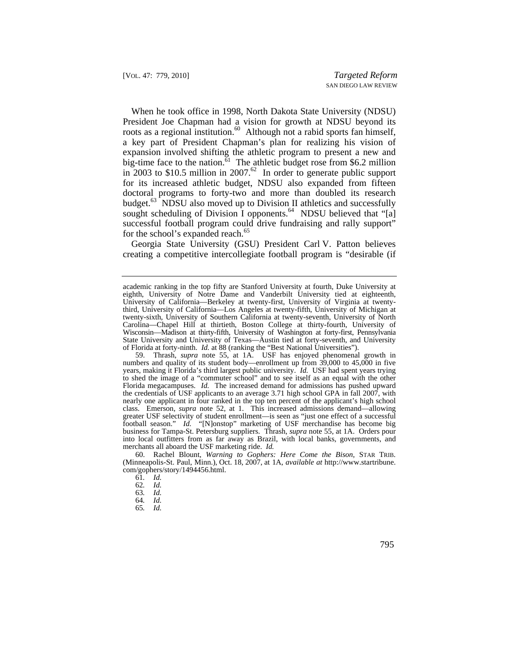for its increased athletic budget, NDSU also expanded from fifteen When he took office in 1998, North Dakota State University (NDSU) President Joe Chapman had a vision for growth at NDSU beyond its roots as a regional institution.<sup>60</sup> Although not a rabid sports fan himself, a key part of President Chapman's plan for realizing his vision of expansion involved shifting the athletic program to present a new and big-time face to the nation.<sup>61</sup> The athletic budget rose from \$6.2 million in 2003 to \$10.5 million in 2007.<sup>62</sup> In order to generate public support doctoral programs to forty-two and more than doubled its research budget.<sup>63</sup> NDSU also moved up to Division II athletics and successfully sought scheduling of Division I [opponents.](https://opponents.64)<sup>64</sup> NDSU believed that "[a] successful football program could drive fundraising and rally support" for the school's expanded [reach.](https://reach.65)<sup>65</sup>

Georgia State University (GSU) President Carl V. Patton believes creating a competitive intercollegiate football program is "desirable (if

 years, making it Florida's third largest public university. *Id.* USF had spent years trying 59. Thrash, *supra* note 55, at 1A. USF has enjoyed phenomenal growth in numbers and quality of its student body—enrollment up from 39,000 to 45,000 in five to shed the image of a "commuter school" and to see itself as an equal with the other Florida megacampuses. *Id.* The increased demand for admissions has pushed upward the credentials of USF applicants to an average 3.71 high school GPA in fall 2007, with nearly one applicant in four ranked in the top ten percent of the applicant's high school class. Emerson, *supra* note 52, at 1. This increased admissions demand—allowing greater USF selectivity of student enrollment—is seen as "just one effect of a successful football season." *Id.* "[N]onstop" marketing of USF merchandise has become big business for Tampa-St. Petersburg suppliers. Thrash, *supra* note 55, at 1A. Orders pour into local outfitters from as far away as Brazil, with local banks, governments, and merchants all aboard the USF marketing ride. *Id.*

 (Minneapolis-St. Paul, Minn.), Oct. 18, 2007, at 1A, *available at* [http://www.startribune.](http://www.startribune) 60. Rachel Blount, *Warning to Gophers: Here Come the Bison*, STAR TRIB. com/gophers/story/1494456.html.

 academic ranking in the top fifty are Stanford University at fourth, Duke University at eighth, University of Notre Dame and Vanderbilt University tied at eighteenth, University of California—Berkeley at twenty-first, University of Virginia at twentythird, University of California—Los Angeles at twenty-fifth, University of Michigan at twenty-sixth, University of Southern California at twenty-seventh, University of North Carolina—Chapel Hill at thirtieth, Boston College at thirty-fourth, University of Wisconsin—Madison at thirty-fifth, University of Washington at forty-first, Pennsylvania State University and University of Texas—Austin tied at forty-seventh, and University of Florida at forty-ninth. *Id.* at 88 (ranking the "Best National Universities").

<sup>61</sup>*. Id.* 

<sup>62</sup>*. Id.* 

<sup>63</sup>*. Id.* 

<sup>64</sup>*. Id.* 

<sup>65</sup>*. Id.*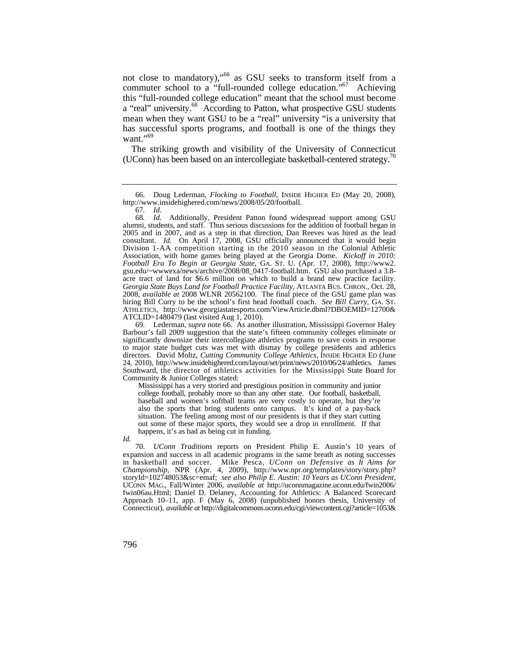not close to mandatory),"66 as GSU seeks to transform itself from a commuter school to a "full-rounded college education."<sup>67</sup> Achieving this "full-rounded college education" meant that the school must become a "real" university.<sup>68</sup> According to Patton, what prospective GSU students mean when they want GSU to be a "real" university "is a university that has successful sports programs, and football is one of the things they want $"$ <sup>.,69</sup>

 (UConn) has been based on an intercollegiate basketball-centered [strategy.70](https://strategy.70) The striking growth and visibility of the University of Connecticut

 Division 1-AA competition starting in the 2010 season in the Colonial Athletic *Football Era To Begin at Georgia State*, GA. ST. U. (Apr. 17, 2008), [http://www2.](http://www2) hiring Bill Curry to be the school's first head football coach. *See Bill Curry*, GA. ST. 68*. Id.* Additionally, President Patton found widespread support among GSU alumni, students, and staff. Thus serious discussions for the addition of football began in 2005 and in 2007, and as a step in that direction, Dan Reeves was hired as the lead consultant. *Id.* On April 17, 2008, GSU officially announced that it would begin Association, with home games being played at the Georgia Dome. *Kickoff in 2010:*  gsu.edu/~wwwexa/news/archive/2008/08\_0417-football.htm. GSU also purchased a 3.8 acre tract of land for \$6.6 million on which to build a brand new practice facility. *Georgia State Buys Land for Football Practice Facility*, ATLANTA BUS. CHRON., Oct. 28, 2008, *available at* 2008 WLNR 20562100. The final piece of the GSU game plan was ATHLETICS, <http://www.georgiastatesports.com/ViewArticle.dbml?DBOEMID=12700>& ATCLID=1480479 (last visited Aug 1, 2010).

 Southward, the director of athletics activities for the Mississippi State Board for 69. Lederman, *supra* note 66. As another illustration, Mississippi Governor Haley Barbour's fall 2009 suggestion that the state's fifteen community colleges eliminate or significantly downsize their intercollegiate athletics programs to save costs in response to major state budget cuts was met with dismay by college presidents and athletics directors. David Moltz, *Cutting Community College Athletics*, INSIDE HIGHER ED (June 24, 2010), [http://www.insidehighered.com/layout/set/print/news/2010/06/24/athletics.](http://www.insidehighered.com/layout/set/print/news/2010/06/24/athletics) James Community & Junior Colleges stated:

 college football, probably more so than any other state. Our football, basketball, Mississippi has a very storied and prestigious position in community and junior baseball and women's softball teams are very costly to operate, but they're also the sports that bring students onto campus. It's kind of a pay-back situation. The feeling among most of our presidents is that if they start cutting out some of these major sports, they would see a drop in enrollment. If that happens, it's as bad as being cut in funding.

*Id.*

 in basketball and soccer. Mike Pesca, *UConn on Defensive as It Aims for*  70. *UConn Traditions* reports on President Philip E. Austin's 10 years of expansion and success in all academic programs in the same breath as noting successes *Championship*, NPR (Apr. 4, 2009), [http://www.npr.org/templates/story/story.php?](http://www.npr.org/templates/story/story.php) storyId=102748053&sc=emaf; *see also Philip E. Austin: 10 Years as UConn President*, UCONN MAG., Fall/Winter 2006, *available at* [http://uconnmagazine.uconn.edu/fwin2006/](http://uconnmagazine.uconn.edu/fwin2006) fwin06au.Html; Daniel D. Delaney, Accounting for Athletics: A Balanced Scorecard Approach 10–11, app. F (May 6, 2008) (unpublished honors thesis, University of Connecticut), *available at* <http://digitalcommons.uconn.edu/cgi/viewcontent.cgi?article=1053>&

 <sup>66.</sup> Doug Lederman, *Flocking to Football*, INSIDE HIGHER ED (May 20, 2008), <http://www.insidehighered.com/news/2008/05/20/football>.

<sup>67</sup>*. Id.*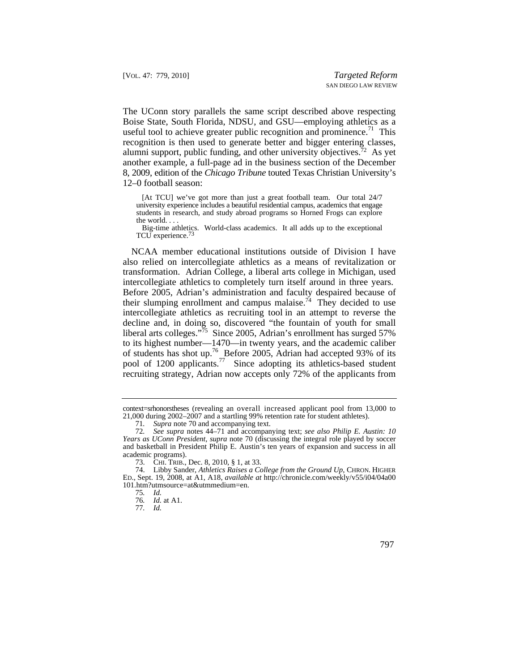The UConn story parallels the same script described above respecting Boise State, South Florida, NDSU, and GSU—employing athletics as a useful tool to achieve greater public recognition and prominence.<sup>71</sup> This recognition is then used to generate better and bigger entering classes, alumni support, public funding, and other university objectives.<sup>72</sup> As yet another example, a full-page ad in the business section of the December 8, 2009, edition of the *Chicago Tribune* touted Texas Christian University's 12–0 football season:

 university experience includes a beautiful residential campus, academics that engage [At TCU] we've got more than just a great football team. Our total 24/7 students in research, and study abroad programs so Horned Frogs can explore the world. . . .

Big-time athletics. World-class academics. It all adds up to the exceptional TCU experience.<sup>73</sup>

their slumping enrollment and campus malaise.<sup>74</sup> They decided to use NCAA member educational institutions outside of Division I have also relied on intercollegiate athletics as a means of revitalization or transformation. Adrian College, a liberal arts college in Michigan, used intercollegiate athletics to completely turn itself around in three years. Before 2005, Adrian's administration and faculty despaired because of intercollegiate athletics as recruiting tool in an attempt to reverse the decline and, in doing so, discovered "the fountain of youth for small liberal arts colleges."<sup>75</sup> Since 2005, Adrian's enrollment has surged 57% to its highest number—1470—in twenty years, and the academic caliber of students has shot up.<sup>76</sup> Before 2005, Adrian had accepted 93% of its pool of 1200 [applicants.](https://applicants.77)<sup>77</sup> Since adopting its athletics-based student recruiting strategy, Adrian now accepts only 72% of the applicants from

context=srhonorstheses (revealing an overall increased applicant pool from 13,000 to 21,000 during 2002–2007 and a startling 99% retention rate for student athletes).

<sup>71</sup>*. Supra* note 70 and accompanying text.

<sup>72</sup>*. See supra* notes 44–71 and accompanying text; *see also Philip E. Austin: 10 Years as UConn President*, *supra* note 70 (discussing the integral role played by soccer and basketball in President Philip E. Austin's ten years of expansion and success in all academic programs).

 <sup>73.</sup> CHI. TRIB., Dec. 8, 2010, § 1, at 33.

 74. Libby Sander, *Athletics Raises a College from the Ground Up*, CHRON. HIGHER ED., Sept. 19, 2008, at A1, A18, *available at* <http://chronicle.com/weekly/v55/i04/04a00> 101.htm?utmsource=at&utmmedium=en.

<sup>75</sup>*. Id.* 

<sup>76</sup>*. Id.* at A1.

<sup>77</sup>*. Id.*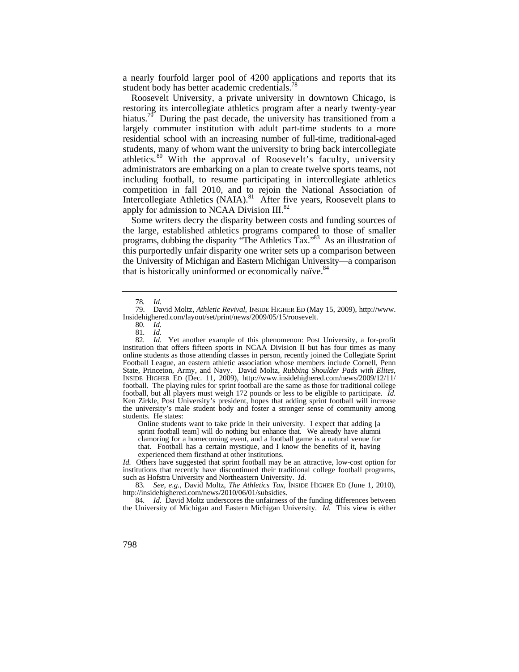a nearly fourfold larger pool of 4200 applications and reports that its student body has better academic [credentials.](https://credentials.78)<sup>78</sup>

Roosevelt University, a private university in downtown Chicago, is restoring its intercollegiate athletics program after a nearly twenty-year [hiatus.](https://hiatus.79)<sup>79</sup> During the past decade, the university has transitioned from a largely commuter institution with adult part-time students to a more residential school with an increasing number of full-time, traditional-aged students, many of whom want the university to bring back intercollegiate [athletics.](https://athletics.80)<sup>80</sup> With the approval of Roosevelt's faculty, university administrators are embarking on a plan to create twelve sports teams, not including football, to resume participating in intercollegiate athletics competition in fall 2010, and to rejoin the National Association of Intercollegiate Athletics ([NAIA\).](https://NAIA).81)<sup>81</sup> After five years, Roosevelt plans to apply for admission to NCAA Division III.<sup>82</sup>

Some writers decry the disparity between costs and funding sources of the large, established athletics programs compared to those of smaller programs, dubbing the disparity "The Athletics Tax."83 As an illustration of this purportedly unfair disparity one writer sets up a comparison between the University of Michigan and Eastern Michigan University—a comparison that is historically uninformed or economically naïve. $84$ 

 sprint football team] will do nothing but enhance that. We already have alumni Online students want to take pride in their university. I expect that adding [a clamoring for a homecoming event, and a football game is a natural venue for that. Football has a certain mystique, and I know the benefits of it, having experienced them firsthand at other institutions.

 such as Hofstra University and Northeastern University. *Id. Id.* Others have suggested that sprint football may be an attractive, low-cost option for institutions that recently have discontinued their traditional college football programs,

83*. See, e.g.*, David Moltz, *The Athletics Tax,* INSIDE HIGHER ED (June 1, 2010), <http://insidehighered.com/news/2010/06/01/subsidies>.

84. *Id.* David Moltz underscores the unfairness of the funding differences between the University of Michigan and Eastern Michigan University. *Id.* This view is either

<sup>78</sup>*. Id.*

 <sup>79.</sup> David Moltz, *Athletic Revival*, INSIDE HIGHER ED (May 15, 2009), [http://www.](http://www) [Insidehighered.com/layout/set/print/news/2009/05/15/roosevelt](https://Insidehighered.com/layout/set/print/news/2009/05/15/roosevelt).

<sup>80</sup>*. Id.* 

<sup>81</sup>*. Id.* 

 82*. Id.* Yet another example of this phenomenon: Post University, a for-profit the university's male student body and foster a stronger sense of community among institution that offers fifteen sports in NCAA Division II but has four times as many online students as those attending classes in person, recently joined the Collegiate Sprint Football League, an eastern athletic association whose members include Cornell, Penn State, Princeton, Army, and Navy. David Moltz, *Rubbing Shoulder Pads with Elites*, INSIDE HIGHER ED (Dec. 11, 2009), [http://www.insidehighered.com/news/2009/12/11/](http://www.insidehighered.com/news/2009/12/11) football. The playing rules for sprint football are the same as those for traditional college football, but all players must weigh 172 pounds or less to be eligible to participate. *Id.*  Ken Zirkle, Post University's president, hopes that adding sprint football will increase students. He states: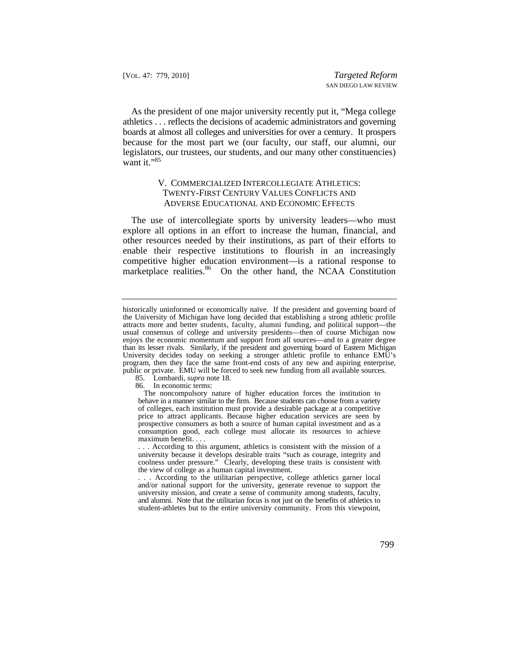boards at almost all colleges and universities for over a century. It prospers As the president of one major university recently put it, "Mega college athletics . . . reflects the decisions of academic administrators and governing because for the most part we (our faculty, our staff, our alumni, our legislators, our trustees, our students, and our many other constituencies) want it."85

## V. COMMERCIALIZED INTERCOLLEGIATE ATHLETICS: TWENTY-FIRST CENTURY VALUES CONFLICTS AND ADVERSE EDUCATIONAL AND ECONOMIC EFFECTS

 The use of intercollegiate sports by university leaders—who must explore all options in an effort to increase the human, financial, and other resources needed by their institutions, as part of their efforts to enable their respective institutions to flourish in an increasingly competitive higher education environment—is a rational response to marketplace [realities.](https://realities.86)<sup>86</sup> On the other hand, the NCAA Constitution

- 85. Lombardi, *supra* note 18.
- 86. In economic terms:

 behave in a manner similar to the firm. Because students can choose from a variety The noncompulsory nature of higher education forces the institution to of colleges, each institution must provide a desirable package at a competitive price to attract applicants. Because higher education services are seen by prospective consumers as both a source of human capital investment and as a consumption good, each college must allocate its resources to achieve maximum benefit. . . .

. . . According to this argument, athletics is consistent with the mission of a university because it develops desirable traits "such as courage, integrity and coolness under pressure." Clearly, developing these traits is consistent with the view of college as a human capital investment.

 . . . According to the utilitarian perspective, college athletics garner local and alumni. Note that the utilitarian focus is not just on the benefits of athletics to and/or national support for the university, generate revenue to support the university mission, and create a sense of community among students, faculty, student-athletes but to the entire university community. From this viewpoint,

historically uninformed or economically naïve. If the president and governing board of the University of Michigan have long decided that establishing a strong athletic profile attracts more and better students, faculty, alumni funding, and political support—the usual consensus of college and university presidents—then of course Michigan now enjoys the economic momentum and support from all sources—and to a greater degree than its lesser rivals. Similarly, if the president and governing board of Eastern Michigan University decides today on seeking a stronger athletic profile to enhance EMU's program, then they face the same front-end costs of any new and aspiring enterprise, public or private. EMU will be forced to seek new funding from all available sources.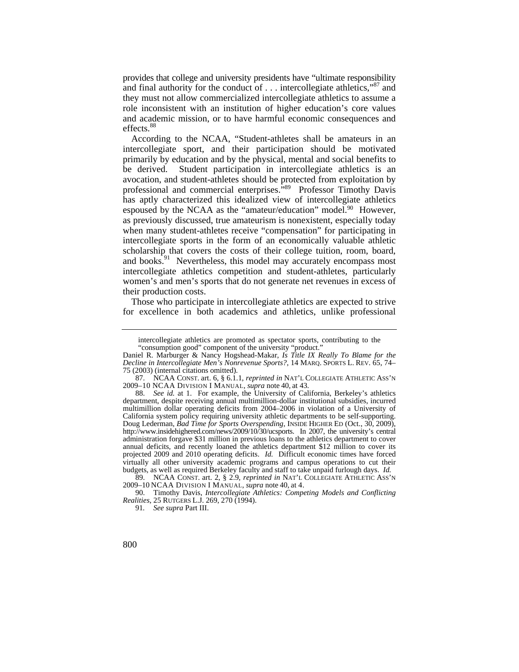provides that college and university presidents have "ultimate responsibility and final authority for the conduct of  $\ldots$  intercollegiate athletics,"<sup>87</sup> and they must not allow commercialized intercollegiate athletics to assume a role inconsistent with an institution of higher education's core values and academic mission, or to have harmful economic consequences and [effects.](https://effects.88)<sup>88</sup>

 primarily by education and by the physical, mental and social benefits to professional and commercial enterprises."<sup>89</sup> Professor Timothy Davis According to the NCAA, "Student-athletes shall be amateurs in an intercollegiate sport, and their participation should be motivated be derived. Student participation in intercollegiate athletics is an avocation, and student-athletes should be protected from exploitation by has aptly characterized this idealized view of intercollegiate athletics espoused by the NCAA as the "amateur/education" model.<sup>90</sup> However, as previously discussed, true amateurism is nonexistent, especially today when many student-athletes receive "compensation" for participating in intercollegiate sports in the form of an economically valuable athletic scholarship that covers the costs of their college tuition, room, board, and books.<sup>91</sup> Nevertheless, this model may accurately encompass most intercollegiate athletics competition and student-athletes, particularly women's and men's sports that do not generate net revenues in excess of their production costs.

Those who participate in intercollegiate athletics are expected to strive for excellence in both academics and athletics, unlike professional

intercollegiate athletics are promoted as spectator sports, contributing to the "consumption good" component of the university "product."

Daniel R. Marburger & Nancy Hogshead-Makar, *Is Title IX Really To Blame for the Decline in Intercollegiate Men's Nonrevenue Sports?*, 14 MARQ. SPORTS L. REV. 65, 74– 75 (2003) (internal citations omitted).

 2009–10 NCAA DIVISION I MANUAL, *supra* note 40, at 43. 87. NCAA CONST. art. 6, § 6.1.1, *reprinted in* NAT'L COLLEGIATE ATHLETIC ASS'N

 budgets, as well as required Berkeley faculty and staff to take unpaid furlough days. *Id.*  88. *See id.* at 1. For example, the University of California, Berkeley's athletics department, despite receiving annual multimillion-dollar institutional subsidies, incurred multimillion dollar operating deficits from 2004–2006 in violation of a University of California system policy requiring university athletic departments to be self-supporting. Doug Lederman, *Bad Time for Sports Overspending*, INSIDE HIGHER ED (Oct., 30, 2009), <http://www.insidehighered.com/news/2009/10/30/ucsports>. In 2007, the university's central administration forgave \$31 million in previous loans to the athletics department to cover annual deficits, and recently loaned the athletics department \$12 million to cover its projected 2009 and 2010 operating deficits. *Id.* Difficult economic times have forced virtually all other university academic programs and campus operations to cut their

 2009–10 NCAA DIVISION I MANUAL, *supra* note 40, at 4. 89. NCAA CONST. art. 2, § 2.9, *reprinted in* NAT'L COLLEGIATE ATHLETIC ASS'N

 <sup>90.</sup> Timothy Davis, *Intercollegiate Athletics: Competing Models and Conflicting Realities*, 25 RUTGERS L.J. 269, 270 (1994).

<sup>91</sup>*. See supra* Part III.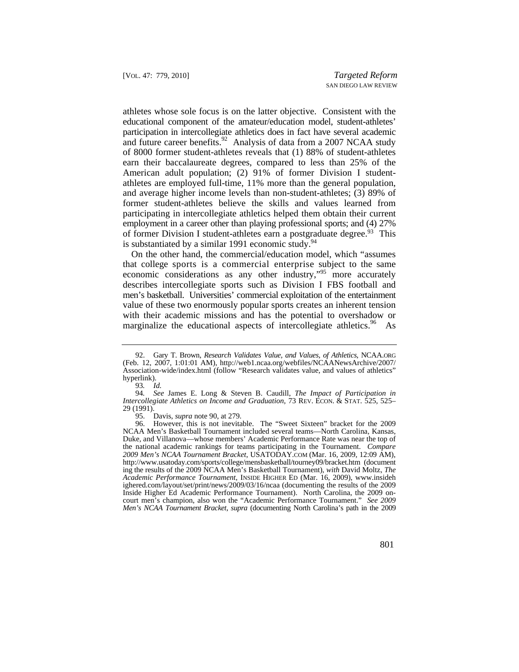athletes whose sole focus is on the latter objective. Consistent with the educational component of the amateur/education model, student-athletes' participation in intercollegiate athletics does in fact have several academic and future career benefits.<sup>92</sup> Analysis of data from a 2007 NCAA study of 8000 former student-athletes reveals that (1) 88% of student-athletes earn their baccalaureate degrees, compared to less than 25% of the American adult population; (2) 91% of former Division I studentathletes are employed full-time, 11% more than the general population, and average higher income levels than non-student-athletes; (3) 89% of former student-athletes believe the skills and values learned from participating in intercollegiate athletics helped them obtain their current employment in a career other than playing professional sports; and (4) 27% of former Division I student-athletes earn a postgraduate degree.<sup>93</sup> This is substantiated by a similar 1991 economic study.<sup>94</sup>

marginalize the educational aspects of intercollegiate [athletics.](https://athletics.96)<sup>96</sup> As On the other hand, the commercial/education model, which "assumes that college sports is a commercial enterprise subject to the same economic considerations as any other industry,"95 more accurately describes intercollegiate sports such as Division I FBS football and men's basketball. Universities' commercial exploitation of the entertainment value of these two enormously popular sports creates an inherent tension with their academic missions and has the potential to overshadow or

 (Feb. 12, 2007, 1:01:01 AM), [http://web1.ncaa.org/webfiles/NCAANewsArchive/2007/](http://web1.ncaa.org/webfiles/NCAANewsArchive/2007) 92. Gary T. Brown, *Research Validates Value, and Values, of Athletics*, [NCAA.ORG](https://NCAA.ORG) Association-wide/index.html (follow "Research validates value, and values of athletics" hyperlink).

<sup>93</sup>*. Id.* 

 *Intercollegiate Athletics on Income and Graduation*, 73 REV. ECON. & STAT. 525, 525– 94*. See* James E. Long & Steven B. Caudill, *The Impact of Participation in*  29 (1991).

 <sup>95.</sup> Davis, *supra* note 90, at 279.

 ing the results of the 2009 NCAA Men's Basketball Tournament), *with* David Moltz, *The*  court men's champion, also won the "Academic Performance Tournament." *See 2009*  96. However, this is not inevitable. The "Sweet Sixteen" bracket for the 2009 NCAA Men's Basketball Tournament included several teams—North Carolina, Kansas, Duke, and Villanova—whose members' Academic Performance Rate was near the top of the national academic rankings for teams participating in the Tournament. *Compare 2009 Men's NCAA Tournament Bracket*, [USATODAY.COM](https://USATODAY.COM) (Mar. 16, 2009, 12:09 AM), <http://www.usatoday.com/sports/college/mensbasketball/tourney09/bracket.htm> (document *Academic Performance Tournament*, INSIDE HIGHER ED (Mar. 16, 2009), <www.insideh> [ighered.com/layout/set/print/news/2009/03/16/ncaa](https://ighered.com/layout/set/print/news/2009/03/16/ncaa) (documenting the results of the 2009 Inside Higher Ed Academic Performance Tournament). North Carolina, the 2009 on-*Men's NCAA Tournament Bracket*, *supra* (documenting North Carolina's path in the 2009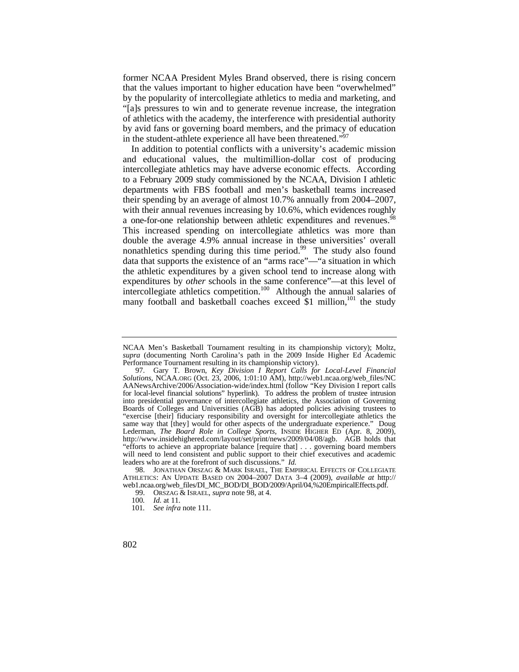former NCAA President Myles Brand observed, there is rising concern that the values important to higher education have been "overwhelmed" by the popularity of intercollegiate athletics to media and marketing, and "[a]s pressures to win and to generate revenue increase, the integration of athletics with the academy, the interference with presidential authority by avid fans or governing board members, and the primacy of education in the student-athlete experience all have been threatened."<sup>97</sup>

In addition to potential conflicts with a university's academic mission and educational values, the multimillion-dollar cost of producing intercollegiate athletics may have adverse economic effects. According to a February 2009 study commissioned by the NCAA, Division I athletic departments with FBS football and men's basketball teams increased their spending by an average of almost 10.7% annually from 2004–2007, with their annual revenues increasing by 10.6%, which evidences roughly a one-for-one relationship between athletic expenditures and revenues.<sup>98</sup> This increased spending on intercollegiate athletics was more than double the average 4.9% annual increase in these universities' overall nonathletics spending during this time period.<sup>99</sup> The study also found data that supports the existence of an "arms race"—"a situation in which the athletic expenditures by a given school tend to increase along with expenditures by *other* schools in the same conference"—at this level of intercollegiate athletics competition.<sup>100</sup> Although the annual salaries of many football and basketball coaches exceed  $\S$ 1 million,<sup>101</sup> the study

NCAA Men's Basketball Tournament resulting in its championship victory); Moltz, *supra* (documenting North Carolina's path in the 2009 Inside Higher Ed Academic Performance Tournament resulting in its championship victory).

<sup>97.</sup> Gary T. Brown, *Key Division I Report Calls for Local-Level Financial Solutions*, [NCAA.ORG](https://NCAA.ORG) (Oct. 23, 2006, 1:01:10 AM), [http://web1.ncaa.org/web\\_files/NC](http://web1.ncaa.org/web_files/NC) AANewsArchive/2006/Association-wide/index.html (follow "Key Division I report calls for local-level financial solutions" hyperlink). To address the problem of trustee intrusion into presidential governance of intercollegiate athletics, the Association of Governing Boards of Colleges and Universities (AGB) has adopted policies advising trustees to "exercise [their] fiduciary responsibility and oversight for intercollegiate athletics the same way that [they] would for other aspects of the undergraduate experience." Doug Lederman, *The Board Role in College Sports,* INSIDE HIGHER ED (Apr. 8, 2009), [http://www.insidehighered.com/layout/set/print/news/2009/04/08/agb.](http://www.insidehighered.com/layout/set/print/news/2009/04/08/agb) AGB holds that "efforts to achieve an appropriate balance [require that] . . . governing board members will need to lend consistent and public support to their chief executives and academic leaders who are at the forefront of such discussions." *Id.*

 <sup>98.</sup> JONATHAN ORSZAG & MARK ISRAEL, THE EMPIRICAL EFFECTS OF COLLEGIATE ATHLETICS: AN UPDATE BASED ON 2004–2007 DATA 3–4 (2009), *available at* http:// web1.ncaa.org/web\_files/DI\_MC\_BOD/DI\_BOD/2009/April/04,%20EmpiricalEffects.pdf.

 <sup>99.</sup> ORSZAG & ISRAEL, *supra* note 98, at 4.

<sup>100</sup>*. Id.* at 11.

<sup>101</sup>*. See infra* note 111.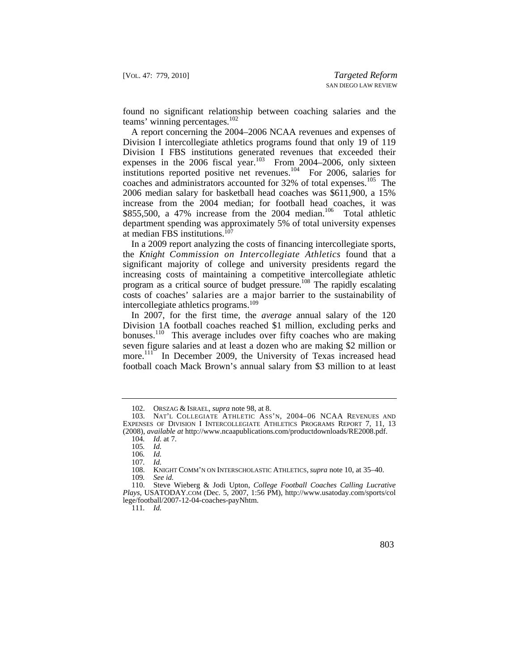found no significant relationship between coaching salaries and the teams' winning percentages.<sup>102</sup>

coaches and administrators accounted for 32% of total expenses.<sup>105</sup> The A report concerning the 2004–2006 NCAA revenues and expenses of Division I intercollegiate athletics programs found that only 19 of 119 Division I FBS institutions generated revenues that exceeded their expenses in the 2006 fiscal year.<sup>103</sup> From 2004–2006, only sixteen institutions reported positive net revenues.104 For 2006, salaries for 2006 median salary for basketball head coaches was \$611,900, a 15% increase from the 2004 median; for football head coaches, it was \$855,500, a 47% increase from the 2004 median.<sup>106</sup> Total athletic department spending was approximately 5% of total university expenses at median FBS institutions.<sup>107</sup>

 costs of coaches' salaries are a major barrier to the sustainability of In a 2009 report analyzing the costs of financing intercollegiate sports, the *Knight Commission on Intercollegiate Athletics* found that a significant majority of college and university presidents regard the increasing costs of maintaining a competitive intercollegiate athletic program as a critical source of budget pressure.<sup>108</sup> The rapidly escalating intercollegiate athletics programs.<sup>109</sup>

In 2007, for the first time, the *average* annual salary of the 120 Division 1A football coaches reached \$1 million, excluding perks and bonuses.<sup>110</sup> This average includes over fifty coaches who are making seven figure salaries and at least a dozen who are making \$2 million or more.<sup>111</sup> In December 2009, the University of Texas increased head football coach Mack Brown's annual salary from \$3 million to at least

111*. Id.* 

 <sup>102.</sup> ORSZAG & ISRAEL, *supra* note 98, at 8.

 EXPENSES OF DIVISION I INTERCOLLEGIATE ATHLETICS PROGRAMS REPORT 7, 11, 13 103. NAT'L COLLEGIATE ATHLETIC ASS'N, 2004–06 NCAA REVENUES AND (2008), *available at* <http://www.ncaapublications.com/productdownloads/RE2008.pdf>.

<sup>104</sup>*. Id.* at 7.

<sup>105</sup>*. Id.* 

<sup>106</sup>*. Id.* 

<sup>107</sup>*. Id.*

 <sup>108.</sup> KNIGHT COMM'N ON INTERSCHOLASTIC ATHLETICS, *supra* note 10, at 35–40. 109*. See id.* 

<sup>110.</sup> Steve Wieberg & Jodi Upton, *College Football Coaches Calling Lucrative Plays*, [USATODAY.COM](https://USATODAY.COM) (Dec. 5, 2007, 1:56 PM), <http://www.usatoday.com/sports/col> lege/football/2007-12-04-coaches-payNhtm.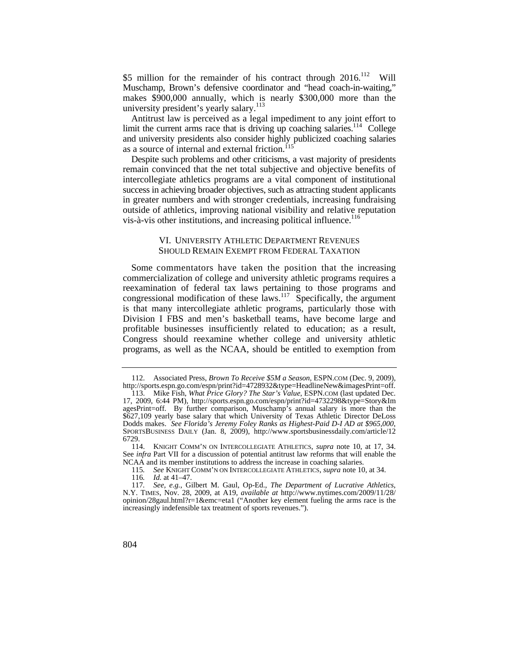\$5 million for the remainder of his contract through 2016.<sup>112</sup> Will Muschamp, Brown's defensive coordinator and "head coach-in-waiting," makes \$900,000 annually, which is nearly \$300,000 more than the university president's yearly salary.<sup>113</sup>

Antitrust law is perceived as a legal impediment to any joint effort to limit the current arms race that is driving up coaching salaries.<sup>114</sup> College and university presidents also consider highly publicized coaching salaries as a source of internal and external friction.<sup>115</sup>

Despite such problems and other criticisms, a vast majority of presidents remain convinced that the net total subjective and objective benefits of intercollegiate athletics programs are a vital component of institutional success in achieving broader objectives, such as attracting student applicants in greater numbers and with stronger credentials, increasing fundraising outside of athletics, improving national visibility and relative reputation vis-à-vis other institutions, and increasing political influence.<sup>116</sup>

## VI. UNIVERSITY ATHLETIC DEPARTMENT REVENUES SHOULD REMAIN EXEMPT FROM FEDERAL TAXATION

Some commentators have taken the position that the increasing commercialization of college and university athletic programs requires a reexamination of federal tax laws pertaining to those programs and congressional modification of these  $\hat{a}$ <sub>kws</sub>.<sup>117</sup> Specifically, the argument is that many intercollegiate athletic programs, particularly those with Division I FBS and men's basketball teams, have become large and profitable businesses insufficiently related to education; as a result, Congress should reexamine whether college and university athletic programs, as well as the NCAA, should be entitled to exemption from

 <sup>112.</sup> Associated Press, *Brown To Receive \$5M a Season*, [ESPN.COM](https://ESPN.COM) (Dec. 9, 2009), [http://sports.espn.go.com/espn/print?id=4728932&type=HeadlineNew&imagesPrint=off.](http://sports.espn.go.com/espn/print?id=4728932&type=HeadlineNew&imagesPrint=off)

 <sup>113.</sup> Mike Fish, *What Price Glory? The Star's Value*, [ESPN.COM](https://ESPN.COM) (last updated Dec. 17, 2009, 6:44 PM), <http://sports.espn.go.com/espn/print?id=4732298&type=Story&Im> agesPrint=off. By further comparison, Muschamp's annual salary is more than the \$627,109 yearly base salary that which University of Texas Athletic Director DeLoss Dodds makes. *See Florida's Jeremy Foley Ranks as Highest-Paid D-I AD at \$965,000*, SPORTSBUSINESS DAILY (Jan. 8, 2009), <http://www.sportsbusinessdaily.com/article/12> 6729.

 <sup>114.</sup> KNIGHT COMM'N ON INTERCOLLEGIATE ATHLETICS, *supra* note 10, at 17, 34. See *infra* Part VII for a discussion of potential antitrust law reforms that will enable the NCAA and its member institutions to address the increase in coaching salaries.

<sup>115</sup>*. See* KNIGHT COMM'N ON INTERCOLLEGIATE ATHLETICS, *supra* note 10, at 34.

<sup>116</sup>*. Id.* at 41–47.

<sup>117</sup>*. See, e.g.*, Gilbert M. Gaul, Op-Ed., *The Department of Lucrative Athletics*, N.Y. TIMES, Nov. 28, 2009, at A19, *available at* [http://www.nytimes.com/2009/11/28/](http://www.nytimes.com/2009/11/28) opinion/28gaul.html?r=1&emc=eta1 ("Another key element fueling the arms race is the increasingly indefensible tax treatment of sports revenues.").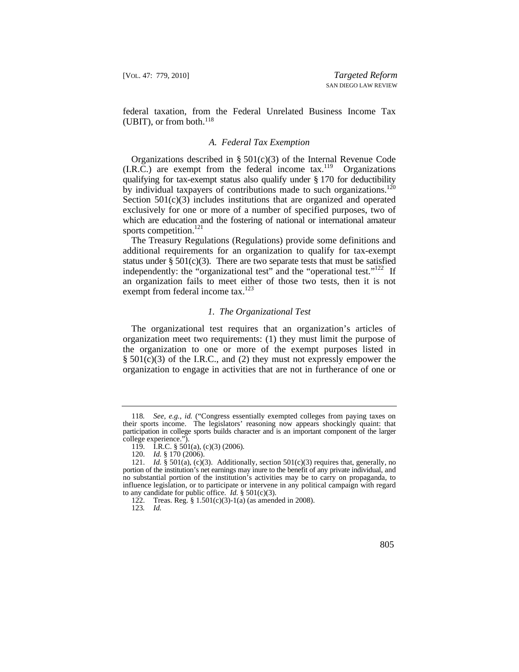federal taxation, from the Federal Unrelated Business Income Tax (UBIT), or from both. $^{118}$ 

#### *A. Federal Tax Exemption*

 qualifying for tax-exempt status also qualify under § 170 for deductibility by individual taxpayers of contributions made to such organizations.<sup>120</sup> Organizations described in §  $501(c)(3)$  of the Internal Revenue Code  $(I.R.\tilde{C})$  are exempt from the federal income tax.<sup>119</sup> Organizations Section 501(c)(3) includes institutions that are organized and operated exclusively for one or more of a number of specified purposes, two of which are education and the fostering of national or international amateur sports competition.<sup>121</sup>

The Treasury Regulations (Regulations) provide some definitions and additional requirements for an organization to qualify for tax-exempt status under  $\S 501(c)(3)$ . There are two separate tests that must be satisfied independently: the "organizational test" and the "operational test."<sup>122</sup> If an organization fails to meet either of those two tests, then it is not exempt from federal income tax.<sup>123</sup>

## *1. The Organizational Test*

The organizational test requires that an organization's articles of organization meet two requirements: (1) they must limit the purpose of the organization to one or more of the exempt purposes listed in  $\S$  501(c)(3) of the I.R.C., and (2) they must not expressly empower the organization to engage in activities that are not in furtherance of one or

<sup>118</sup>*. See, e.g.*, *id.* ("Congress essentially exempted colleges from paying taxes on their sports income. The legislators' reasoning now appears shockingly quaint: that participation in college sports builds character and is an important component of the larger college experience.").

<sup>119.</sup> I.R.C. § 501(a), (c)(3) (2006).

<sup>120.</sup> *Id.* § 170 (2006).

 portion of the institution's net earnings may inure to the benefit of any private individual, and 121. *Id.* § 501(a), (c)(3). Additionally, section 501(c)(3) requires that, generally, no no substantial portion of the institution's activities may be to carry on propaganda, to influence legislation, or to participate or intervene in any political campaign with regard to any candidate for public office. *Id.* § 501(c)(3).

<sup>122.</sup> Treas. Reg. § 1.501(c)(3)-1(a) (as amended in 2008).

<sup>123</sup>*. Id.*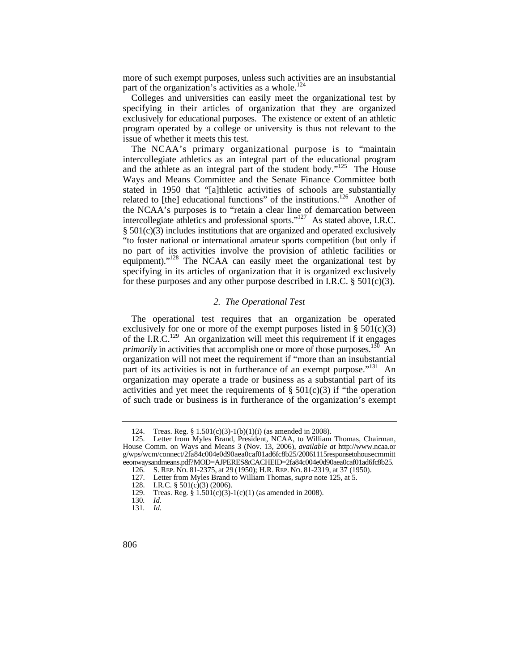more of such exempt purposes, unless such activities are an insubstantial part of the organization's activities as a whole.<sup>124</sup>

Colleges and universities can easily meet the organizational test by specifying in their articles of organization that they are organized exclusively for educational purposes. The existence or extent of an athletic program operated by a college or university is thus not relevant to the issue of whether it meets this test.

related to [the] educational functions" of the institutions.<sup>126</sup> Another of "to foster national or international amateur sports competition (but only if no part of its activities involve the provision of athletic facilities or equipment)."<sup>128</sup> The NCAA can easily meet the organizational test by The NCAA's primary organizational purpose is to "maintain intercollegiate athletics as an integral part of the educational program and the athlete as an integral part of the student body."<sup>125</sup> The House Ways and Means Committee and the Senate Finance Committee both stated in 1950 that "[a]thletic activities of schools are substantially the NCAA's purposes is to "retain a clear line of demarcation between intercollegiate athletics and professional sports."127 As stated above, I.R.C. § 501(c)(3) includes institutions that are organized and operated exclusively specifying in its articles of organization that it is organized exclusively for these purposes and any other purpose described in I.R.C.  $\S$  501(c)(3).

#### *2. The Operational Test*

*primarily* in activities that accomplish one or more of those purposes.<sup>130</sup> An part of its activities is not in furtherance of an exempt purpose."<sup>131</sup> An The operational test requires that an organization be operated exclusively for one or more of the exempt purposes listed in  $\S 501(c)(3)$ of the I.R.C.<sup>129</sup> An organization will meet this requirement if it engages organization will not meet the requirement if "more than an insubstantial organization may operate a trade or business as a substantial part of its activities and yet meet the requirements of  $\S 501(c)(3)$  if "the operation of such trade or business is in furtherance of the organization's exempt

 <sup>124.</sup> Treas. Reg. § 1.501(c)(3)-1(b)(1)(i) (as amended in 2008).

<sup>125.</sup> Letter from Myles Brand, President, NCAA, to William Thomas, Chairman, House Comm. on Ways and Means 3 (Nov. 13, 2006), *available at* <http://www.ncaa.or> g/wps/wcm/connect/2fa84c004e0d90aea0caf01ad6fc8b25/20061115responsetohousecmmitt eeonwaysandmeans.pdf?MOD=AJPERES&CACHEID=2fa84c004e0d90aea0caf01ad6fc8b25.

 126. S. REP. NO. 81-2375, at 29 (1950); H.R. REP. NO. 81-2319, at 37 (1950).

<sup>127.</sup> Letter from Myles Brand to William Thomas, *supra* note 125, at 5.

<sup>128.</sup> I.R.C. § 501(c)(3) (2006).

<sup>129.</sup> Treas. Reg. § 1.501(c)(3)-1(c)(1) (as amended in 2008).

<sup>130</sup>*. Id.* 

<sup>131</sup>*. Id.*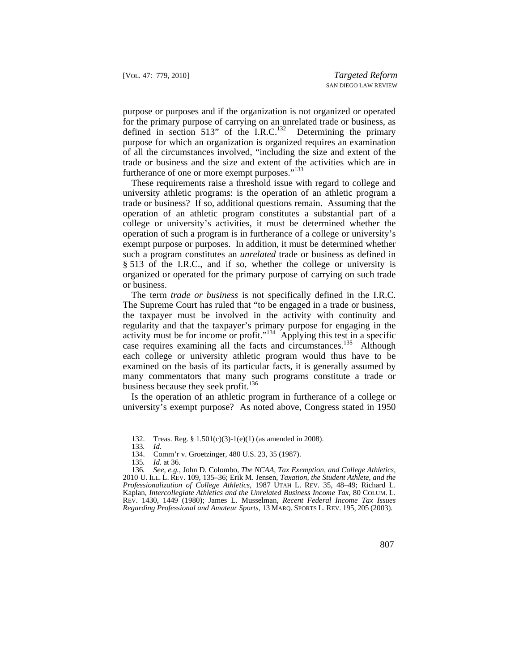purpose or purposes and if the organization is not organized or operated for the primary purpose of carrying on an unrelated trade or business, as defined in section 513" of the  $I.R.C.<sup>132</sup>$  Determining the primary purpose for which an organization is organized requires an examination of all the circumstances involved, "including the size and extent of the trade or business and the size and extent of the activities which are in furtherance of one or more exempt purposes."<sup>133</sup>

These requirements raise a threshold issue with regard to college and university athletic programs: is the operation of an athletic program a trade or business? If so, additional questions remain. Assuming that the operation of an athletic program constitutes a substantial part of a college or university's activities, it must be determined whether the operation of such a program is in furtherance of a college or university's exempt purpose or purposes. In addition, it must be determined whether such a program constitutes an *unrelated* trade or business as defined in § 513 of the I.R.C., and if so, whether the college or university is organized or operated for the primary purpose of carrying on such trade or business.

The term *trade or business* is not specifically defined in the I.R.C. The Supreme Court has ruled that "to be engaged in a trade or business, the taxpayer must be involved in the activity with continuity and regularity and that the taxpayer's primary purpose for engaging in the activity must be for income or profit."134 Applying this test in a specific case requires examining all the facts and circumstances.<sup>135</sup> Although each college or university athletic program would thus have to be examined on the basis of its particular facts, it is generally assumed by many commentators that many such programs constitute a trade or business because they seek profit.<sup>136</sup>

Is the operation of an athletic program in furtherance of a college or university's exempt purpose? As noted above, Congress stated in 1950

 <sup>132.</sup> Treas. Reg. § 1.501(c)(3)-1(e)(1) (as amended in 2008).

<sup>133</sup>*. Id.* 

<sup>134.</sup> Comm'r v. Groetzinger, 480 U.S. 23, 35 (1987).

<sup>135</sup>*. Id.* at 36.

 2010 U. ILL. L. REV. 109, 135–36; Erik M. Jensen, *Taxation, the Student Athlete, and the*  Kaplan, *Intercollegiate Athletics and the Unrelated Business Income Tax*, 80 COLUM. L. *Regarding Professional and Amateur Sports*, 13 MARQ. SPORTS L. REV. 195, 205 (2003). 136*. See, e.g.*, John D. Colombo, *The NCAA, Tax Exemption, and College Athletics, Professionalization of College Athletics*, 1987 UTAH L. REV. 35, 48–49; Richard L. REV. 1430, 1449 (1980); James L. Musselman, *Recent Federal Income Tax Issues*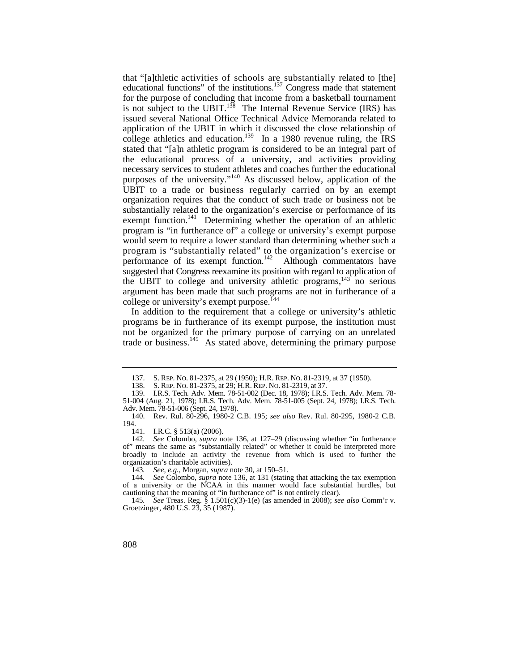that "[a]thletic activities of schools are substantially related to [the] UBIT to a trade or business regularly carried on by an exempt educational functions" of the institutions. $137$  Congress made that statement for the purpose of concluding that income from a basketball tournament is not subject to the UBIT.<sup>138</sup> The Internal Revenue Service (IRS) has issued several National Office Technical Advice Memoranda related to application of the UBIT in which it discussed the close relationship of college athletics and education.<sup>139</sup> In a 1980 revenue ruling, the IRS stated that "[a]n athletic program is considered to be an integral part of the educational process of a university, and activities providing necessary services to student athletes and coaches further the educational purposes of the university."140 As discussed below, application of the organization requires that the conduct of such trade or business not be substantially related to the organization's exercise or performance of its exempt function.<sup>141</sup> Determining whether the operation of an athletic program is "in furtherance of" a college or university's exempt purpose would seem to require a lower standard than determining whether such a program is "substantially related" to the organization's exercise or performance of its exempt function.<sup>142</sup> Although commentators have suggested that Congress reexamine its position with regard to application of the UBIT to college and university athletic programs, $143$  no serious argument has been made that such programs are not in furtherance of a college or university's exempt purpose.<sup> $144$ </sup>

In addition to the requirement that a college or university's athletic programs be in furtherance of its exempt purpose, the institution must not be organized for the primary purpose of carrying on an unrelated trade or business.145 As stated above, determining the primary purpose

143*. See, e.g.*, Morgan, *supra* note 30, at 150–51.

 137. S. REP. NO. 81-2375, at 29 (1950); H.R. REP. NO. 81-2319, at 37 (1950).

 138. S. REP. NO. 81-2375, at 29; H.R. REP. NO. 81-2319, at 37.

<sup>139.</sup> I.R.S. Tech. Adv. Mem. 78-51-002 (Dec. 18, 1978); I.R.S. Tech. Adv. Mem. 78- 51-004 (Aug. 21, 1978); I.R.S. Tech. Adv. Mem. 78-51-005 (Sept. 24, 1978); I.R.S. Tech. Adv. Mem. 78-51-006 (Sept. 24, 1978).

<sup>140.</sup> Rev. Rul. 80-296, 1980-2 C.B. 195; *see also* Rev. Rul. 80-295, 1980-2 C.B. 194.

<sup>141.</sup> I.R.C. § 513(a) (2006).

<sup>142</sup>*. See* Colombo, *supra* note 136, at 127–29 (discussing whether "in furtherance of" means the same as "substantially related" or whether it could be interpreted more broadly to include an activity the revenue from which is used to further the organization's charitable activities).

<sup>144</sup>*. See* Colombo, *supra* note 136, at 131 (stating that attacking the tax exemption of a university or the NCAA in this manner would face substantial hurdles, but cautioning that the meaning of "in furtherance of" is not entirely clear).

<sup>145</sup>*. See* Treas. Reg. § 1.501(c)(3)-1(e) (as amended in 2008); *see also* Comm'r v. Groetzinger, 480 U.S. 23, 35 (1987).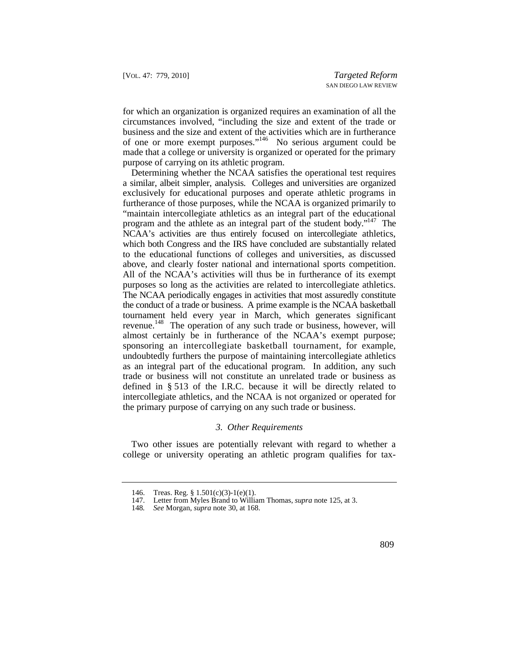of one or more exempt purposes."<sup>146</sup> No serious argument could be for which an organization is organized requires an examination of all the circumstances involved, "including the size and extent of the trade or business and the size and extent of the activities which are in furtherance made that a college or university is organized or operated for the primary purpose of carrying on its athletic program.

above, and clearly foster national and international sports competition. purposes so long as the activities are related to intercollegiate athletics. sponsoring an intercollegiate basketball tournament, for example, Determining whether the NCAA satisfies the operational test requires a similar, albeit simpler, analysis. Colleges and universities are organized exclusively for educational purposes and operate athletic programs in furtherance of those purposes, while the NCAA is organized primarily to "maintain intercollegiate athletics as an integral part of the educational program and the athlete as an integral part of the student body."147 The NCAA's activities are thus entirely focused on intercollegiate athletics, which both Congress and the IRS have concluded are substantially related to the educational functions of colleges and universities, as discussed All of the NCAA's activities will thus be in furtherance of its exempt The NCAA periodically engages in activities that most assuredly constitute the conduct of a trade or business. A prime example is the NCAA basketball tournament held every year in March, which generates significant revenue.<sup>148</sup> The operation of any such trade or business, however, will almost certainly be in furtherance of the NCAA's exempt purpose; undoubtedly furthers the purpose of maintaining intercollegiate athletics as an integral part of the educational program. In addition, any such trade or business will not constitute an unrelated trade or business as defined in § 513 of the I.R.C. because it will be directly related to intercollegiate athletics, and the NCAA is not organized or operated for the primary purpose of carrying on any such trade or business.

#### *3. Other Requirements*

Two other issues are potentially relevant with regard to whether a college or university operating an athletic program qualifies for tax-

<sup>146.</sup> Treas. Reg. § 1.501(c)(3)-1(e)(1).

<sup>147.</sup> Letter from Myles Brand to William Thomas, *supra* note 125, at 3.

<sup>148</sup>*. See* Morgan, *supra* note 30, at 168.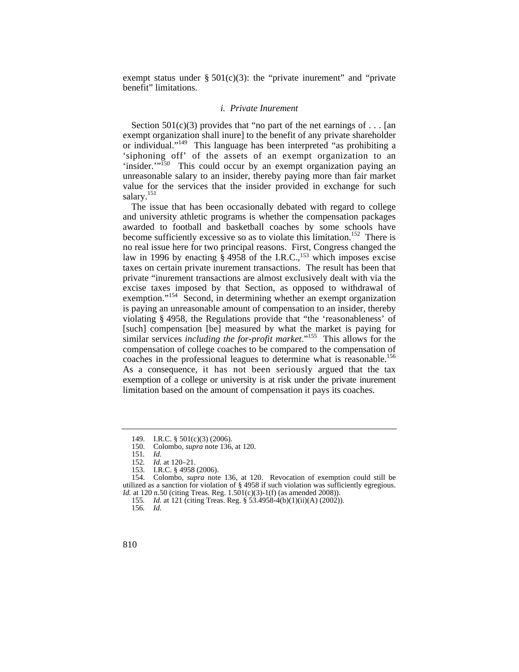exempt status under  $\S 501(c)(3)$ : the "private inurement" and "private benefit" limitations.

#### *i. Private Inurement*

 'siphoning off' of the assets of an exempt organization to an Section  $501(c)(3)$  provides that "no part of the net earnings of ... [an exempt organization shall inure] to the benefit of any private shareholder or individual."149 This language has been interpreted "as prohibiting a 'insider.'"<sup>150</sup> This could occur by an exempt organization paying an unreasonable salary to an insider, thereby paying more than fair market value for the services that the insider provided in exchange for such salary.<sup>151</sup>

coaches in the professional leagues to determine what is reasonable.<sup>156</sup> As a consequence, it has not been seriously argued that the tax The issue that has been occasionally debated with regard to college and university athletic programs is whether the compensation packages awarded to football and basketball coaches by some schools have become sufficiently excessive so as to violate this limitation.<sup>152</sup> There is no real issue here for two principal reasons. First, Congress changed the law in 1996 by enacting  $\hat{\S}$  4958 of the I.R.C.,<sup>153</sup> which imposes excise taxes on certain private inurement transactions. The result has been that private "inurement transactions are almost exclusively dealt with via the excise taxes imposed by that Section, as opposed to withdrawal of exemption."<sup>154</sup> Second, in determining whether an exempt organization is paying an unreasonable amount of compensation to an insider, thereby violating § 4958, the Regulations provide that "the 'reasonableness' of [such] compensation [be] measured by what the market is paying for similar services *including the for-profit market*."<sup>155</sup> This allows for the compensation of college coaches to be compared to the compensation of exemption of a college or university is at risk under the private inurement limitation based on the amount of compensation it pays its coaches.

<sup>149.</sup> I.R.C. § 501(c)(3) (2006).

 <sup>150.</sup> Colombo, *supra* note 136, at 120.

<sup>151</sup>*. Id.* 

<sup>152</sup>*. Id.* at 120–21.

<sup>153.</sup> I.R.C. § 4958 (2006).

 <sup>154.</sup> Colombo, *supra* note 136, at 120. Revocation of exemption could still be utilized as a sanction for violation of § 4958 if such violation was sufficiently egregious. *Id.* at 120 n.50 (citing Treas. Reg. 1.501(c)(3)-1(f) (as amended 2008)).

<sup>155</sup>*. Id.* at 121 (citing Treas. Reg. § 53.4958-4(b)(1)(ii)(A) (2002)).

<sup>156</sup>*. Id.*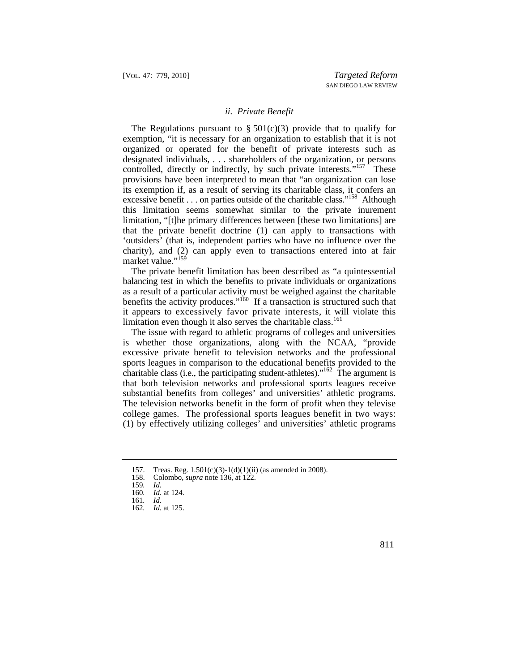#### *ii. Private Benefit*

The Regulations pursuant to  $\S 501(c)(3)$  provide that to qualify for exemption, "it is necessary for an organization to establish that it is not organized or operated for the benefit of private interests such as designated individuals, . . . shareholders of the organization, or persons controlled, directly or indirectly, by such private interests."<sup>157</sup> These provisions have been interpreted to mean that "an organization can lose its exemption if, as a result of serving its charitable class, it confers an excessive benefit . . . on parties outside of the charitable class."<sup>158</sup> Although this limitation seems somewhat similar to the private inurement limitation, "[t]he primary differences between [these two limitations] are that the private benefit doctrine (1) can apply to transactions with 'outsiders' (that is, independent parties who have no influence over the charity), and (2) can apply even to transactions entered into at fair market value."<sup>159</sup>

 it appears to excessively favor private interests, it will violate this The private benefit limitation has been described as "a quintessential balancing test in which the benefits to private individuals or organizations as a result of a particular activity must be weighed against the charitable benefits the activity produces."<sup>160</sup> If a transaction is structured such that limitation even though it also serves the charitable class.<sup>161</sup>

charitable class (i.e., the participating student-athletes)."<sup>162</sup> The argument is college games. The professional sports leagues benefit in two ways: The issue with regard to athletic programs of colleges and universities is whether those organizations, along with the NCAA, "provide excessive private benefit to television networks and the professional sports leagues in comparison to the educational benefits provided to the that both television networks and professional sports leagues receive substantial benefits from colleges' and universities' athletic programs. The television networks benefit in the form of profit when they televise (1) by effectively utilizing colleges' and universities' athletic programs

<sup>157.</sup> Treas. Reg. 1.501(c)(3)-1(d)(1)(ii) (as amended in 2008).

 <sup>158.</sup> Colombo, *supra* note 136, at 122.

<sup>159</sup>*. Id.* 

<sup>160</sup>*. Id.* at 124.

<sup>161</sup>*. Id.* 

<sup>162</sup>*. Id.* at 125.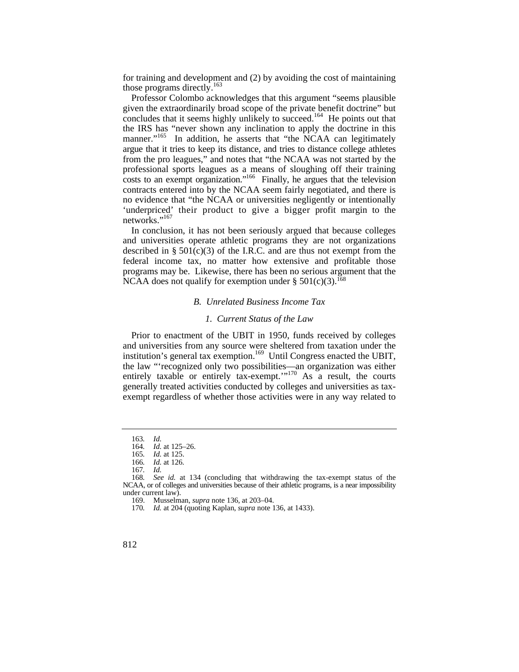for training and development and (2) by avoiding the cost of maintaining those programs directly.<sup>163</sup>

manner."<sup>165</sup> In addition, he asserts that "the NCAA can legitimately 'underpriced' their product to give a bigger profit margin to the Professor Colombo acknowledges that this argument "seems plausible given the extraordinarily broad scope of the private benefit doctrine" but concludes that it seems highly unlikely to succeed.<sup>164</sup> He points out that the IRS has "never shown any inclination to apply the doctrine in this argue that it tries to keep its distance, and tries to distance college athletes from the pro leagues," and notes that "the NCAA was not started by the professional sports leagues as a means of sloughing off their training costs to an exempt organization."<sup>166</sup> Finally, he argues that the television contracts entered into by the NCAA seem fairly negotiated, and there is no evidence that "the NCAA or universities negligently or intentionally networks."<sup>167</sup>

In conclusion, it has not been seriously argued that because colleges and universities operate athletic programs they are not organizations described in  $\S 501(c)(3)$  of the I.R.C. and are thus not exempt from the federal income tax, no matter how extensive and profitable those programs may be. Likewise, there has been no serious argument that the NCAA does not qualify for exemption under  $\S 501(c)(3)$ .<sup>168</sup>

#### *B. Unrelated Business Income Tax*

#### *1. Current Status of the Law*

Prior to enactment of the UBIT in 1950, funds received by colleges and universities from any source were sheltered from taxation under the institution's general tax exemption.<sup>169</sup> Until Congress enacted the UBIT, the law "'recognized only two possibilities—an organization was either entirely taxable or entirely tax-exempt."<sup>170</sup> As a result, the courts generally treated activities conducted by colleges and universities as taxexempt regardless of whether those activities were in any way related to

<sup>163</sup>*. Id.* 

<sup>164</sup>*. Id.* at 125–26.

<sup>165</sup>*. Id.* at 125.

<sup>166</sup>*. Id.* at 126.

<sup>167</sup>*. Id.* 

<sup>168</sup>*. See id.* at 134 (concluding that withdrawing the tax-exempt status of the NCAA, or of colleges and universities because of their athletic programs, is a near impossibility under current law).

 <sup>169.</sup> Musselman, *supra* note 136, at 203–04.

<sup>170</sup>*. Id.* at 204 (quoting Kaplan, *supra* note 136, at 1433).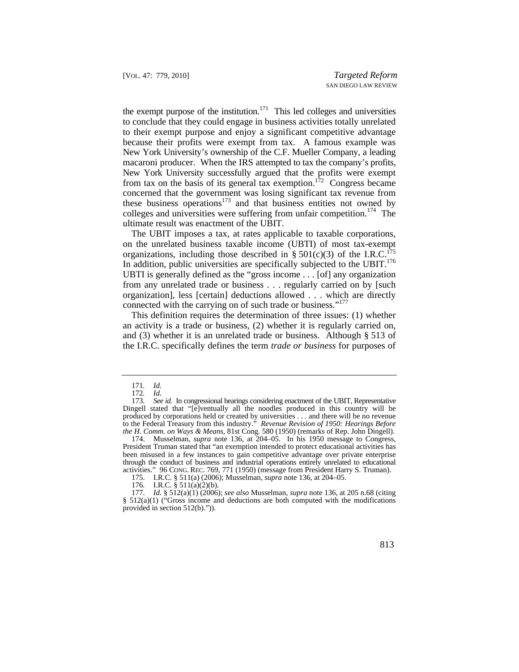to conclude that they could engage in business activities totally unrelated the exempt purpose of the institution.<sup>171</sup> This led colleges and universities to their exempt purpose and enjoy a significant competitive advantage because their profits were exempt from tax. A famous example was New York University's ownership of the C.F. Mueller Company, a leading macaroni producer. When the IRS attempted to tax the company's profits, New York University successfully argued that the profits were exempt from tax on the basis of its general tax exemption.<sup>172</sup> Congress became concerned that the government was losing significant tax revenue from these business operations $173$  and that business entities not owned by colleges and universities were suffering from unfair competition.<sup>174</sup> The ultimate result was enactment of the UBIT.

organizations, including those described in  $\S 501(c)(3)$  of the I.R.C.<sup>175</sup> In addition, public universities are specifically subjected to the UBIT.<sup>176</sup> The UBIT imposes a tax, at rates applicable to taxable corporations, on the unrelated business taxable income (UBTI) of most tax-exempt UBTI is generally defined as the "gross income . . . [of] any organization from any unrelated trade or business . . . regularly carried on by [such organization], less [certain] deductions allowed . . . which are directly connected with the carrying on of such trade or business."<sup>177</sup>

This definition requires the determination of three issues: (1) whether an activity is a trade or business, (2) whether it is regularly carried on, and (3) whether it is an unrelated trade or business. Although § 513 of the I.R.C. specifically defines the term *trade or business* for purposes of

<sup>171</sup>*. Id.* 

<sup>172</sup>*. Id.* 

 Dingell stated that "[e]ventually all the noodles produced in this country will be 173*. See id.* In congressional hearings considering enactment of the UBIT, Representative produced by corporations held or created by universities . . . and there will be no revenue to the Federal Treasury from this industry." *Revenue Revision of 1950: Hearings Before the H. Comm. on Ways & Means*, 81st Cong. 580 (1950) (remarks of Rep. John Dingell).

 <sup>174.</sup> Musselman, *supra* note 136, at 204–05. In his 1950 message to Congress, President Truman stated that "an exemption intended to protect educational activities has been misused in a few instances to gain competitive advantage over private enterprise through the conduct of business and industrial operations entirely unrelated to educational activities." 96 CONG. REC. 769, 771 (1950) (message from President Harry S. Truman).

<sup>175.</sup> I.R.C. § 511(a) (2006); Musselman, *supra* note 136, at 204–05.

<sup>176</sup>*.* I.R.C. § 511(a)(2)(b).

 <sup>177.</sup> *Id.* § 512(a)(1) (2006); *see also* Musselman, *supra* note 136, at 205 n.68 (citing  $§$  512(a)(1) ("Gross income and deductions are both computed with the modifications provided in section 512(b).")).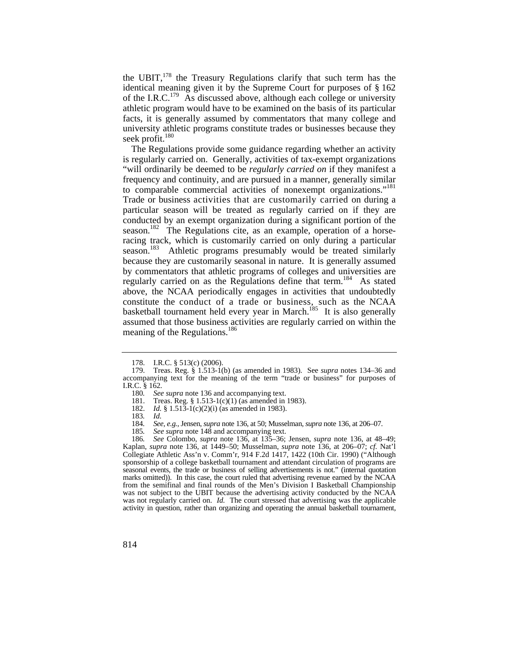the UBIT,178 the Treasury Regulations clarify that such term has the identical meaning given it by the Supreme Court for purposes of § 162 of the I.R.C.<sup>179</sup> As discussed above, although each college or university athletic program would have to be examined on the basis of its particular facts, it is generally assumed by commentators that many college and university athletic programs constitute trades or businesses because they seek profit. $180$ 

 to comparable commercial activities of nonexempt organizations."181 Trade or business activities that are customarily carried on during a The Regulations provide some guidance regarding whether an activity is regularly carried on. Generally, activities of tax-exempt organizations "will ordinarily be deemed to be *regularly carried on* if they manifest a frequency and continuity, and are pursued in a manner, generally similar particular season will be treated as regularly carried on if they are conducted by an exempt organization during a significant portion of the season.<sup>182</sup> The Regulations cite, as an example, operation of a horseracing track, which is customarily carried on only during a particular season.<sup>183</sup> Athletic programs presumably would be treated similarly because they are customarily seasonal in nature. It is generally assumed by commentators that athletic programs of colleges and universities are regularly carried on as the Regulations define that term.<sup>184</sup> As stated above, the NCAA periodically engages in activities that undoubtedly constitute the conduct of a trade or business, such as the NCAA basketball tournament held every year in March.<sup>185</sup> It is also generally assumed that those business activities are regularly carried on within the meaning of the Regulations.<sup>186</sup>

185*. See supra* note 148 and accompanying text.

<sup>178.</sup> I.R.C. § 513(c) (2006).

<sup>179.</sup> Treas. Reg. § 1.513-1(b) (as amended in 1983). See *supra* notes 134–36 and accompanying text for the meaning of the term "trade or business" for purposes of I.R.C. § 162.

<sup>180</sup>*. See supra* note 136 and accompanying text.

<sup>181.</sup> Treas. Reg. § 1.513-1(c)(1) (as amended in 1983).

 <sup>182.</sup> *Id.* § 1.513-1(c)(2)(i) (as amended in 1983).

<sup>183</sup>*. Id.* 

<sup>184</sup>*. See, e.g.*, Jensen, *supra* note 136, at 50; Musselman, *supra* note 136, at 206–07.

 marks omitted)). In this case, the court ruled that advertising revenue earned by the NCAA activity in question, rather than organizing and operating the annual basketball tournament, 186*. See* Colombo, *supra* note 136, at 135–36; Jensen, *supra* note 136, at 48–49; Kaplan, *supra* note 136, at 1449–50; Musselman, *supra* note 136, at 206–07; *cf.* Nat'l Collegiate Athletic Ass'n v. Comm'r, 914 F.2d 1417, 1422 (10th Cir. 1990) ("Although sponsorship of a college basketball tournament and attendant circulation of programs are seasonal events, the trade or business of selling advertisements is not." (internal quotation from the semifinal and final rounds of the Men's Division I Basketball Championship was not subject to the UBIT because the advertising activity conducted by the NCAA was not regularly carried on. *Id.* The court stressed that advertising was the applicable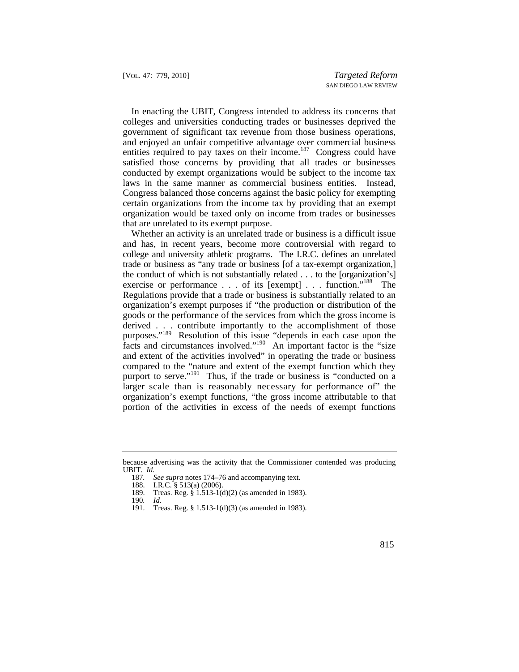In enacting the UBIT, Congress intended to address its concerns that colleges and universities conducting trades or businesses deprived the government of significant tax revenue from those business operations, and enjoyed an unfair competitive advantage over commercial business entities required to pay taxes on their income.<sup>187</sup> Congress could have satisfied those concerns by providing that all trades or businesses conducted by exempt organizations would be subject to the income tax laws in the same manner as commercial business entities. Instead, Congress balanced those concerns against the basic policy for exempting certain organizations from the income tax by providing that an exempt organization would be taxed only on income from trades or businesses that are unrelated to its exempt purpose.

exercise or performance . . . of its [exempt] . . . function."<sup>188</sup> The purposes."<sup>189</sup> Resolution of this issue "depends in each case upon the Whether an activity is an unrelated trade or business is a difficult issue and has, in recent years, become more controversial with regard to college and university athletic programs. The I.R.C. defines an unrelated trade or business as "any trade or business [of a tax-exempt organization,] the conduct of which is not substantially related . . . to the [organization's] Regulations provide that a trade or business is substantially related to an organization's exempt purposes if "the production or distribution of the goods or the performance of the services from which the gross income is derived . . . contribute importantly to the accomplishment of those facts and circumstances involved."190 An important factor is the "size and extent of the activities involved" in operating the trade or business compared to the "nature and extent of the exempt function which they purport to serve."<sup>191</sup> Thus, if the trade or business is "conducted on a larger scale than is reasonably necessary for performance of" the organization's exempt functions, "the gross income attributable to that portion of the activities in excess of the needs of exempt functions

because advertising was the activity that the Commissioner contended was producing UBIT. *Id.* 

<sup>187</sup>*. See supra* notes 174–76 and accompanying text.

<sup>188.</sup> I.R.C. § 513(a) (2006).

<sup>189.</sup> Treas. Reg. § 1.513-1(d)(2) (as amended in 1983).

<sup>190</sup>*. Id.* 

<sup>191.</sup> Treas. Reg. § 1.513-1(d)(3) (as amended in 1983).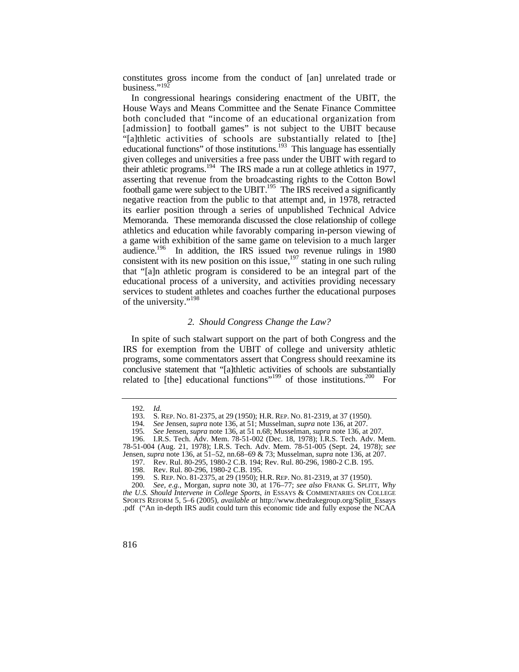constitutes gross income from the conduct of [an] unrelated trade or business." $192$ 

In congressional hearings considering enactment of the UBIT, the House Ways and Means Committee and the Senate Finance Committee both concluded that "income of an educational organization from [admission] to football games" is not subject to the UBIT because "[a]thletic activities of schools are substantially related to [the] educational functions" of those institutions.<sup>193</sup> This language has essentially given colleges and universities a free pass under the UBIT with regard to their athletic programs.194 The IRS made a run at college athletics in 1977, asserting that revenue from the broadcasting rights to the Cotton Bowl football game were subject to the UBIT.<sup>195</sup> The IRS received a significantly negative reaction from the public to that attempt and, in 1978, retracted its earlier position through a series of unpublished Technical Advice Memoranda. These memoranda discussed the close relationship of college athletics and education while favorably comparing in-person viewing of a game with exhibition of the same game on television to a much larger audience.196 In addition, the IRS issued two revenue rulings in 1980 consistent with its new position on this issue.<sup>197</sup> stating in one such ruling that "[a]n athletic program is considered to be an integral part of the educational process of a university, and activities providing necessary services to student athletes and coaches further the educational purposes of the university."<sup>198</sup>

#### *2. Should Congress Change the Law?*

related to [the] educational functions"<sup>199</sup> of those institutions.<sup>200</sup> For In spite of such stalwart support on the part of both Congress and the IRS for exemption from the UBIT of college and university athletic programs, some commentators assert that Congress should reexamine its conclusive statement that "[a]thletic activities of schools are substantially

<sup>192</sup>*. Id.*

 193. S. REP. NO. 81-2375, at 29 (1950); H.R. REP. NO. 81-2319, at 37 (1950).

<sup>194</sup>*. See* Jensen, *supra* note 136, at 51; Musselman, *supra* note 136, at 207.

<sup>195</sup>*. See* Jensen, *supra* note 136, at 51 n.68; Musselman, *supra* note 136, at 207.

<sup>196.</sup> I.R.S. Tech. Adv. Mem. 78-51-002 (Dec. 18, 1978); I.R.S. Tech. Adv. Mem. 78-51-004 (Aug. 21, 1978); I.R.S. Tech. Adv. Mem. 78-51-005 (Sept. 24, 1978); *see*  Jensen, *supra* note 136, at 51–52, nn.68–69 & 73; Musselman, *supra* note 136, at 207.

<sup>197.</sup> Rev. Rul. 80-295, 1980-2 C.B. 194; Rev. Rul. 80-296, 1980-2 C.B. 195.

<sup>198.</sup> Rev. Rul. 80-296, 1980-2 C.B. 195.

 199. S. REP. NO. 81-2375, at 29 (1950); H.R. REP. NO. 81-2319, at 37 (1950).

<sup>200</sup>*. See, e.g.*, Morgan, *supra* note 30, at 176–77; *see also* FRANK G. SPLITT, *Why the U.S. Should Intervene in College Sports*, *in* ESSAYS & COMMENTARIES ON COLLEGE SPORTS REFORM 5, 5–6 (2005), *available at* [http://www.thedrakegroup.org/Splitt\\_Essays](http://www.thedrakegroup.org/Splitt_Essays) .pdf ("An in-depth IRS audit could turn this economic tide and fully expose the NCAA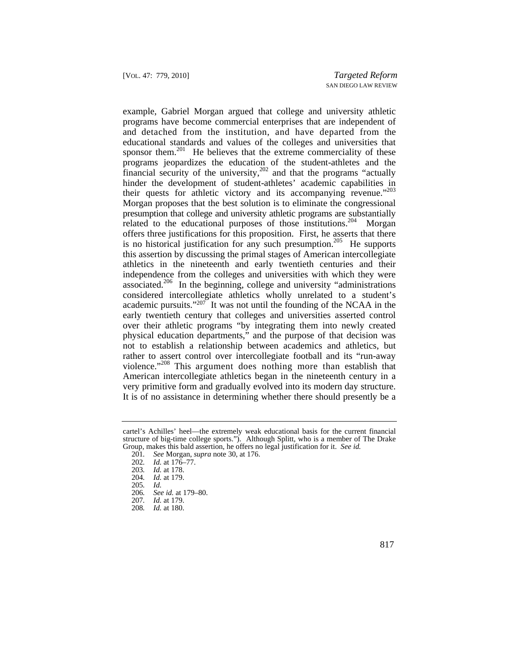and detached from the institution, and have departed from the their quests for athletic victory and its accompanying revenue."<sup>203</sup> very primitive form and gradually evolved into its modern day structure. It is of no assistance in determining whether there should presently be a example, Gabriel Morgan argued that college and university athletic programs have become commercial enterprises that are independent of educational standards and values of the colleges and universities that sponsor them.<sup>201</sup> He believes that the extreme commerciality of these programs jeopardizes the education of the student-athletes and the financial security of the university, $202$  and that the programs "actually hinder the development of student-athletes' academic capabilities in Morgan proposes that the best solution is to eliminate the congressional presumption that college and university athletic programs are substantially related to the educational purposes of those institutions.<sup>204</sup> Morgan offers three justifications for this proposition. First, he asserts that there is no historical justification for any such presumption.<sup>205</sup> He supports this assertion by discussing the primal stages of American intercollegiate athletics in the nineteenth and early twentieth centuries and their independence from the colleges and universities with which they were associated.206 In the beginning, college and university "administrations considered intercollegiate athletics wholly unrelated to a student's academic pursuits."207 It was not until the founding of the NCAA in the early twentieth century that colleges and universities asserted control over their athletic programs "by integrating them into newly created physical education departments," and the purpose of that decision was not to establish a relationship between academics and athletics, but rather to assert control over intercollegiate football and its "run-away violence."208 This argument does nothing more than establish that American intercollegiate athletics began in the nineteenth century in a

cartel's Achilles' heel—the extremely weak educational basis for the current financial structure of big-time college sports."). Although Splitt, who is a member of The Drake Group, makes this bald assertion, he offers no legal justification for it. *See id.* 

<sup>201</sup>*. See* Morgan, *supra* note 30, at 176.

<sup>202</sup>*. Id.* at 176–77.

<sup>203</sup>*. Id.* at 178.

<sup>204</sup>*. Id.* at 179.

<sup>205</sup>*. Id.* 

<sup>206</sup>*. See id.* at 179–80.

<sup>207</sup>*. Id.* at 179.

<sup>208</sup>*. Id.* at 180.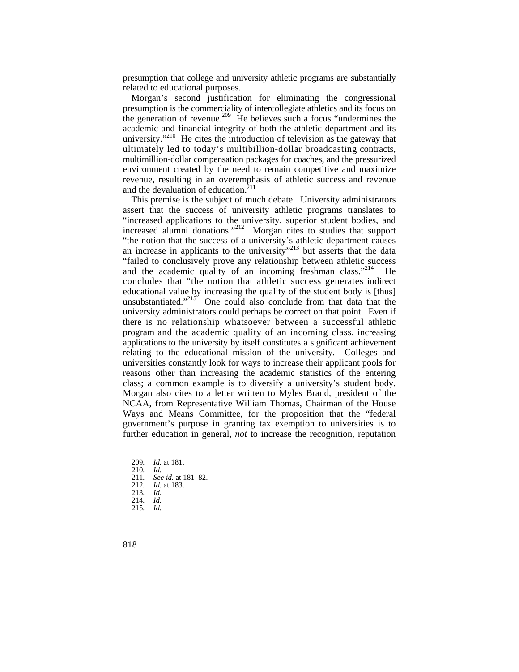presumption that college and university athletic programs are substantially related to educational purposes.

university."<sup>210</sup> He cites the introduction of television as the gateway that Morgan's second justification for eliminating the congressional presumption is the commerciality of intercollegiate athletics and its focus on the generation of revenue.<sup>209</sup> He believes such a focus "undermines the academic and financial integrity of both the athletic department and its ultimately led to today's multibillion-dollar broadcasting contracts, multimillion-dollar compensation packages for coaches, and the pressurized environment created by the need to remain competitive and maximize revenue, resulting in an overemphasis of athletic success and revenue and the devaluation of education. $211$ 

 applications to the university by itself constitutes a significant achievement This premise is the subject of much debate. University administrators assert that the success of university athletic programs translates to "increased applications to the university, superior student bodies, and increased alumni donations."<sup>212</sup> Morgan cites to studies that support "the notion that the success of a university's athletic department causes an increase in applicants to the university<sup>"213</sup> but asserts that the data "failed to conclusively prove any relationship between athletic success and the academic quality of an incoming freshman class."<sup>214</sup> He concludes that "the notion that athletic success generates indirect educational value by increasing the quality of the student body is [thus] unsubstantiated."<sup>215</sup> One could also conclude from that data that the university administrators could perhaps be correct on that point. Even if there is no relationship whatsoever between a successful athletic program and the academic quality of an incoming class, increasing relating to the educational mission of the university. Colleges and universities constantly look for ways to increase their applicant pools for reasons other than increasing the academic statistics of the entering class; a common example is to diversify a university's student body. Morgan also cites to a letter written to Myles Brand, president of the NCAA, from Representative William Thomas, Chairman of the House Ways and Means Committee, for the proposition that the "federal government's purpose in granting tax exemption to universities is to further education in general, *not* to increase the recognition, reputation

<sup>209</sup>*. Id.* at 181.

<sup>210</sup>*. Id.* 

<sup>211</sup>*. See id.* at 181–82.

<sup>212</sup>*. Id.* at 183.

<sup>213</sup>*. Id.* 

<sup>214</sup>*. Id.* 

<sup>215</sup>*. Id.*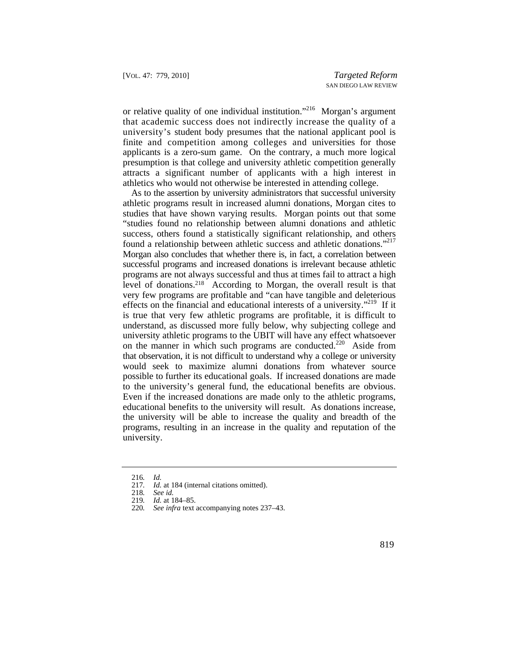that academic success does not indirectly increase the quality of a or relative quality of one individual institution."216 Morgan's argument university's student body presumes that the national applicant pool is finite and competition among colleges and universities for those applicants is a zero-sum game. On the contrary, a much more logical presumption is that college and university athletic competition generally attracts a significant number of applicants with a high interest in athletics who would not otherwise be interested in attending college.

found a relationship between athletic success and athletic donations."<sup>217</sup> successful programs and increased donations is irrelevant because athletic effects on the financial and educational interests of a university."<sup>219</sup> If it As to the assertion by university administrators that successful university athletic programs result in increased alumni donations, Morgan cites to studies that have shown varying results. Morgan points out that some "studies found no relationship between alumni donations and athletic success, others found a statistically significant relationship, and others Morgan also concludes that whether there is, in fact, a correlation between programs are not always successful and thus at times fail to attract a high level of donations.218 According to Morgan, the overall result is that very few programs are profitable and "can have tangible and deleterious is true that very few athletic programs are profitable, it is difficult to understand, as discussed more fully below, why subjecting college and university athletic programs to the UBIT will have any effect whatsoever on the manner in which such programs are conducted.<sup>220</sup> Aside from that observation, it is not difficult to understand why a college or university would seek to maximize alumni donations from whatever source possible to further its educational goals. If increased donations are made to the university's general fund, the educational benefits are obvious. Even if the increased donations are made only to the athletic programs, educational benefits to the university will result. As donations increase, the university will be able to increase the quality and breadth of the programs, resulting in an increase in the quality and reputation of the university.

<sup>216</sup>*. Id.* 

<sup>217</sup>*. Id.* at 184 (internal citations omitted).

<sup>218</sup>*. See id.*

<sup>219</sup>*. Id.* at 184–85.

<sup>220</sup>*. See infra* text accompanying notes 237–43.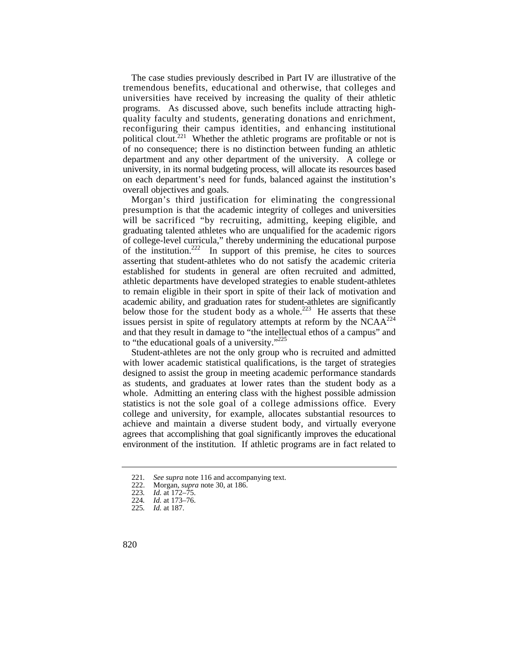The case studies previously described in Part IV are illustrative of the tremendous benefits, educational and otherwise, that colleges and universities have received by increasing the quality of their athletic programs. As discussed above, such benefits include attracting highquality faculty and students, generating donations and enrichment, reconfiguring their campus identities, and enhancing institutional political clout.<sup>221</sup> Whether the athletic programs are profitable or not is of no consequence; there is no distinction between funding an athletic department and any other department of the university. A college or university, in its normal budgeting process, will allocate its resources based on each department's need for funds, balanced against the institution's overall objectives and goals.

 will be sacrificed "by recruiting, admitting, keeping eligible, and below those for the student body as a whole.<sup>223</sup> He asserts that these Morgan's third justification for eliminating the congressional presumption is that the academic integrity of colleges and universities graduating talented athletes who are unqualified for the academic rigors of college-level curricula," thereby undermining the educational purpose of the institution.<sup>222</sup> In support of this premise, he cites to sources asserting that student-athletes who do not satisfy the academic criteria established for students in general are often recruited and admitted, athletic departments have developed strategies to enable student-athletes to remain eligible in their sport in spite of their lack of motivation and academic ability, and graduation rates for student-athletes are significantly issues persist in spite of regulatory attempts at reform by the  $NCAA^{224}$ and that they result in damage to "the intellectual ethos of a campus" and to "the educational goals of a university." $225$ 

 statistics is not the sole goal of a college admissions office. Every agrees that accomplishing that goal significantly improves the educational Student-athletes are not the only group who is recruited and admitted with lower academic statistical qualifications, is the target of strategies designed to assist the group in meeting academic performance standards as students, and graduates at lower rates than the student body as a whole. Admitting an entering class with the highest possible admission college and university, for example, allocates substantial resources to achieve and maintain a diverse student body, and virtually everyone environment of the institution. If athletic programs are in fact related to

<sup>221</sup>*. See supra* note 116 and accompanying text.

 <sup>222.</sup> Morgan, *supra* note 30, at 186.

<sup>223</sup>*. Id.* at 172–75.

<sup>224</sup>*. Id.* at 173–76.

<sup>225</sup>*. Id.* at 187.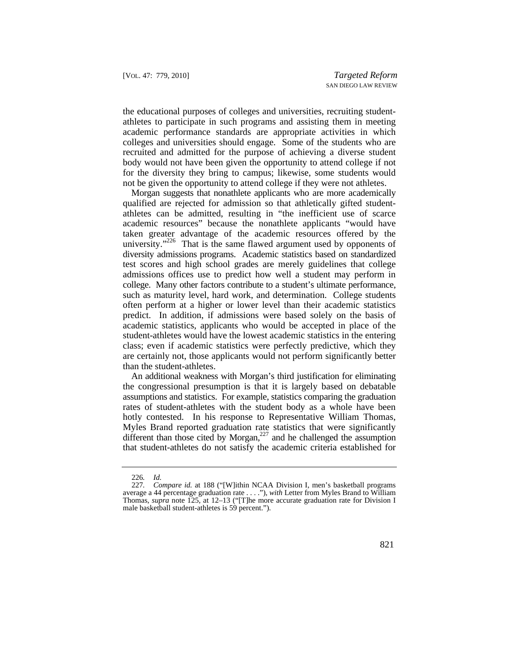the educational purposes of colleges and universities, recruiting studentathletes to participate in such programs and assisting them in meeting academic performance standards are appropriate activities in which colleges and universities should engage. Some of the students who are recruited and admitted for the purpose of achieving a diverse student body would not have been given the opportunity to attend college if not for the diversity they bring to campus; likewise, some students would not be given the opportunity to attend college if they were not athletes.

Morgan suggests that nonathlete applicants who are more academically qualified are rejected for admission so that athletically gifted studentathletes can be admitted, resulting in "the inefficient use of scarce academic resources" because the nonathlete applicants "would have taken greater advantage of the academic resources offered by the university. $1226$  That is the same flawed argument used by opponents of diversity admissions programs. Academic statistics based on standardized test scores and high school grades are merely guidelines that college admissions offices use to predict how well a student may perform in college. Many other factors contribute to a student's ultimate performance, such as maturity level, hard work, and determination. College students often perform at a higher or lower level than their academic statistics predict. In addition, if admissions were based solely on the basis of academic statistics, applicants who would be accepted in place of the student-athletes would have the lowest academic statistics in the entering class; even if academic statistics were perfectly predictive, which they are certainly not, those applicants would not perform significantly better than the student-athletes.

An additional weakness with Morgan's third justification for eliminating the congressional presumption is that it is largely based on debatable assumptions and statistics. For example, statistics comparing the graduation rates of student-athletes with the student body as a whole have been hotly contested. In his response to Representative William Thomas, Myles Brand reported graduation rate statistics that were significantly different than those cited by Morgan, $227$  and he challenged the assumption that student-athletes do not satisfy the academic criteria established for

<sup>226</sup>*. Id.* 

<sup>227</sup>*. Compare id.* at 188 ("[W]ithin NCAA Division I, men's basketball programs average a 44 percentage graduation rate . . . ."), *with* Letter from Myles Brand to William Thomas, *supra* note 125, at 12–13 ("[T]he more accurate graduation rate for Division I male basketball student-athletes is 59 percent.").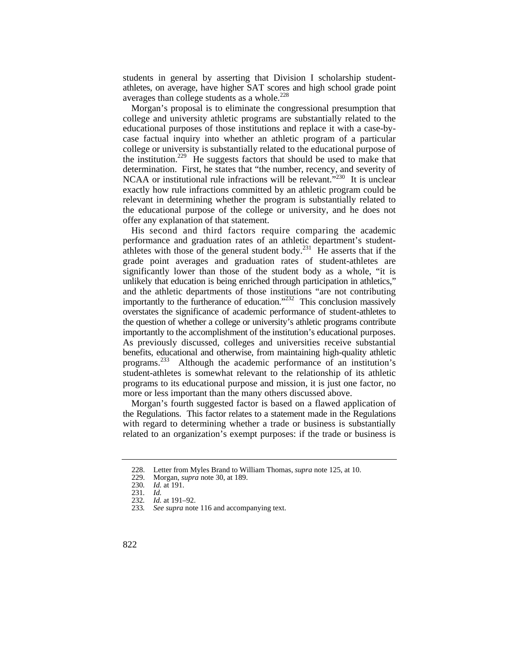students in general by asserting that Division I scholarship studentathletes, on average, have higher SAT scores and high school grade point averages than college students as a whole. $^{228}$ 

Morgan's proposal is to eliminate the congressional presumption that college and university athletic programs are substantially related to the educational purposes of those institutions and replace it with a case-bycase factual inquiry into whether an athletic program of a particular college or university is substantially related to the educational purpose of the institution.<sup>229</sup> He suggests factors that should be used to make that determination. First, he states that "the number, recency, and severity of NCAA or institutional rule infractions will be relevant."<sup>230</sup> It is unclear exactly how rule infractions committed by an athletic program could be relevant in determining whether the program is substantially related to the educational purpose of the college or university, and he does not offer any explanation of that statement.

 overstates the significance of academic performance of student-athletes to importantly to the accomplishment of the institution's educational purposes. programs.<sup>233</sup> Although the academic performance of an institution's His second and third factors require comparing the academic performance and graduation rates of an athletic department's studentathletes with those of the general student body.<sup>231</sup> He asserts that if the grade point averages and graduation rates of student-athletes are significantly lower than those of the student body as a whole, "it is unlikely that education is being enriched through participation in athletics," and the athletic departments of those institutions "are not contributing importantly to the furtherance of education."<sup>232</sup> This conclusion massively the question of whether a college or university's athletic programs contribute As previously discussed, colleges and universities receive substantial benefits, educational and otherwise, from maintaining high-quality athletic student-athletes is somewhat relevant to the relationship of its athletic programs to its educational purpose and mission, it is just one factor, no more or less important than the many others discussed above.

Morgan's fourth suggested factor is based on a flawed application of the Regulations. This factor relates to a statement made in the Regulations with regard to determining whether a trade or business is substantially related to an organization's exempt purposes: if the trade or business is

<sup>228.</sup> Letter from Myles Brand to William Thomas, *supra* note 125, at 10.

 <sup>229.</sup> Morgan, *supra* note 30, at 189.

<sup>230</sup>*. Id.* at 191.

<sup>231</sup>*. Id.* 

<sup>232</sup>*. Id.* at 191–92.

<sup>233</sup>*. See supra* note 116 and accompanying text.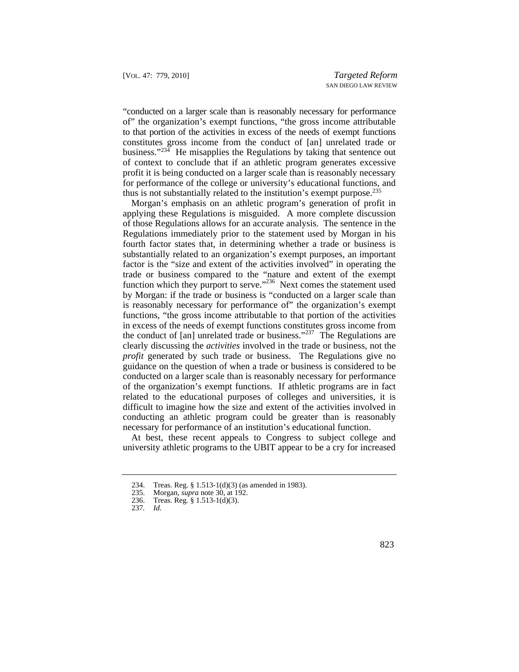"conducted on a larger scale than is reasonably necessary for performance of" the organization's exempt functions, "the gross income attributable to that portion of the activities in excess of the needs of exempt functions constitutes gross income from the conduct of [an] unrelated trade or business."<sup>234</sup> He misapplies the Regulations by taking that sentence out of context to conclude that if an athletic program generates excessive profit it is being conducted on a larger scale than is reasonably necessary for performance of the college or university's educational functions, and thus is not substantially related to the institution's exempt purpose.235

function which they purport to serve."<sup>236</sup> Next comes the statement used Morgan's emphasis on an athletic program's generation of profit in applying these Regulations is misguided. A more complete discussion of those Regulations allows for an accurate analysis. The sentence in the Regulations immediately prior to the statement used by Morgan in his fourth factor states that, in determining whether a trade or business is substantially related to an organization's exempt purposes, an important factor is the "size and extent of the activities involved" in operating the trade or business compared to the "nature and extent of the exempt by Morgan: if the trade or business is "conducted on a larger scale than is reasonably necessary for performance of" the organization's exempt functions, "the gross income attributable to that portion of the activities in excess of the needs of exempt functions constitutes gross income from the conduct of  $[an]$  unrelated trade or business."<sup>237</sup> The Regulations are clearly discussing the *activities* involved in the trade or business, not the *profit* generated by such trade or business. The Regulations give no guidance on the question of when a trade or business is considered to be conducted on a larger scale than is reasonably necessary for performance of the organization's exempt functions. If athletic programs are in fact related to the educational purposes of colleges and universities, it is difficult to imagine how the size and extent of the activities involved in conducting an athletic program could be greater than is reasonably necessary for performance of an institution's educational function.

At best, these recent appeals to Congress to subject college and university athletic programs to the UBIT appear to be a cry for increased

<sup>234.</sup> Treas. Reg. § 1.513-1(d)(3) (as amended in 1983).

 <sup>235.</sup> Morgan, *supra* note 30, at 192.

<sup>236.</sup> Treas. Reg. § 1.513-1(d)(3).

<sup>237</sup>*. Id.*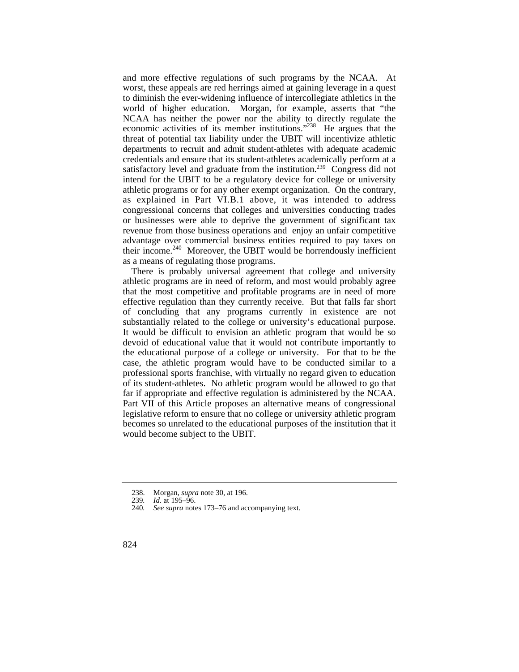satisfactory level and graduate from the institution.<sup>239</sup> Congress did not and more effective regulations of such programs by the NCAA. At worst, these appeals are red herrings aimed at gaining leverage in a quest to diminish the ever-widening influence of intercollegiate athletics in the world of higher education. Morgan, for example, asserts that "the NCAA has neither the power nor the ability to directly regulate the economic activities of its member institutions."238 He argues that the threat of potential tax liability under the UBIT will incentivize athletic departments to recruit and admit student-athletes with adequate academic credentials and ensure that its student-athletes academically perform at a intend for the UBIT to be a regulatory device for college or university athletic programs or for any other exempt organization. On the contrary, as explained in Part VI.B.1 above, it was intended to address congressional concerns that colleges and universities conducting trades or businesses were able to deprive the government of significant tax revenue from those business operations and enjoy an unfair competitive advantage over commercial business entities required to pay taxes on their income.<sup>240</sup> Moreover, the UBIT would be horrendously inefficient as a means of regulating those programs.

 substantially related to the college or university's educational purpose. It would be difficult to envision an athletic program that would be so far if appropriate and effective regulation is administered by the NCAA. Part VII of this Article proposes an alternative means of congressional There is probably universal agreement that college and university athletic programs are in need of reform, and most would probably agree that the most competitive and profitable programs are in need of more effective regulation than they currently receive. But that falls far short of concluding that any programs currently in existence are not devoid of educational value that it would not contribute importantly to the educational purpose of a college or university. For that to be the case, the athletic program would have to be conducted similar to a professional sports franchise, with virtually no regard given to education of its student-athletes. No athletic program would be allowed to go that legislative reform to ensure that no college or university athletic program becomes so unrelated to the educational purposes of the institution that it would become subject to the UBIT.

 <sup>238.</sup> Morgan, *supra* note 30, at 196.

<sup>239</sup>*. Id.* at 195–96.

<sup>240</sup>*. See supra* notes 173–76 and accompanying text.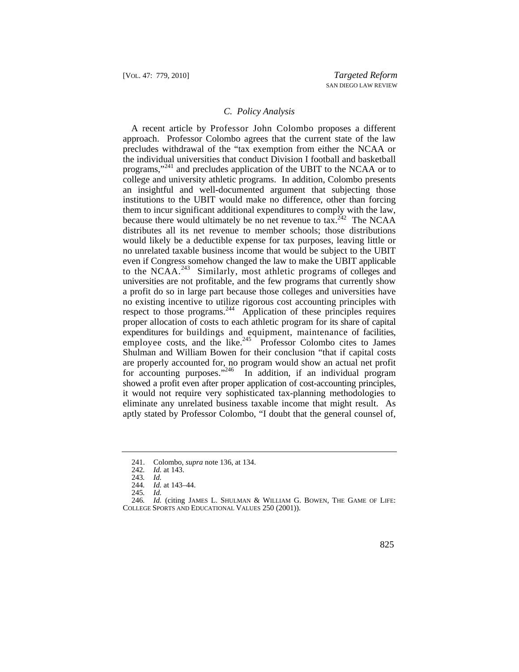#### *C. Policy Analysis*

 A recent article by Professor John Colombo proposes a different to the NCAA.<sup>243</sup> Similarly, most athletic programs of colleges and proper allocation of costs to each athletic program for its share of capital expenditures for buildings and equipment, maintenance of facilities, approach. Professor Colombo agrees that the current state of the law precludes withdrawal of the "tax exemption from either the NCAA or the individual universities that conduct Division I football and basketball programs,"241 and precludes application of the UBIT to the NCAA or to college and university athletic programs. In addition, Colombo presents an insightful and well-documented argument that subjecting those institutions to the UBIT would make no difference, other than forcing them to incur significant additional expenditures to comply with the law, because there would ultimately be no net revenue to  $\text{tax.}^{242}$  The NCAA distributes all its net revenue to member schools; those distributions would likely be a deductible expense for tax purposes, leaving little or no unrelated taxable business income that would be subject to the UBIT even if Congress somehow changed the law to make the UBIT applicable universities are not profitable, and the few programs that currently show a profit do so in large part because those colleges and universities have no existing incentive to utilize rigorous cost accounting principles with respect to those programs.<sup>244</sup> Application of these principles requires employee costs, and the like. $245$  Professor Colombo cites to James Shulman and William Bowen for their conclusion "that if capital costs are properly accounted for, no program would show an actual net profit for accounting purposes."<sup>246</sup> In addition, if an individual program showed a profit even after proper application of cost-accounting principles, it would not require very sophisticated tax-planning methodologies to eliminate any unrelated business taxable income that might result. As aptly stated by Professor Colombo, "I doubt that the general counsel of,

 <sup>241.</sup> Colombo, *supra* note 136, at 134.

<sup>242</sup>*. Id.* at 143.

<sup>243</sup>*. Id.* 

<sup>244</sup>*. Id.* at 143–44.

<sup>245</sup>*. Id.* 

 246*. Id.* (citing JAMES L. SHULMAN & WILLIAM G. BOWEN, THE GAME OF LIFE: COLLEGE SPORTS AND EDUCATIONAL VALUES 250 (2001)).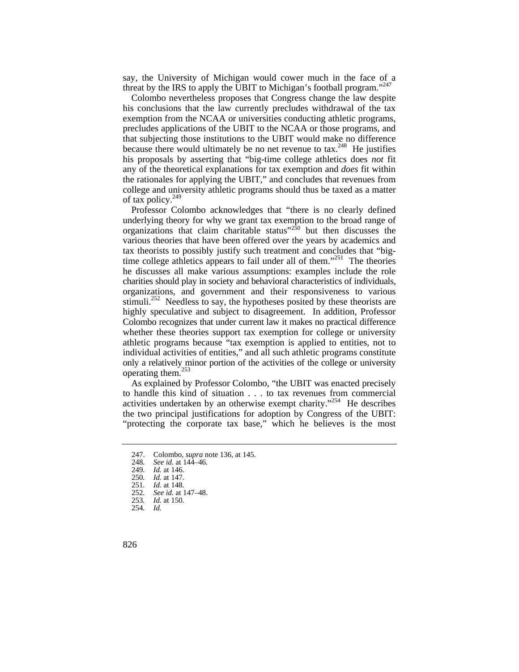say, the University of Michigan would cower much in the face of a threat by the IRS to apply the UBIT to Michigan's football program."<sup>247</sup>

Colombo nevertheless proposes that Congress change the law despite his conclusions that the law currently precludes withdrawal of the tax exemption from the NCAA or universities conducting athletic programs, precludes applications of the UBIT to the NCAA or those programs, and that subjecting those institutions to the UBIT would make no difference because there would ultimately be no net revenue to  $\text{tax.}^{248}$  He justifies his proposals by asserting that "big-time college athletics does *not* fit any of the theoretical explanations for tax exemption and *does* fit within the rationales for applying the UBIT," and concludes that revenues from college and university athletic programs should thus be taxed as a matter of tax policy. $^{249}$ 

Professor Colombo acknowledges that "there is no clearly defined underlying theory for why we grant tax exemption to the broad range of organizations that claim charitable status $v^{250}$  but then discusses the various theories that have been offered over the years by academics and tax theorists to possibly justify such treatment and concludes that "bigtime college athletics appears to fail under all of them."<sup>251</sup> The theories he discusses all make various assumptions: examples include the role charities should play in society and behavioral characteristics of individuals, organizations, and government and their responsiveness to various stimuli.<sup>252</sup> Needless to say, the hypotheses posited by these theorists are highly speculative and subject to disagreement. In addition, Professor Colombo recognizes that under current law it makes no practical difference whether these theories support tax exemption for college or university athletic programs because "tax exemption is applied to entities, not to individual activities of entities," and all such athletic programs constitute only a relatively minor portion of the activities of the college or university operating them.<sup>253</sup>

As explained by Professor Colombo, "the UBIT was enacted precisely to handle this kind of situation . . . to tax revenues from commercial activities undertaken by an otherwise exempt charity."<sup>254</sup> He describes the two principal justifications for adoption by Congress of the UBIT: "protecting the corporate tax base," which he believes is the most

 <sup>247.</sup> Colombo, *supra* note 136, at 145.

<sup>248</sup>*. See id.* at 144–46.

<sup>249</sup>*. Id.* at 146.

<sup>250</sup>*. Id.* at 147.

<sup>251</sup>*. Id.* at 148.

<sup>252</sup>*. See id.* at 147–48.

<sup>253</sup>*. Id.* at 150.

<sup>254</sup>*. Id.*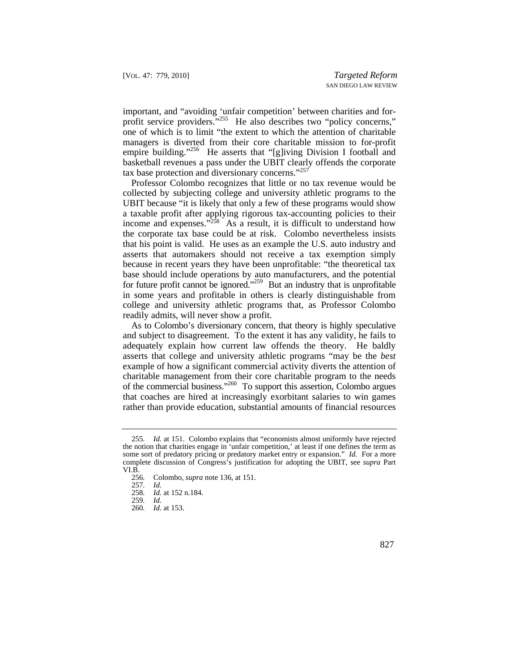important, and "avoiding 'unfair competition' between charities and forprofit service providers."<sup>255</sup> He also describes two "policy concerns," one of which is to limit "the extent to which the attention of charitable managers is diverted from their core charitable mission to for-profit empire building."<sup>256</sup> He asserts that "[g]iving Division I football and basketball revenues a pass under the UBIT clearly offends the corporate tax base protection and diversionary concerns."257

Professor Colombo recognizes that little or no tax revenue would be collected by subjecting college and university athletic programs to the UBIT because "it is likely that only a few of these programs would show a taxable profit after applying rigorous tax-accounting policies to their income and expenses." $258$  As a result, it is difficult to understand how the corporate tax base could be at risk. Colombo nevertheless insists that his point is valid. He uses as an example the U.S. auto industry and asserts that automakers should not receive a tax exemption simply because in recent years they have been unprofitable: "the theoretical tax base should include operations by auto manufacturers, and the potential for future profit cannot be ignored."<sup>259</sup> But an industry that is unprofitable in some years and profitable in others is clearly distinguishable from college and university athletic programs that, as Professor Colombo readily admits, will never show a profit.

As to Colombo's diversionary concern, that theory is highly speculative and subject to disagreement. To the extent it has any validity, he fails to adequately explain how current law offends the theory. He baldly asserts that college and university athletic programs "may be the *best*  example of how a significant commercial activity diverts the attention of charitable management from their core charitable program to the needs of the commercial business."260 To support this assertion, Colombo argues that coaches are hired at increasingly exorbitant salaries to win games rather than provide education, substantial amounts of financial resources

<sup>255</sup>*. Id.* at 151. Colombo explains that "economists almost uniformly have rejected the notion that charities engage in 'unfair competition,' at least if one defines the term as some sort of predatory pricing or predatory market entry or expansion." *Id.* For a more complete discussion of Congress's justification for adopting the UBIT, see *supra* Part VI.B.

<sup>256</sup>*.* Colombo, *supra* note 136, at 151.

<sup>257</sup>*. Id.* 

<sup>258</sup>*. Id.* at 152 n.184.

<sup>259</sup>*. Id.* 

<sup>260</sup>*. Id.* at 153.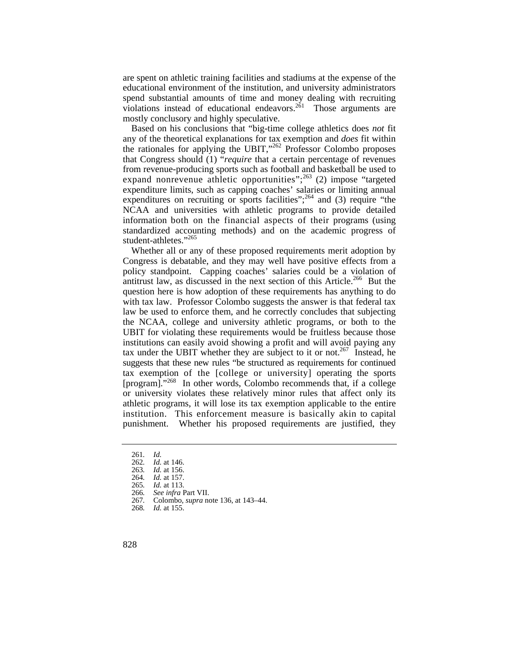are spent on athletic training facilities and stadiums at the expense of the educational environment of the institution, and university administrators spend substantial amounts of time and money dealing with recruiting violations instead of educational endeavors.<sup>261</sup> Those arguments are mostly conclusory and highly speculative.

 information both on the financial aspects of their programs (using Based on his conclusions that "big-time college athletics does *not* fit any of the theoretical explanations for tax exemption and *does* fit within the rationales for applying the UBIT,"262 Professor Colombo proposes that Congress should (1) "*require* that a certain percentage of revenues from revenue-producing sports such as football and basketball be used to expand nonrevenue athletic opportunities"; $^{263}$  (2) impose "targeted expenditure limits, such as capping coaches' salaries or limiting annual expenditures on recruiting or sports facilities";  $^{264}$  and (3) require "the NCAA and universities with athletic programs to provide detailed standardized accounting methods) and on the academic progress of student-athletes."<sup>265</sup>

 tax exemption of the [college or university] operating the sports [program]."268 In other words, Colombo recommends that, if a college institution. This enforcement measure is basically akin to capital Whether all or any of these proposed requirements merit adoption by Congress is debatable, and they may well have positive effects from a policy standpoint. Capping coaches' salaries could be a violation of antitrust law, as discussed in the next section of this Article.<sup>266</sup> But the question here is how adoption of these requirements has anything to do with tax law. Professor Colombo suggests the answer is that federal tax law be used to enforce them, and he correctly concludes that subjecting the NCAA, college and university athletic programs, or both to the UBIT for violating these requirements would be fruitless because those institutions can easily avoid showing a profit and will avoid paying any tax under the UBIT whether they are subject to it or not.<sup>267</sup> Instead, he suggests that these new rules "be structured as requirements for continued or university violates these relatively minor rules that affect only its athletic programs, it will lose its tax exemption applicable to the entire punishment. Whether his proposed requirements are justified, they

<sup>261</sup>*. Id.* 

<sup>262</sup>*. Id.* at 146.

<sup>263</sup>*. Id.* at 156.

<sup>264</sup>*. Id.* at 157.

<sup>265</sup>*. Id.* at 113.

<sup>266</sup>*. See infra* Part VII.

<sup>267</sup>*.* Colombo, *supra* note 136, at 143–44.

<sup>268</sup>*. Id.* at 155.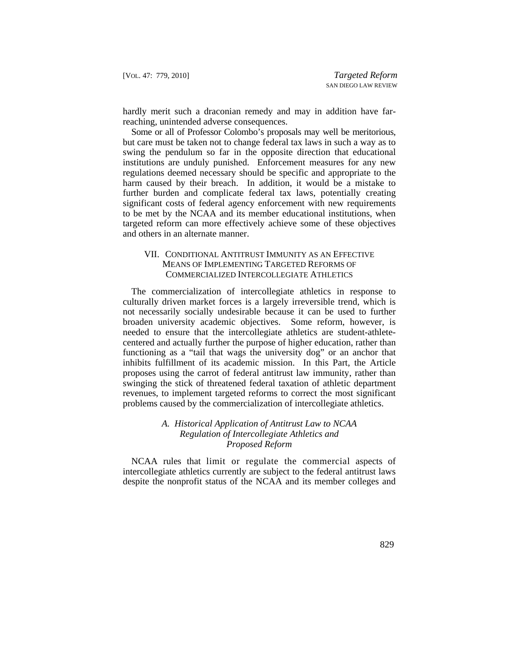hardly merit such a draconian remedy and may in addition have farreaching, unintended adverse consequences.

Some or all of Professor Colombo's proposals may well be meritorious, but care must be taken not to change federal tax laws in such a way as to swing the pendulum so far in the opposite direction that educational institutions are unduly punished. Enforcement measures for any new regulations deemed necessary should be specific and appropriate to the harm caused by their breach. In addition, it would be a mistake to further burden and complicate federal tax laws, potentially creating significant costs of federal agency enforcement with new requirements to be met by the NCAA and its member educational institutions, when targeted reform can more effectively achieve some of these objectives and others in an alternate manner.

## VII. CONDITIONAL ANTITRUST IMMUNITY AS AN EFFECTIVE MEANS OF IMPLEMENTING TARGETED REFORMS OF COMMERCIALIZED INTERCOLLEGIATE ATHLETICS

The commercialization of intercollegiate athletics in response to culturally driven market forces is a largely irreversible trend, which is not necessarily socially undesirable because it can be used to further broaden university academic objectives. Some reform, however, is needed to ensure that the intercollegiate athletics are student-athletecentered and actually further the purpose of higher education, rather than functioning as a "tail that wags the university dog" or an anchor that inhibits fulfillment of its academic mission. In this Part, the Article proposes using the carrot of federal antitrust law immunity, rather than swinging the stick of threatened federal taxation of athletic department revenues, to implement targeted reforms to correct the most significant problems caused by the commercialization of intercollegiate athletics.

## *A. Historical Application of Antitrust Law to NCAA Regulation of Intercollegiate Athletics and Proposed Reform*

NCAA rules that limit or regulate the commercial aspects of intercollegiate athletics currently are subject to the federal antitrust laws despite the nonprofit status of the NCAA and its member colleges and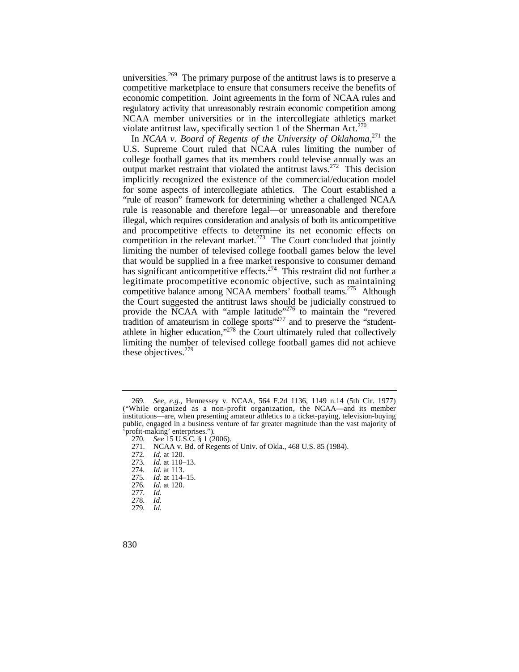universities.<sup>269</sup> The primary purpose of the antitrust laws is to preserve a competitive marketplace to ensure that consumers receive the benefits of economic competition. Joint agreements in the form of NCAA rules and regulatory activity that unreasonably restrain economic competition among NCAA member universities or in the intercollegiate athletics market violate antitrust law, specifically section 1 of the Sherman Act.<sup>270</sup>

In *NCAA v. Board of Regents of the University of Oklahoma*, 271 the U.S. Supreme Court ruled that NCAA rules limiting the number of college football games that its members could televise annually was an output market restraint that violated the antitrust laws.<sup>272</sup> This decision implicitly recognized the existence of the commercial/education model for some aspects of intercollegiate athletics. The Court established a "rule of reason" framework for determining whether a challenged NCAA rule is reasonable and therefore legal—or unreasonable and therefore illegal, which requires consideration and analysis of both its anticompetitive and procompetitive effects to determine its net economic effects on competition in the relevant market. $273$  The Court concluded that jointly limiting the number of televised college football games below the level that would be supplied in a free market responsive to consumer demand has significant anticompetitive effects.<sup>274</sup> This restraint did not further a legitimate procompetitive economic objective, such as maintaining competitive balance among NCAA members' football teams.<sup>275</sup> Although the Court suggested the antitrust laws should be judicially construed to provide the NCAA with "ample latitude"<sup>276</sup> to maintain the "revered" tradition of amateurism in college sports $1277$  and to preserve the "studentathlete in higher education," $278$  the Court ultimately ruled that collectively limiting the number of televised college football games did not achieve these objectives. $279$ 

<sup>269</sup>*. See, e.g.*, Hennessey v. NCAA, 564 F.2d 1136, 1149 n.14 (5th Cir. 1977) ("While organized as a non-profit organization, the NCAA—and its member institutions—are, when presenting amateur athletics to a ticket-paying, television-buying public, engaged in a business venture of far greater magnitude than the vast majority of 'profit-making' enterprises.").

<sup>270</sup>*. See* 15 U.S.C. § 1 (2006).

<sup>271.</sup> NCAA v. Bd. of Regents of Univ. of Okla., 468 U.S. 85 (1984).

<sup>272</sup>*. Id.* at 120.

<sup>273</sup>*. Id.* at 110–13.

<sup>274</sup>*. Id.* at 113.

<sup>275</sup>*. Id.* at 114–15.

<sup>276</sup>*. Id.* at 120.

<sup>277</sup>*. Id.* 

<sup>278</sup>*. Id.* 

<sup>279</sup>*. Id.*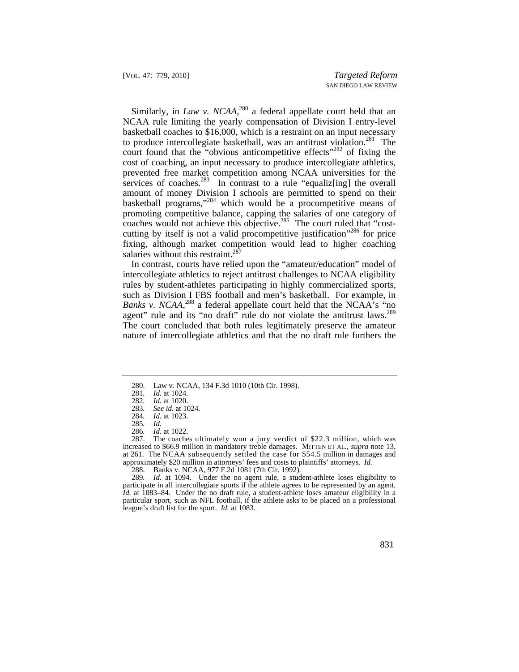to produce intercollegiate basketball, was an antitrust violation.<sup>281</sup> The court found that the "obvious anticompetitive effects"<sup>282</sup> of fixing the Similarly, in *Law v. NCAA*,<sup>280</sup> a federal appellate court held that an NCAA rule limiting the yearly compensation of Division I entry-level basketball coaches to \$16,000, which is a restraint on an input necessary cost of coaching, an input necessary to produce intercollegiate athletics, prevented free market competition among NCAA universities for the services of coaches.<sup>283</sup> In contrast to a rule "equaliz[ing] the overall amount of money Division I schools are permitted to spend on their basketball programs,"<sup>284</sup> which would be a procompetitive means of promoting competitive balance, capping the salaries of one category of coaches would not achieve this objective.<sup>285</sup> The court ruled that "costcutting by itself is not a valid procompetitive justification"<sup>286</sup> for price fixing, although market competition would lead to higher coaching salaries without this restraint.<sup>287</sup>

agent" rule and its "no draft" rule do not violate the antitrust laws.<sup>289</sup> In contrast, courts have relied upon the "amateur/education" model of intercollegiate athletics to reject antitrust challenges to NCAA eligibility rules by student-athletes participating in highly commercialized sports, such as Division I FBS football and men's basketball. For example, in Banks v. NCAA,<sup>288</sup> a federal appellate court held that the NCAA's "no The court concluded that both rules legitimately preserve the amateur nature of intercollegiate athletics and that the no draft rule furthers the

286*. Id.* at 1022.

 287. The coaches ultimately won a jury verdict of \$22.3 million, which was at 261. The NCAA subsequently settled the case for \$54.5 million in damages and approximately \$20 million in attorneys' fees and costs to plaintiffs' attorneys. *Id.*  increased to \$66.9 million in mandatory treble damages. MITTEN ET AL., *supra* note 13,

288. Banks v. NCAA, 977 F.2d 1081 (7th Cir. 1992).

 participate in all intercollegiate sports if the athlete agrees to be represented by an agent. league's draft list for the sport. *Id.* at 1083. 289*. Id.* at 1094. Under the no agent rule, a student-athlete loses eligibility to *Id.* at 1083–84. Under the no draft rule, a student-athlete loses amateur eligibility in a particular sport, such as NFL football, if the athlete asks to be placed on a professional

<sup>280.</sup> Law v. NCAA, 134 F.3d 1010 (10th Cir. 1998).

<sup>281</sup>*. Id.* at 1024.

<sup>282</sup>*. Id.* at 1020.

<sup>283</sup>*. See id.* at 1024.

<sup>284</sup>*. Id.* at 1023.

<sup>285</sup>*. Id.*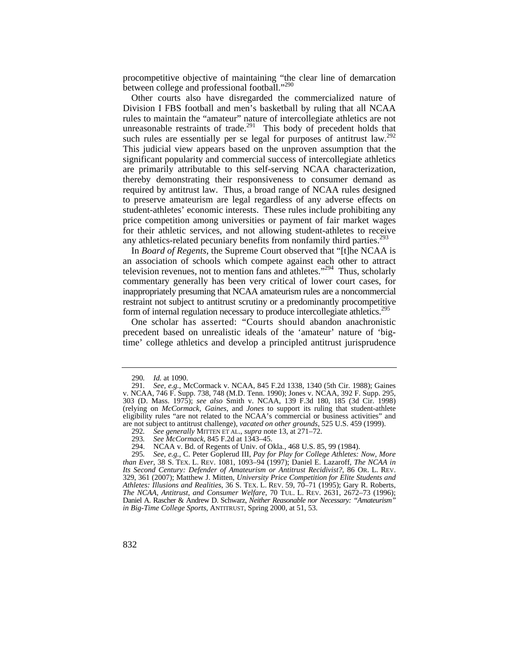procompetitive objective of maintaining "the clear line of demarcation between college and professional football."<sup>290</sup>

such rules are essentially per se legal for purposes of antitrust law.<sup>292</sup> Other courts also have disregarded the commercialized nature of Division I FBS football and men's basketball by ruling that all NCAA rules to maintain the "amateur" nature of intercollegiate athletics are not unreasonable restraints of trade.<sup>291</sup> This body of precedent holds that This judicial view appears based on the unproven assumption that the significant popularity and commercial success of intercollegiate athletics are primarily attributable to this self-serving NCAA characterization, thereby demonstrating their responsiveness to consumer demand as required by antitrust law. Thus, a broad range of NCAA rules designed to preserve amateurism are legal regardless of any adverse effects on student-athletes' economic interests. These rules include prohibiting any price competition among universities or payment of fair market wages for their athletic services, and not allowing student-athletes to receive any athletics-related pecuniary benefits from nonfamily third parties.<sup>293</sup>

In *Board of Regents*, the Supreme Court observed that "[t]he NCAA is an association of schools which compete against each other to attract television revenues, not to mention fans and athletes."<sup>294</sup> Thus, scholarly commentary generally has been very critical of lower court cases, for inappropriately presuming that NCAA amateurism rules are a noncommercial restraint not subject to antitrust scrutiny or a predominantly procompetitive form of internal regulation necessary to produce intercollegiate athletics.<sup>295</sup>

 One scholar has asserted: "Courts should abandon anachronistic precedent based on unrealistic ideals of the 'amateur' nature of 'bigtime' college athletics and develop a principled antitrust jurisprudence

<sup>290</sup>*. Id.* at 1090.

<sup>291</sup>*. See, e.g.*, McCormack v. NCAA, 845 F.2d 1338, 1340 (5th Cir. 1988); Gaines v. NCAA, 746 F. Supp. 738, 748 (M.D. Tenn. 1990); Jones v. NCAA, 392 F. Supp. 295, 303 (D. Mass. 1975); *see also* Smith v. NCAA, 139 F.3d 180, 185 (3d Cir. 1998) (relying on *McCormack*, *Gaines*, and *Jones* to support its ruling that student-athlete eligibility rules "are not related to the NCAA's commercial or business activities" and are not subject to antitrust challenge), *vacated on other grounds*, 525 U.S. 459 (1999).

<sup>292</sup>*. See generally* MITTEN ET AL., *supra* note 13, at 271–72.

<sup>293</sup>*. See McCormack*, 845 F.2d at 1343–45.

<sup>294.</sup> NCAA v. Bd. of Regents of Univ. of Okla., 468 U.S. 85, 99 (1984).

 *than Ever*, 38 S. TEX. L. REV. 1081, 1093–94 (1997); Daniel E. Lazaroff, *The NCAA in Its Second Century: Defender of Amateurism or Antitrust Recidivist?*, 86 OR. L. REV. *Athletes: Illusions and Realities*, 36 S. TEX. L. REV. 59, 70–71 (1995); Gary R. Roberts, *The NCAA, Antitrust, and Consumer Welfare*, 70 TUL. L. REV. 2631, 2672–73 (1996); 295*. See, e.g.*, C. Peter Goplerud III, *Pay for Play for College Athletes: Now, More*  329, 361 (2007); Matthew J. Mitten, *University Price Competition for Elite Students and*  Daniel A. Rascher & Andrew D. Schwarz, *Neither Reasonable nor Necessary: "Amateurism" in Big-Time College Sports*, ANTITRUST, Spring 2000, at 51, 53.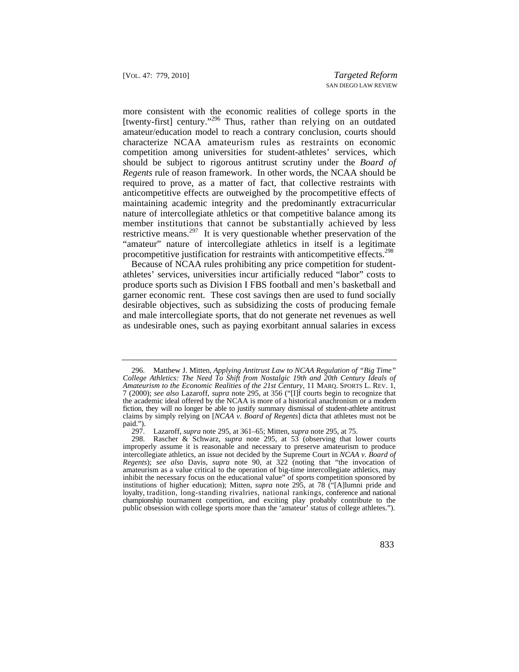characterize NCAA amateurism rules as restraints on economic member institutions that cannot be substantially achieved by less more consistent with the economic realities of college sports in the [twenty-first] century."<sup>296</sup> Thus, rather than relying on an outdated amateur/education model to reach a contrary conclusion, courts should competition among universities for student-athletes' services, which should be subject to rigorous antitrust scrutiny under the *Board of Regents* rule of reason framework. In other words, the NCAA should be required to prove, as a matter of fact, that collective restraints with anticompetitive effects are outweighed by the procompetitive effects of maintaining academic integrity and the predominantly extracurricular nature of intercollegiate athletics or that competitive balance among its restrictive means.<sup>297</sup> It is very questionable whether preservation of the "amateur" nature of intercollegiate athletics in itself is a legitimate procompetitive justification for restraints with anticompetitive effects.<sup>298</sup>

Because of NCAA rules prohibiting any price competition for studentathletes' services, universities incur artificially reduced "labor" costs to produce sports such as Division I FBS football and men's basketball and garner economic rent. These cost savings then are used to fund socially desirable objectives, such as subsidizing the costs of producing female and male intercollegiate sports, that do not generate net revenues as well as undesirable ones, such as paying exorbitant annual salaries in excess

 the academic ideal offered by the NCAA is more of a historical anachronism or a modern fiction, they will no longer be able to justify summary dismissal of student-athlete antitrust 296. Matthew J. Mitten, *Applying Antitrust Law to NCAA Regulation of "Big Time" College Athletics: The Need To Shift from Nostalgic 19th and 20th Century Ideals of Amateurism to the Economic Realities of the 21st Century*, 11 MARQ. SPORTS L. REV. 1, 7 (2000); *see also* Lazaroff, *supra* note 295, at 356 ("[I]f courts begin to recognize that claims by simply relying on [*NCAA v. Board of Regents*] dicta that athletes must not be paid.").

 <sup>297.</sup> Lazaroff, *supra* note 295, at 361–65; Mitten, *supra* note 295, at 75.

<sup>298.</sup> Rascher & Schwarz, *supra* note 295, at 53 (observing that lower courts improperly assume it is reasonable and necessary to preserve amateurism to produce intercollegiate athletics, an issue not decided by the Supreme Court in *NCAA v. Board of Regents*); *see also* Davis, *supra* note 90, at 322 (noting that "the invocation of amateurism as a value critical to the operation of big-time intercollegiate athletics, may inhibit the necessary focus on the educational value" of sports competition sponsored by institutions of higher education); Mitten, *supra* note 295, at 78 ("[A]lumni pride and loyalty, tradition, long-standing rivalries, national rankings, conference and national championship tournament competition, and exciting play probably contribute to the public obsession with college sports more than the 'amateur' status of college athletes.").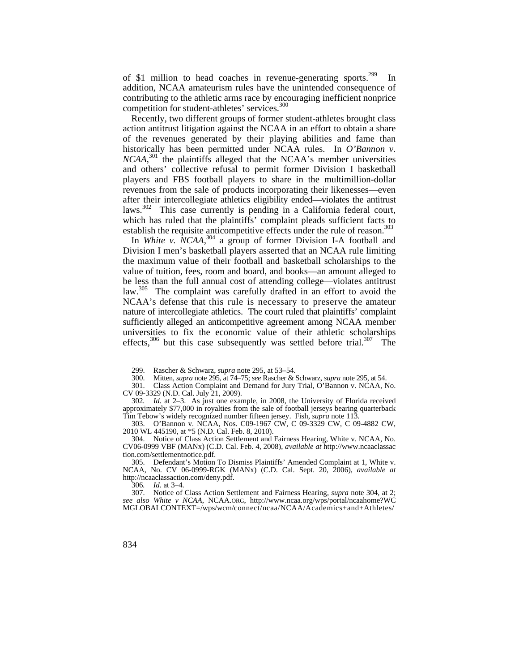of \$1 million to head coaches in revenue-generating sports.<sup>299</sup> In addition, NCAA amateurism rules have the unintended consequence of contributing to the athletic arms race by encouraging inefficient nonprice competition for student-athletes' services.<sup>300</sup>

 after their intercollegiate athletics eligibility ended—violates the antitrust Recently, two different groups of former student-athletes brought class action antitrust litigation against the NCAA in an effort to obtain a share of the revenues generated by their playing abilities and fame than historically has been permitted under NCAA rules. In *O'Bannon v. NCAA*, 301 the plaintiffs alleged that the NCAA's member universities and others' collective refusal to permit former Division I basketball players and FBS football players to share in the multimillion-dollar revenues from the sale of products incorporating their likenesses—even laws.<sup>302</sup> This case currently is pending in a California federal court, which has ruled that the plaintiffs' complaint pleads sufficient facts to establish the requisite anticompetitive effects under the rule of reason.<sup>303</sup>

 NCAA's defense that this rule is necessary to preserve the amateur effects,  $306$  but this case subsequently was settled before trial.  $307$  The In *White v.*  $NCAA$ <sup>304</sup> a group of former Division I-A football and Division I men's basketball players asserted that an NCAA rule limiting the maximum value of their football and basketball scholarships to the value of tuition, fees, room and board, and books—an amount alleged to be less than the full annual cost of attending college—violates antitrust law.<sup>305</sup> The complaint was carefully drafted in an effort to avoid the nature of intercollegiate athletics. The court ruled that plaintiffs' complaint sufficiently alleged an anticompetitive agreement among NCAA member universities to fix the economic value of their athletic scholarships

306*. Id.* at 3–4.

 <sup>299.</sup> Rascher & Schwarz, *supra* note 295, at 53–54.

 <sup>300.</sup> Mitten, *supra* note 295, at 74–75; *see* Rascher & Schwarz, *supra* note 295, at 54.

<sup>301.</sup> Class Action Complaint and Demand for Jury Trial, O'Bannon v. NCAA, No. CV 09-3329 (N.D. Cal. July 21, 2009).

<sup>302</sup>*. Id.* at 2–3. As just one example, in 2008, the University of Florida received approximately \$77,000 in royalties from the sale of football jerseys bearing quarterback Tim Tebow's widely recognized number fifteen jersey. Fish, *supra* note 113.

<sup>303.</sup> O'Bannon v. NCAA, Nos. C09-1967 CW, C 09-3329 CW, C 09-4882 CW, 2010 WL 445190, at \*5 (N.D. Cal. Feb. 8, 2010).

<sup>304.</sup> Notice of Class Action Settlement and Fairness Hearing, White v. NCAA, No. CV06-0999 VBF (MANx) (C.D. Cal. Feb. 4, 2008), *available at* <http://www.ncaaclassac> [tion.com/settlementnotice.pdf](https://tion.com/settlementnotice.pdf).

<sup>305.</sup> Defendant's Motion To Dismiss Plaintiffs' Amended Complaint at 1, White v. NCAA, No. CV 06-0999-RGK (MANx) (C.D. Cal. Sept. 20, 2006), *available at*  <http://ncaaclassaction.com/deny.pdf>.

<sup>307.</sup> Notice of Class Action Settlement and Fairness Hearing, *supra* note 304, at 2; *see also White v NCAA*, [NCAA.ORG](https://NCAA.ORG), <http://www.ncaa.org/wps/portal/ncaahome?WC> MGLOBALCONTEXT=/wps/wcm/connect/ncaa/NCAA/Academics+and+Athletes/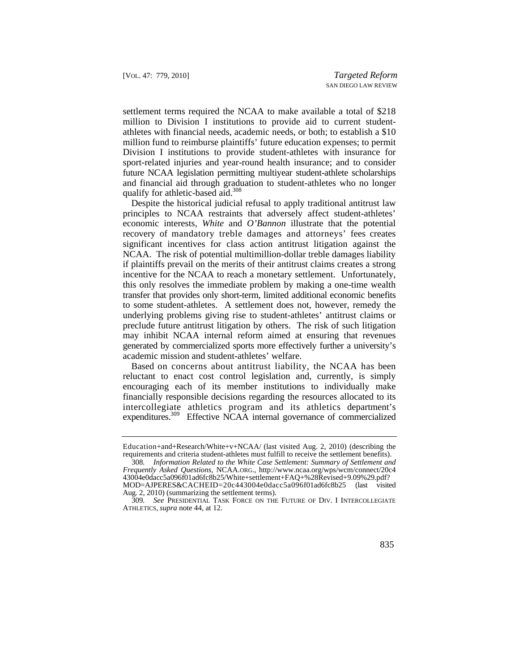settlement terms required the NCAA to make available a total of \$218 million to Division I institutions to provide aid to current studentathletes with financial needs, academic needs, or both; to establish a \$10 million fund to reimburse plaintiffs' future education expenses; to permit Division I institutions to provide student-athletes with insurance for sport-related injuries and year-round health insurance; and to consider future NCAA legislation permitting multiyear student-athlete scholarships and financial aid through graduation to student-athletes who no longer qualify for athletic-based aid.<sup>308</sup>

 recovery of mandatory treble damages and attorneys' fees creates Despite the historical judicial refusal to apply traditional antitrust law principles to NCAA restraints that adversely affect student-athletes' economic interests, *White* and *O'Bannon* illustrate that the potential significant incentives for class action antitrust litigation against the NCAA. The risk of potential multimillion-dollar treble damages liability if plaintiffs prevail on the merits of their antitrust claims creates a strong incentive for the NCAA to reach a monetary settlement. Unfortunately, this only resolves the immediate problem by making a one-time wealth transfer that provides only short-term, limited additional economic benefits to some student-athletes. A settlement does not, however, remedy the underlying problems giving rise to student-athletes' antitrust claims or preclude future antitrust litigation by others. The risk of such litigation may inhibit NCAA internal reform aimed at ensuring that revenues generated by commercialized sports more effectively further a university's academic mission and student-athletes' welfare.

 Based on concerns about antitrust liability, the NCAA has been reluctant to enact cost control legislation and, currently, is simply encouraging each of its member institutions to individually make financially responsible decisions regarding the resources allocated to its intercollegiate athletics program and its athletics department's expenditures.309 Effective NCAA internal governance of commercialized

Education+and+Research/White+v+NCAA/ (last visited Aug. 2, 2010) (describing the requirements and criteria student-athletes must fulfill to receive the settlement benefits).

 MOD=AJPERES&CACHEID=20c443004e0dacc5a096f01ad6fc8b25 (last visited 308*. Information Related to the White Case Settlement: Summary of Settlement and Frequently Asked Questions*, [NCAA.ORG.](https://NCAA.ORG), <http://www.ncaa.org/wps/wcm/connect/20c4> 43004e0dacc5a096f01ad6fc8b25/White+settlement+FAQ+%28Revised+9.09%29.pdf? Aug. 2, 2010) (summarizing the settlement terms).

 309*. See* PRESIDENTIAL TASK FORCE ON THE FUTURE OF DIV. I INTERCOLLEGIATE ATHLETICS, *supra* note 44, at 12.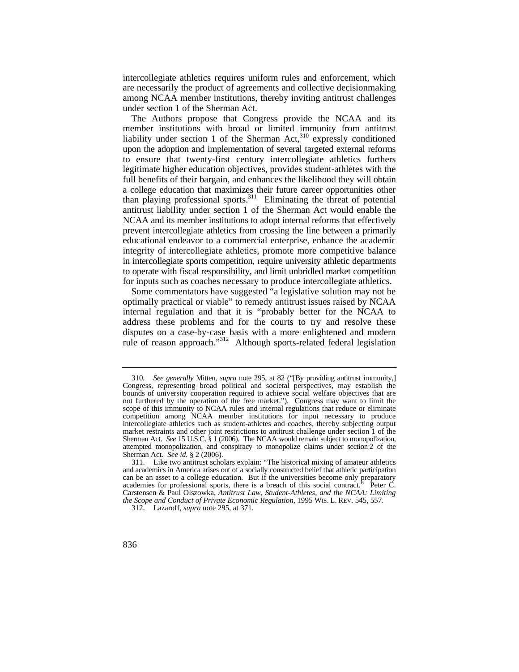intercollegiate athletics requires uniform rules and enforcement, which are necessarily the product of agreements and collective decisionmaking among NCAA member institutions, thereby inviting antitrust challenges under section 1 of the Sherman Act.

 a college education that maximizes their future career opportunities other The Authors propose that Congress provide the NCAA and its member institutions with broad or limited immunity from antitrust liability under section 1 of the Sherman Act,  $310$  expressly conditioned upon the adoption and implementation of several targeted external reforms to ensure that twenty-first century intercollegiate athletics furthers legitimate higher education objectives, provides student-athletes with the full benefits of their bargain, and enhances the likelihood they will obtain than playing professional sports.<sup>311</sup> Eliminating the threat of potential antitrust liability under section 1 of the Sherman Act would enable the NCAA and its member institutions to adopt internal reforms that effectively prevent intercollegiate athletics from crossing the line between a primarily educational endeavor to a commercial enterprise, enhance the academic integrity of intercollegiate athletics, promote more competitive balance in intercollegiate sports competition, require university athletic departments to operate with fiscal responsibility, and limit unbridled market competition for inputs such as coaches necessary to produce intercollegiate athletics.

Some commentators have suggested "a legislative solution may not be optimally practical or viable" to remedy antitrust issues raised by NCAA internal regulation and that it is "probably better for the NCAA to address these problems and for the courts to try and resolve these disputes on a case-by-case basis with a more enlightened and modern rule of reason approach."312 Although sports-related federal legislation

 310*. See generally* Mitten, *supra* note 295, at 82 ("[By providing antitrust immunity,] Sherman Act. *See* 15 U.S.C. § 1 (2006). The NCAA would remain subject to monopolization, Sherman Act. *See id.* § 2 (2006). Congress, representing broad political and societal perspectives, may establish the bounds of university cooperation required to achieve social welfare objectives that are not furthered by the operation of the free market."). Congress may want to limit the scope of this immunity to NCAA rules and internal regulations that reduce or eliminate competition among NCAA member institutions for input necessary to produce intercollegiate athletics such as student-athletes and coaches, thereby subjecting output market restraints and other joint restrictions to antitrust challenge under section 1 of the attempted monopolization, and conspiracy to monopolize claims under section 2 of the

 and academics in America arises out of a socially constructed belief that athletic participation *the Scope and Conduct of Private Economic Regulation*, 1995 WIS. L. REV. 545, 557. 311. Like two antitrust scholars explain: "The historical mixing of amateur athletics can be an asset to a college education. But if the universities become only preparatory academies for professional sports, there is a breach of this social contract." Peter C. Carstensen & Paul Olszowka, *Antitrust Law, Student-Athletes, and the NCAA: Limiting* 

 <sup>312.</sup> Lazaroff, *supra* note 295, at 371.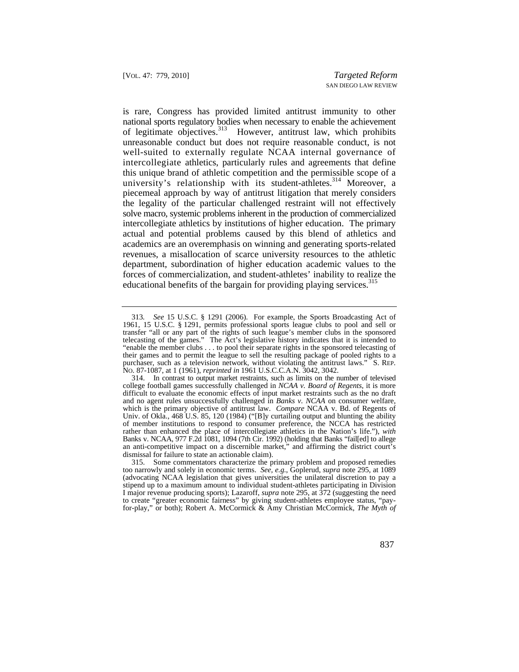is rare, Congress has provided limited antitrust immunity to other national sports regulatory bodies when necessary to enable the achievement of legitimate objectives.<sup>313</sup> However, antitrust law, which prohibits unreasonable conduct but does not require reasonable conduct, is not well-suited to externally regulate NCAA internal governance of intercollegiate athletics, particularly rules and agreements that define this unique brand of athletic competition and the permissible scope of a university's relationship with its student-athletes.<sup>314</sup> Moreover, a piecemeal approach by way of antitrust litigation that merely considers the legality of the particular challenged restraint will not effectively solve macro, systemic problems inherent in the production of commercialized intercollegiate athletics by institutions of higher education. The primary actual and potential problems caused by this blend of athletics and academics are an overemphasis on winning and generating sports-related revenues, a misallocation of scarce university resources to the athletic department, subordination of higher education academic values to the forces of commercialization, and student-athletes' inability to realize the educational benefits of the bargain for providing playing services.<sup>315</sup>

 1961, 15 U.S.C. § 1291, permits professional sports league clubs to pool and sell or purchaser, such as a television network, without violating the antitrust laws." S. REP. 313*. See* 15 U.S.C. § 1291 (2006). For example, the Sports Broadcasting Act of transfer "all or any part of the rights of such league's member clubs in the sponsored telecasting of the games." The Act's legislative history indicates that it is intended to "enable the member clubs . . . to pool their separate rights in the sponsored telecasting of their games and to permit the league to sell the resulting package of pooled rights to a NO. 87-1087, at 1 (1961), *reprinted in* 1961 U.S.C.C.A.N. 3042, 3042.

 314. In contrast to output market restraints, such as limits on the number of televised which is the primary objective of antitrust law. *Compare* NCAA v. Bd. of Regents of college football games successfully challenged in *NCAA v. Board of Regents*, it is more difficult to evaluate the economic effects of input market restraints such as the no draft and no agent rules unsuccessfully challenged in *Banks v. NCAA* on consumer welfare, Univ. of Okla., 468 U.S. 85, 120 (1984) ("[B]y curtailing output and blunting the ability of member institutions to respond to consumer preference, the NCCA has restricted rather than enhanced the place of intercollegiate athletics in the Nation's life."), *with*  Banks v. NCAA, 977 F.2d 1081, 1094 (7th Cir. 1992) (holding that Banks "fail[ed] to allege an anti-competitive impact on a discernible market," and affirming the district court's dismissal for failure to state an actionable claim).

<sup>315.</sup> Some commentators characterize the primary problem and proposed remedies too narrowly and solely in economic terms. *See, e.g.*, Goplerud, *supra* note 295, at 1089 (advocating NCAA legislation that gives universities the unilateral discretion to pay a stipend up to a maximum amount to individual student-athletes participating in Division I major revenue producing sports); Lazaroff, *supra* note 295, at 372 (suggesting the need to create "greater economic fairness" by giving student-athletes employee status, "payfor-play," or both); Robert A. McCormick & Amy Christian McCormick, *The Myth of*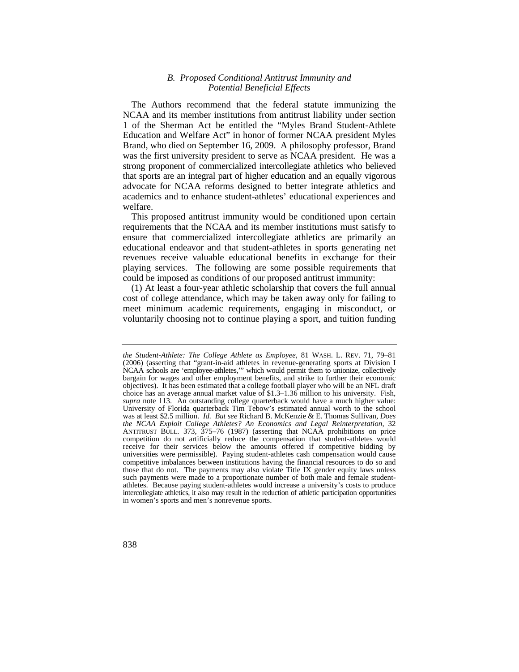## *B. Proposed Conditional Antitrust Immunity and Potential Beneficial Effects*

The Authors recommend that the federal statute immunizing the NCAA and its member institutions from antitrust liability under section 1 of the Sherman Act be entitled the "Myles Brand Student-Athlete Education and Welfare Act" in honor of former NCAA president Myles Brand, who died on September 16, 2009. A philosophy professor, Brand was the first university president to serve as NCAA president. He was a strong proponent of commercialized intercollegiate athletics who believed that sports are an integral part of higher education and an equally vigorous advocate for NCAA reforms designed to better integrate athletics and academics and to enhance student-athletes' educational experiences and welfare.

This proposed antitrust immunity would be conditioned upon certain requirements that the NCAA and its member institutions must satisfy to ensure that commercialized intercollegiate athletics are primarily an educational endeavor and that student-athletes in sports generating net revenues receive valuable educational benefits in exchange for their playing services. The following are some possible requirements that could be imposed as conditions of our proposed antitrust immunity:

(1) At least a four-year athletic scholarship that covers the full annual cost of college attendance, which may be taken away only for failing to meet minimum academic requirements, engaging in misconduct, or voluntarily choosing not to continue playing a sport, and tuition funding

 *the Student-Athlete: The College Athlete as Employee*, 81 WASH. L. REV. 71, 79–81 NCAA schools are 'employee-athletes,'" which would permit them to unionize, collectively was at least \$2.5 million. *Id. But see* Richard B. McKenzie & E. Thomas Sullivan, *Does*  (2006) (asserting that "grant-in-aid athletes in revenue-generating sports at Division I bargain for wages and other employment benefits, and strike to further their economic objectives). It has been estimated that a college football player who will be an NFL draft choice has an average annual market value of \$[1.3–1.36](https://1.3�1.36) million to his university. Fish, *supra* note 113. An outstanding college quarterback would have a much higher value: University of Florida quarterback Tim Tebow's estimated annual worth to the school *the NCAA Exploit College Athletes? An Economics and Legal Reinterpretation*, 32 ANTITRUST BULL. 373, 375–76 (1987) (asserting that NCAA prohibitions on price competition do not artificially reduce the compensation that student-athletes would receive for their services below the amounts offered if competitive bidding by universities were permissible). Paying student-athletes cash compensation would cause competitive imbalances between institutions having the financial resources to do so and those that do not. The payments may also violate Title IX gender equity laws unless such payments were made to a proportionate number of both male and female studentathletes. Because paying student-athletes would increase a university's costs to produce intercollegiate athletics, it also may result in the reduction of athletic participation opportunities in women's sports and men's nonrevenue sports.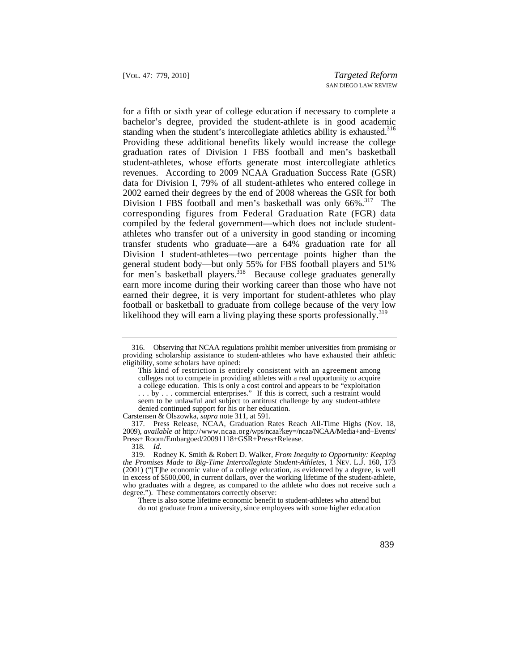standing when the student's intercollegiate athletics ability is exhausted.<sup>316</sup> corresponding figures from Federal Graduation Rate (FGR) data for a fifth or sixth year of college education if necessary to complete a bachelor's degree, provided the student-athlete is in good academic Providing these additional benefits likely would increase the college graduation rates of Division I FBS football and men's basketball student-athletes, whose efforts generate most intercollegiate athletics revenues. According to 2009 NCAA Graduation Success Rate (GSR) data for Division I, 79% of all student-athletes who entered college in 2002 earned their degrees by the end of 2008 whereas the GSR for both Division I FBS football and men's basketball was only 66%.<sup>317</sup> The compiled by the federal government—which does not include studentathletes who transfer out of a university in good standing or incoming transfer students who graduate—are a 64% graduation rate for all Division I student-athletes—two percentage points higher than the general student body—but only 55% for FBS football players and 51% for men's basketball players.<sup>318</sup> Because college graduates generally earn more income during their working career than those who have not earned their degree, it is very important for student-athletes who play football or basketball to graduate from college because of the very low likelihood they will earn a living playing these sports professionally.<sup>319</sup>

Carstensen & Olszowka, *supra* note 311, at 591.

<sup>316.</sup> Observing that NCAA regulations prohibit member universities from promising or providing scholarship assistance to student-athletes who have exhausted their athletic eligibility, some scholars have opined:

 This kind of restriction is entirely consistent with an agreement among colleges not to compete in providing athletes with a real opportunity to acquire a college education. This is only a cost control and appears to be "exploitation ... by ... commercial enterprises." If this is correct, such a restraint would seem to be unlawful and subject to antitrust challenge by any student-athlete denied continued support for his or her education.

 <sup>317.</sup> Press Release, NCAA, Graduation Rates Reach All-Time Highs (Nov. 18, 2009), *available at* [http://www.ncaa.org/wps/ncaa?key=/ncaa/NCAA/Media+and+Events/](http://www.ncaa.org/wps/ncaa?key=/ncaa/NCAA/Media+and+Events) Press+ Room/Embargoed/20091118+GSR+Press+Release.

<sup>318</sup>*. Id.* 

 degree."). These commentators correctly observe: 319. Rodney K. Smith & Robert D. Walker, *From Inequity to Opportunity: Keeping the Promises Made to Big-Time Intercollegiate Student-Athletes*, 1 NEV. L.J. 160, 173 (2001) ("[T]he economic value of a college education, as evidenced by a degree, is well in excess of \$500,000, in current dollars, over the working lifetime of the student-athlete, who graduates with a degree, as compared to the athlete who does not receive such a

There is also some lifetime economic benefit to student-athletes who attend but do not graduate from a university, since employees with some higher education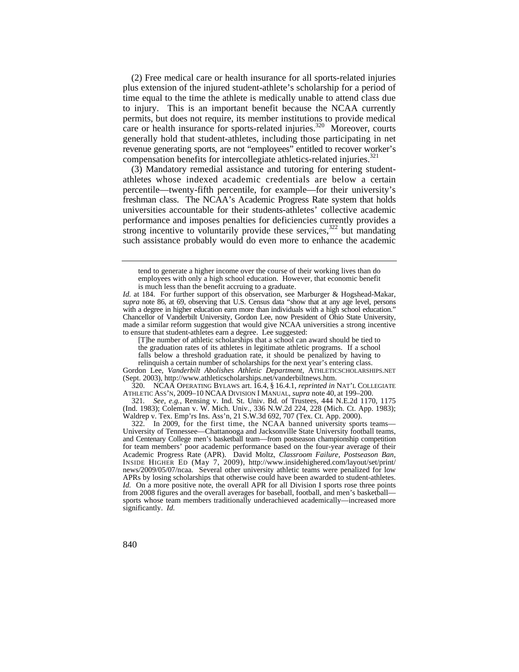(2) Free medical care or health insurance for all sports-related injuries plus extension of the injured student-athlete's scholarship for a period of time equal to the time the athlete is medically unable to attend class due to injury. This is an important benefit because the NCAA currently permits, but does not require, its member institutions to provide medical care or health insurance for sports-related injuries.<sup>320</sup> Moreover, courts generally hold that student-athletes, including those participating in net revenue generating sports, are not "employees" entitled to recover worker's compensation benefits for intercollegiate athletics-related injuries.<sup>321</sup>

(3) Mandatory remedial assistance and tutoring for entering studentathletes whose indexed academic credentials are below a certain percentile—twenty-fifth percentile, for example—for their university's freshman class. The NCAA's Academic Progress Rate system that holds universities accountable for their students-athletes' collective academic performance and imposes penalties for deficiencies currently provides a strong incentive to voluntarily provide these services,  $322$  but mandating such assistance probably would do even more to enhance the academic

[T]he number of athletic scholarships that a school can award should be tied to the graduation rates of its athletes in legitimate athletic programs. If a school falls below a threshold graduation rate, it should be penalized by having to relinquish a certain number of scholarships for the next year's entering class.

Gordon Lee, *Vanderbilt Abolishes Athletic Department*, [ATHLETICSCHOLARSHIPS.NET](https://ATHLETICSCHOLARSHIPS.NET)  (Sept. 2003),<http://www.athleticscholarships.net/vanderbiltnews.htm>.

 320. NCAA OPERATING BYLAWS art. 16.4, § 16.4.1, *reprinted in* NAT'L COLLEGIATE ATHLETIC ASS'N, 2009–10 NCAA DIVISION I MANUAL, *supra* note 40, at 199–200.

 (Ind. 1983); Coleman v. W. Mich. Univ., 336 N.W.2d 224, 228 (Mich. Ct. App. 1983); 321*. See, e.g.*, Rensing v. Ind. St. Univ. Bd. of Trustees, 444 N.E.2d 1170, 1175 Waldrep v. Tex. Emp'rs Ins. Ass'n, 21 S.W.3d 692, 707 (Tex. Ct. App. 2000).

tend to generate a higher income over the course of their working lives than do employees with only a high school education. However, that economic benefit is much less than the benefit accruing to a graduate.

 *supra* note 86, at 69, observing that U.S. Census data "show that at any age level, persons *Id.* at 184. For further support of this observation, see Marburger & Hogshead-Makar, with a degree in higher education earn more than individuals with a high school education." Chancellor of Vanderbilt University, Gordon Lee, now President of Ohio State University, made a similar reform suggestion that would give NCAA universities a strong incentive to ensure that student-athletes earn a degree. Lee suggested:

 322. In 2009, for the first time, the NCAA banned university sports teams— APRs by losing scholarships that otherwise could have been awarded to student-athletes. University of Tennessee—Chattanooga and Jacksonville State University football teams, and Centenary College men's basketball team—from postseason championship competition for team members' poor academic performance based on the four-year average of their Academic Progress Rate (APR). David Moltz, *Classroom Failure, Postseason Ban*, INSIDE HIGHER ED (May 7, 2009), [http://www.insidehighered.com/layout/set/print/](http://www.insidehighered.com/layout/set/print) news/2009/05/07/ncaa. Several other university athletic teams were penalized for low *Id.* On a more positive note, the overall APR for all Division I sports rose three points from 2008 figures and the overall averages for baseball, football, and men's basketball sports whose team members traditionally underachieved academically—increased more significantly. *Id.*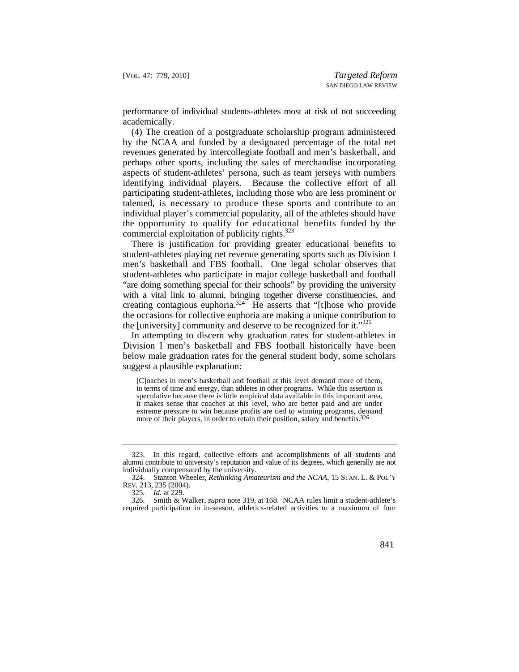performance of individual students-athletes most at risk of not succeeding academically.

 talented, is necessary to produce these sports and contribute to an the opportunity to qualify for educational benefits funded by the (4) The creation of a postgraduate scholarship program administered by the NCAA and funded by a designated percentage of the total net revenues generated by intercollegiate football and men's basketball, and perhaps other sports, including the sales of merchandise incorporating aspects of student-athletes' persona, such as team jerseys with numbers identifying individual players. Because the collective effort of all participating student-athletes, including those who are less prominent or individual player's commercial popularity, all of the athletes should have commercial exploitation of publicity rights.<sup>323</sup>

There is justification for providing greater educational benefits to student-athletes playing net revenue generating sports such as Division I men's basketball and FBS football. One legal scholar observes that student-athletes who participate in major college basketball and football "are doing something special for their schools" by providing the university with a vital link to alumni, bringing together diverse constituencies, and creating contagious euphoria.324 He asserts that "[t]hose who provide the occasions for collective euphoria are making a unique contribution to the [university] community and deserve to be recognized for it."325

In attempting to discern why graduation rates for student-athletes in Division I men's basketball and FBS football historically have been below male graduation rates for the general student body, some scholars suggest a plausible explanation:

 in terms of time and energy, than athletes in other programs. While this assertion is [C]oaches in men's basketball and football at this level demand more of them, speculative because there is little empirical data available in this important area, it makes sense that coaches at this level, who are better paid and are under extreme pressure to win because profits are tied to winning programs, demand more of their players, in order to retain their position, salary and benefits.<sup>326</sup>

<sup>323.</sup> In this regard, collective efforts and accomplishments of all students and alumni contribute to university's reputation and value of its degrees, which generally are not individually compensated by the university.

 324. Stanton Wheeler, *Rethinking Amateurism and the NCAA*, 15 STAN. L. & POL'Y REV*.* 213, 235 (2004).

<sup>325</sup>*. Id.* at 229.

<sup>326.</sup> Smith & Walker, *supra* note 319, at 168. NCAA rules limit a student-athlete's required participation in in-season, athletics-related activities to a maximum of four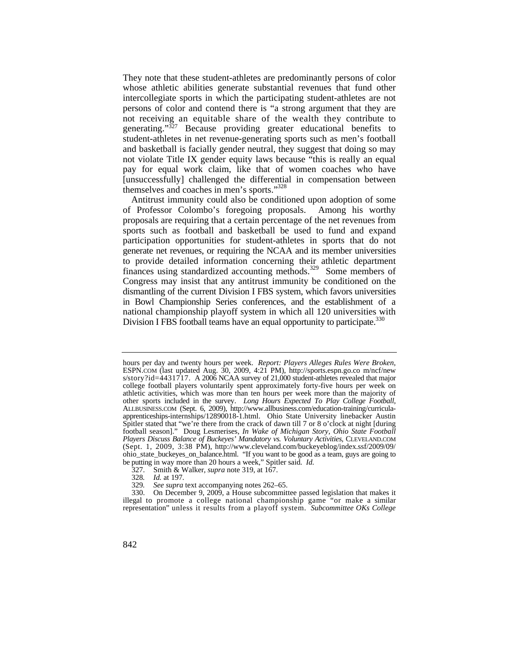They note that these student-athletes are predominantly persons of color whose athletic abilities generate substantial revenues that fund other intercollegiate sports in which the participating student-athletes are not persons of color and contend there is "a strong argument that they are not receiving an equitable share of the wealth they contribute to generating."<sup>327</sup> Because providing greater educational benefits to student-athletes in net revenue-generating sports such as men's football and basketball is facially gender neutral, they suggest that doing so may not violate Title IX gender equity laws because "this is really an equal pay for equal work claim, like that of women coaches who have [unsuccessfully] challenged the differential in compensation between themselves and coaches in men's sports."328

 in Bowl Championship Series conferences, and the establishment of a Antitrust immunity could also be conditioned upon adoption of some of Professor Colombo's foregoing proposals. Among his worthy proposals are requiring that a certain percentage of the net revenues from sports such as football and basketball be used to fund and expand participation opportunities for student-athletes in sports that do not generate net revenues, or requiring the NCAA and its member universities to provide detailed information concerning their athletic department finances using standardized accounting methods.<sup>329</sup> Some members of Congress may insist that any antitrust immunity be conditioned on the dismantling of the current Division I FBS system, which favors universities national championship playoff system in which all 120 universities with Division I FBS football teams have an equal opportunity to participate.<sup>330</sup>

327. Smith & Walker, *supra* note 319, at 167.

 other sports included in the survey. *Long Hours Expected To Play College Football*, [ALLBUSINESS.COM](https://ALLBUSINESS.COM) (Sept. 6, 2009), <http://www.allbusiness.com/education-training/curricula>hours per day and twenty hours per week. *Report: Players Alleges Rules Were Broken*, [ESPN.COM](https://ESPN.COM) (last updated Aug. 30, 2009, 4:21 PM), <http://sports.espn.go.co> m/ncf/new s/story?id=4431717. A 2006 NCAA survey of 21,000 student-athletes revealed that major college football players voluntarily spent approximately forty-five hours per week on athletic activities, which was more than ten hours per week more than the majority of apprenticeships-internships/12890018-1.html. Ohio State University linebacker Austin Spitler stated that "we're there from the crack of dawn till 7 or 8 o'clock at night [during football season]." Doug Lesmerises, *In Wake of Michigan Story, Ohio State Football Players Discuss Balance of Buckeyes' Mandatory vs. Voluntary Activities*, [CLEVELAND.COM](https://CLEVELAND.COM) (Sept. 1, 2009, 3:38 PM), [http://www.cleveland.com/buckeyeblog/index.ssf/2009/09/](http://www.cleveland.com/buckeyeblog/index.ssf/2009/09) ohio\_state\_buckeyes\_on\_balance.html. "If you want to be good as a team, guys are going to be putting in way more than 20 hours a week," Spitler said. *Id.* 

<sup>328</sup>*. Id.* at 197.

<sup>329</sup>*. See supra* text accompanying notes 262–65.

 illegal to promote a college national championship game "or make a similar representation" unless it results from a playoff system. *Subcommittee OKs College*  330. On December 9, 2009, a House subcommittee passed legislation that makes it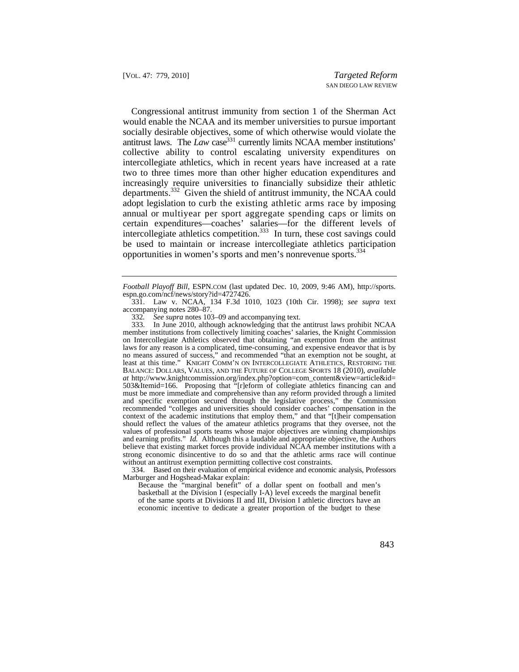adopt legislation to curb the existing athletic arms race by imposing annual or multiyear per sport aggregate spending caps or limits on Congressional antitrust immunity from section 1 of the Sherman Act would enable the NCAA and its member universities to pursue important socially desirable objectives, some of which otherwise would violate the antitrust laws. The  $\angle Law$  case<sup>331</sup> currently limits NCAA member institutions' collective ability to control escalating university expenditures on intercollegiate athletics, which in recent years have increased at a rate two to three times more than other higher education expenditures and increasingly require universities to financially subsidize their athletic departments.332 Given the shield of antitrust immunity, the NCAA could certain expenditures—coaches' salaries—for the different levels of intercollegiate athletics competition.<sup>333</sup> In turn, these cost savings could be used to maintain or increase intercollegiate athletics participation opportunities in women's sports and men's nonrevenue sports.<sup>334</sup>

 laws for any reason is a complicated, time-consuming, and expensive endeavor that is by without an antitrust exemption permitting collective cost constraints. 333. In June 2010, although acknowledging that the antitrust laws prohibit NCAA member institutions from collectively limiting coaches' salaries, the Knight Commission on Intercollegiate Athletics observed that obtaining "an exemption from the antitrust no means assured of success," and recommended "that an exemption not be sought, at least at this time." KNIGHT COMM'N ON INTERCOLLEGIATE ATHLETICS, RESTORING THE BALANCE: DOLLARS, VALUES, AND THE FUTURE OF COLLEGE SPORTS 18 (2010), *available at* [http://www.knightcommission.org/index.php?option=com\\_content&view=article&id=](http://www.knightcommission.org/index.php?option=com_content&view=article&id) 503&Itemid=166. Proposing that "[r]eform of collegiate athletics financing can and must be more immediate and comprehensive than any reform provided through a limited and specific exemption secured through the legislative process," the Commission recommended "colleges and universities should consider coaches' compensation in the context of the academic institutions that employ them," and that "[t]heir compensation should reflect the values of the amateur athletics programs that they oversee, not the values of professional sports teams whose major objectives are winning championships and earning profits." *Id.* Although this a laudable and appropriate objective, the Authors believe that existing market forces provide individual NCAA member institutions with a strong economic disincentive to do so and that the athletic arms race will continue

 334. Based on their evaluation of empirical evidence and economic analysis, Professors Marburger and Hogshead-Makar explain:

Because the "marginal benefit" of a dollar spent on football and men's basketball at the Division I (especially I-A) level exceeds the marginal benefit of the same sports at Divisions II and III, Division I athletic directors have an economic incentive to dedicate a greater proportion of the budget to these

*Football Playoff Bill*, [ESPN.COM](https://ESPN.COM) (last updated Dec. 10, 2009, 9:46 AM), [http://sports.](http://sports) espn.go.com/ncf/news/story?id=4727426.

<sup>331.</sup> Law v. NCAA, 134 F.3d 1010, 1023 (10th Cir. 1998); *see supra* text accompanying notes 280–87.

<sup>332</sup>*. See supra* notes 103–09 and accompanying text.